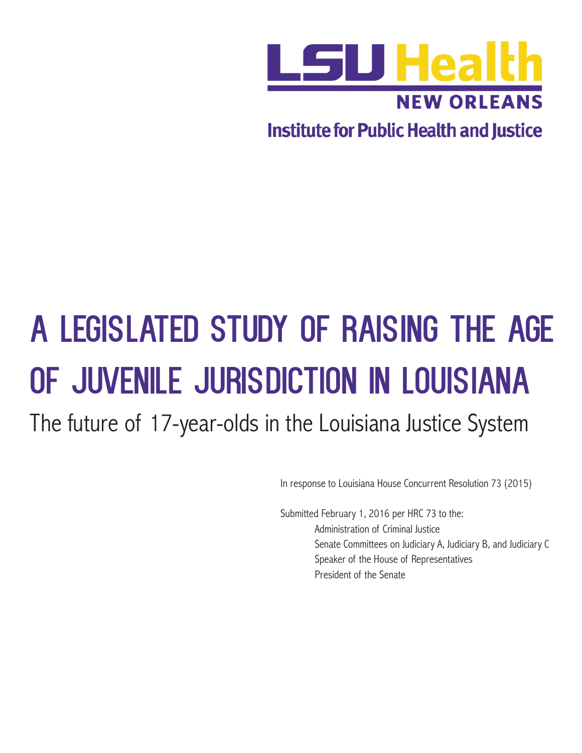

**Institute for Public Health and Justice** 

# A Legislated Study of Raising the Age of Juvenile Jurisdiction in Louisiana

The future of 17-year-olds in the Louisiana Justice System

In response to Louisiana House Concurrent Resolution 73 (2015)

Submitted February 1, 2016 per HRC 73 to the: Administration of Criminal Justice Senate Committees on Judiciary A, Judiciary B, and Judiciary C Speaker of the House of Representatives President of the Senate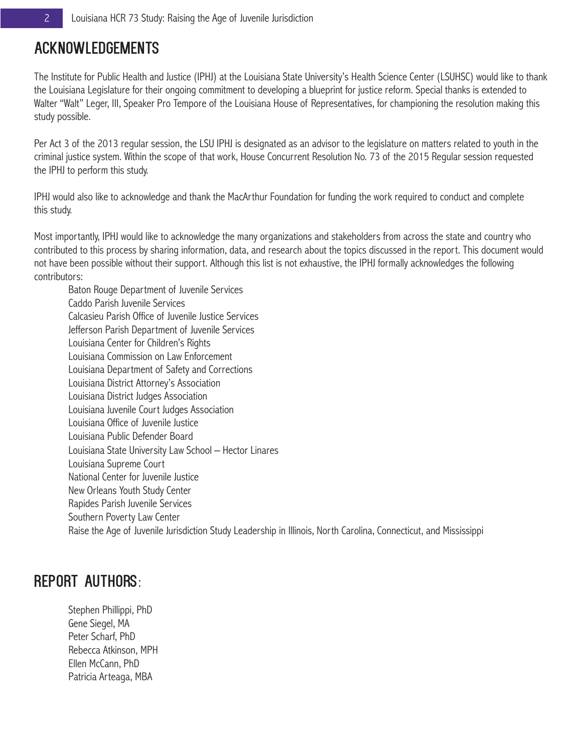# Acknowledgements

The Institute for Public Health and Justice (IPHJ) at the Louisiana State University's Health Science Center (LSUHSC) would like to thank the Louisiana Legislature for their ongoing commitment to developing a blueprint for justice reform. Special thanks is extended to Walter "Walt" Leger, III, Speaker Pro Tempore of the Louisiana House of Representatives, for championing the resolution making this study possible.

Per Act 3 of the 2013 regular session, the LSU IPHJ is designated as an advisor to the legislature on matters related to youth in the criminal justice system. Within the scope of that work, House Concurrent Resolution No. 73 of the 2015 Regular session requested the IPHJ to perform this study.

IPHJ would also like to acknowledge and thank the MacArthur Foundation for funding the work required to conduct and complete this study.

Most importantly, IPHJ would like to acknowledge the many organizations and stakeholders from across the state and country who contributed to this process by sharing information, data, and research about the topics discussed in the report. This document would not have been possible without their support. Although this list is not exhaustive, the IPHJ formally acknowledges the following contributors:

Baton Rouge Department of Juvenile Services Caddo Parish Juvenile Services Calcasieu Parish Office of Juvenile Justice Services Jefferson Parish Department of Juvenile Services Louisiana Center for Children's Rights Louisiana Commission on Law Enforcement Louisiana Department of Safety and Corrections Louisiana District Attorney's Association Louisiana District Judges Association Louisiana Juvenile Court Judges Association Louisiana Office of Juvenile Justice Louisiana Public Defender Board Louisiana State University Law School – Hector Linares Louisiana Supreme Court National Center for Juvenile Justice New Orleans Youth Study Center Rapides Parish Juvenile Services Southern Poverty Law Center Raise the Age of Juvenile Jurisdiction Study Leadership in Illinois, North Carolina, Connecticut, and Mississippi

# Report Authors:

Stephen Phillippi, PhD Gene Siegel, MA Peter Scharf, PhD Rebecca Atkinson, MPH Ellen McCann, PhD Patricia Arteaga, MBA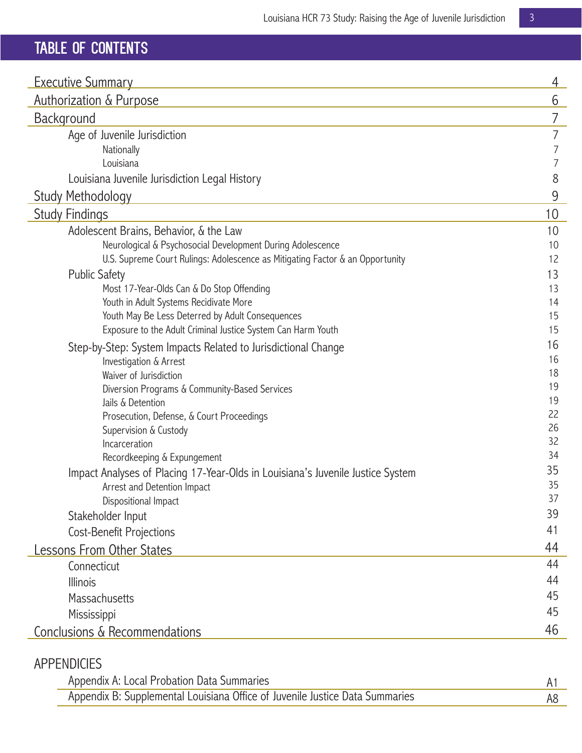# TABLE of CONTENTS

| <b>Executive Summary</b>                                                       | 4              |
|--------------------------------------------------------------------------------|----------------|
| <b>Authorization &amp; Purpose</b>                                             | 6              |
| Background                                                                     | 7              |
| Age of Juvenile Jurisdiction                                                   | 7              |
| Nationally                                                                     | $\overline{7}$ |
| Louisiana                                                                      | 7              |
| Louisiana Juvenile Jurisdiction Legal History                                  | 8              |
| <b>Study Methodology</b>                                                       | 9              |
| <b>Study Findings</b>                                                          | 10             |
| Adolescent Brains, Behavior, & the Law                                         | 10             |
| Neurological & Psychosocial Development During Adolescence                     | 10             |
| U.S. Supreme Court Rulings: Adolescence as Mitigating Factor & an Opportunity  | 12             |
| <b>Public Safety</b>                                                           | 13             |
| Most 17-Year-Olds Can & Do Stop Offending                                      | 13             |
| Youth in Adult Systems Recidivate More                                         | 14             |
| Youth May Be Less Deterred by Adult Consequences                               | 15             |
| Exposure to the Adult Criminal Justice System Can Harm Youth                   | 15             |
| Step-by-Step: System Impacts Related to Jurisdictional Change                  | 16             |
| Investigation & Arrest                                                         | 16<br>18       |
| Waiver of Jurisdiction                                                         | 19             |
| Diversion Programs & Community-Based Services<br>Jails & Detention             | 19             |
| Prosecution, Defense, & Court Proceedings                                      | 22             |
| Supervision & Custody                                                          | 26             |
| Incarceration                                                                  | 32             |
| Recordkeeping & Expungement                                                    | 34             |
| Impact Analyses of Placing 17-Year-Olds in Louisiana's Juvenile Justice System | 35             |
| Arrest and Detention Impact                                                    | 35             |
| Dispositional Impact                                                           | 37             |
| Stakeholder Input                                                              | 39             |
| Cost-Benefit Projections                                                       | 41             |
| <b>Lessons From Other States</b>                                               | 44             |
| Connecticut                                                                    | 44             |
| <b>Illinois</b>                                                                | 44             |
| Massachusetts                                                                  | 45             |
| Mississippi                                                                    | 45             |
| Conclusions & Recommendations                                                  | 46             |
|                                                                                |                |

# APPENDICIES

| Appendix A: Local Probation Data Summaries                                   |  |
|------------------------------------------------------------------------------|--|
| Appendix B: Supplemental Louisiana Office of Juvenile Justice Data Summaries |  |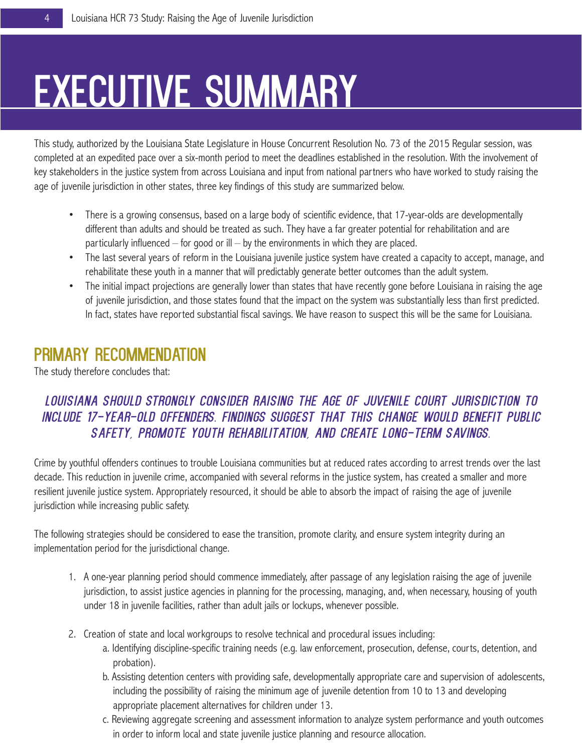# **EXECUTIVE SUMMARY**

This study, authorized by the Louisiana State Legislature in House Concurrent Resolution No. 73 of the 2015 Regular session, was completed at an expedited pace over a six-month period to meet the deadlines established in the resolution. With the involvement of key stakeholders in the justice system from across Louisiana and input from national partners who have worked to study raising the age of juvenile jurisdiction in other states, three key findings of this study are summarized below.

- There is a growing consensus, based on a large body of scientific evidence, that 17-year-olds are developmentally different than adults and should be treated as such. They have a far greater potential for rehabilitation and are particularly influenced – for good or ill – by the environments in which they are placed.
- The last several years of reform in the Louisiana juvenile justice system have created a capacity to accept, manage, and rehabilitate these youth in a manner that will predictably generate better outcomes than the adult system.
- The initial impact projections are generally lower than states that have recently gone before Louisiana in raising the age of juvenile jurisdiction, and those states found that the impact on the system was substantially less than first predicted. In fact, states have reported substantial fiscal savings. We have reason to suspect this will be the same for Louisiana.

# primary Recommendation

The study therefore concludes that:

# *Louisiana should strongly consider raising the age of juvenile court jurisdiction to include 17-year-old offenders. Findings suggest that this change would benefit public safety, promote youth rehabilitation, and create long-term savings.*

Crime by youthful offenders continues to trouble Louisiana communities but at reduced rates according to arrest trends over the last decade. This reduction in juvenile crime, accompanied with several reforms in the justice system, has created a smaller and more resilient juvenile justice system. Appropriately resourced, it should be able to absorb the impact of raising the age of juvenile jurisdiction while increasing public safety.

The following strategies should be considered to ease the transition, promote clarity, and ensure system integrity during an implementation period for the jurisdictional change.

- 1. A one-year planning period should commence immediately, after passage of any legislation raising the age of juvenile jurisdiction, to assist justice agencies in planning for the processing, managing, and, when necessary, housing of youth under 18 in juvenile facilities, rather than adult jails or lockups, whenever possible.
- 2. Creation of state and local workgroups to resolve technical and procedural issues including:
	- a. Identifying discipline-specific training needs (e.g. law enforcement, prosecution, defense, courts, detention, and probation).
	- b. Assisting detention centers with providing safe, developmentally appropriate care and supervision of adolescents, including the possibility of raising the minimum age of juvenile detention from 10 to 13 and developing appropriate placement alternatives for children under 13.
	- c. Reviewing aggregate screening and assessment information to analyze system performance and youth outcomes in order to inform local and state juvenile justice planning and resource allocation.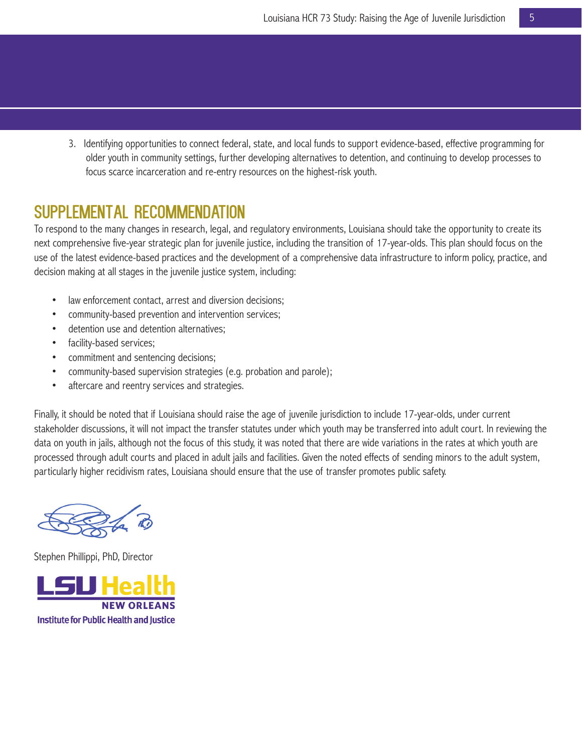3. Identifying opportunities to connect federal, state, and local funds to support evidence-based, effective programming for older youth in community settings, further developing alternatives to detention, and continuing to develop processes to focus scarce incarceration and re-entry resources on the highest-risk youth.

# Supplemental Recommendation

To respond to the many changes in research, legal, and regulatory environments, Louisiana should take the opportunity to create its next comprehensive five-year strategic plan for juvenile justice, including the transition of 17-year-olds. This plan should focus on the use of the latest evidence-based practices and the development of a comprehensive data infrastructure to inform policy, practice, and decision making at all stages in the juvenile justice system, including:

- law enforcement contact, arrest and diversion decisions;
- community-based prevention and intervention services;
- detention use and detention alternatives;
- facility-based services;
- commitment and sentencing decisions;
- community-based supervision strategies (e.g. probation and parole);
- aftercare and reentry services and strategies.

Finally, it should be noted that if Louisiana should raise the age of juvenile jurisdiction to include 17-year-olds, under current stakeholder discussions, it will not impact the transfer statutes under which youth may be transferred into adult court. In reviewing the data on youth in jails, although not the focus of this study, it was noted that there are wide variations in the rates at which youth are processed through adult courts and placed in adult jails and facilities. Given the noted effects of sending minors to the adult system, particularly higher recidivism rates, Louisiana should ensure that the use of transfer promotes public safety.

Stephen Phillippi, PhD, Director

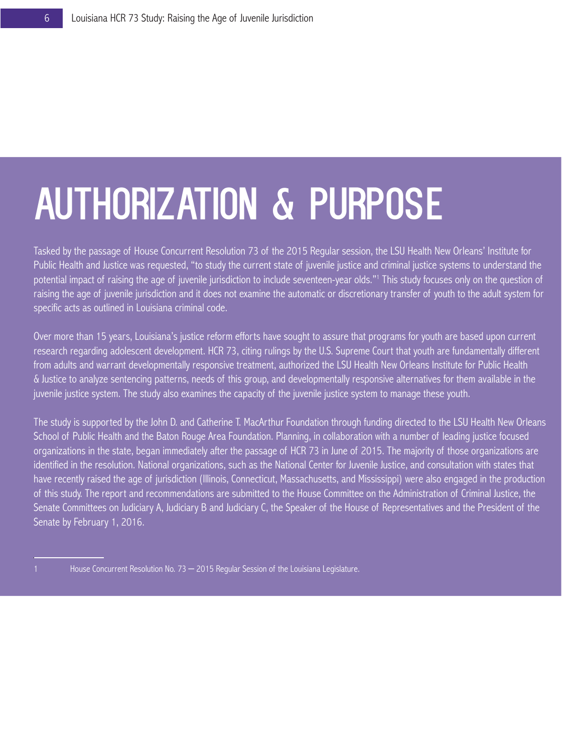# Authorization & Purpose

Tasked by the passage of House Concurrent Resolution 73 of the 2015 Regular session, the LSU Health New Orleans' Institute for Public Health and Justice was requested, "to study the current state of juvenile justice and criminal justice systems to understand the potential impact of raising the age of juvenile jurisdiction to include seventeen-year olds."1 This study focuses only on the question of raising the age of juvenile jurisdiction and it does not examine the automatic or discretionary transfer of youth to the adult system for specific acts as outlined in Louisiana criminal code.

Over more than 15 years, Louisiana's justice reform efforts have sought to assure that programs for youth are based upon current research regarding adolescent development. HCR 73, citing rulings by the U.S. Supreme Court that youth are fundamentally different from adults and warrant developmentally responsive treatment, authorized the LSU Health New Orleans Institute for Public Health & Justice to analyze sentencing patterns, needs of this group, and developmentally responsive alternatives for them available in the juvenile justice system. The study also examines the capacity of the juvenile justice system to manage these youth.

The study is supported by the John D. and Catherine T. MacArthur Foundation through funding directed to the LSU Health New Orleans School of Public Health and the Baton Rouge Area Foundation. Planning, in collaboration with a number of leading justice focused organizations in the state, began immediately after the passage of HCR 73 in June of 2015. The majority of those organizations are identified in the resolution. National organizations, such as the National Center for Juvenile Justice, and consultation with states that have recently raised the age of jurisdiction (Illinois, Connecticut, Massachusetts, and Mississippi) were also engaged in the production of this study. The report and recommendations are submitted to the House Committee on the Administration of Criminal Justice, the Senate Committees on Judiciary A, Judiciary B and Judiciary C, the Speaker of the House of Representatives and the President of the Senate by February 1, 2016.

<sup>1</sup> House Concurrent Resolution No. 73 – 2015 Regular Session of the Louisiana Legislature.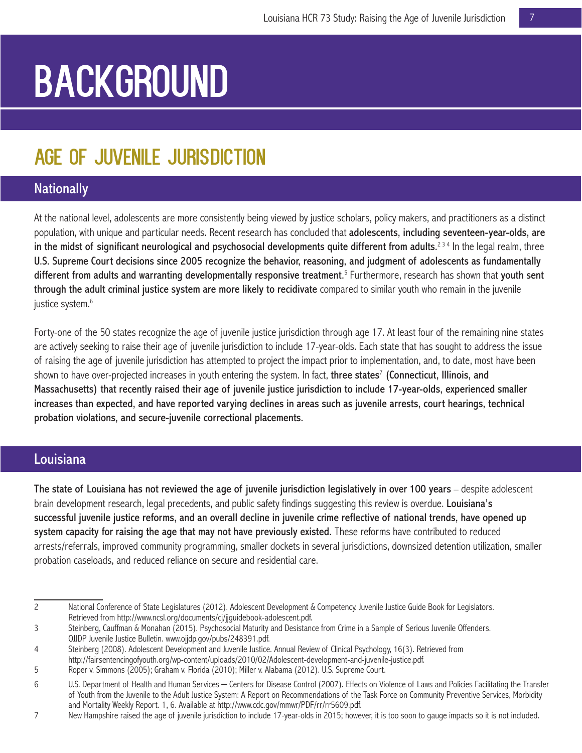# **BACKGROUND**

# Age of Juvenile Jurisdiction

# **Nationally**

At the national level, adolescents are more consistently being viewed by justice scholars, policy makers, and practitioners as a distinct population, with unique and particular needs. Recent research has concluded that adolescents, including seventeen-year-olds, are in the midst of significant neurological and psychosocial developments quite different from adults.<sup>234</sup> In the legal realm, three U.S. Supreme Court decisions since 2005 recognize the behavior, reasoning, and judgment of adolescents as fundamentally different from adults and warranting developmentally responsive treatment.<sup>5</sup> Furthermore, research has shown that youth sent through the adult criminal justice system are more likely to recidivate compared to similar youth who remain in the juvenile justice system.<sup>6</sup>

Forty-one of the 50 states recognize the age of juvenile justice jurisdiction through age 17. At least four of the remaining nine states are actively seeking to raise their age of juvenile jurisdiction to include 17-year-olds. Each state that has sought to address the issue of raising the age of juvenile jurisdiction has attempted to project the impact prior to implementation, and, to date, most have been shown to have over-projected increases in youth entering the system. In fact, three states<sup>7</sup> (Connecticut, Illinois, and Massachusetts) that recently raised their age of juvenile justice jurisdiction to include 17-year-olds, experienced smaller increases than expected, and have reported varying declines in areas such as juvenile arrests, court hearings, technical probation violations, and secure-juvenile correctional placements.

## Louisiana

The state of Louisiana has not reviewed the age of juvenile jurisdiction legislatively in over 100 years – despite adolescent brain development research, legal precedents, and public safety findings suggesting this review is overdue. Louisiana's successful juvenile justice reforms, and an overall decline in juvenile crime reflective of national trends, have opened up system capacity for raising the age that may not have previously existed. These reforms have contributed to reduced arrests/referrals, improved community programming, smaller dockets in several jurisdictions, downsized detention utilization, smaller probation caseloads, and reduced reliance on secure and residential care.

<sup>2</sup> National Conference of State Legislatures (2012). Adolescent Development & Competency. Juvenile Justice Guide Book for Legislators. Retrieved from http://www.ncsl.org/documents/cj/jjguidebook-adolescent.pdf.

<sup>3</sup> Steinberg, Cauffman & Monahan (2015). Psychosocial Maturity and Desistance from Crime in a Sample of Serious Juvenile Offenders. OJJDP Juvenile Justice Bulletin. www.ojjdp.gov/pubs/248391.pdf.

<sup>4</sup> Steinberg (2008). Adolescent Development and Juvenile Justice. Annual Review of Clinical Psychology, 16(3). Retrieved from http://fairsentencingofyouth.org/wp-content/uploads/2010/02/Adolescent-development-and-juvenile-justice.pdf.

<sup>5</sup> Roper v. Simmons (2005); Graham v. Florida (2010); Miller v. Alabama (2012). U.S. Supreme Court.

<sup>6</sup> U.S. Department of Health and Human Services – Centers for Disease Control (2007). Effects on Violence of Laws and Policies Facilitating the Transfer of Youth from the Juvenile to the Adult Justice System: A Report on Recommendations of the Task Force on Community Preventive Services, Morbidity and Mortality Weekly Report. 1, 6. Available at http://www.cdc.gov/mmwr/PDF/rr/rr5609.pdf.

<sup>7</sup> New Hampshire raised the age of juvenile jurisdiction to include 17-year-olds in 2015; however, it is too soon to gauge impacts so it is not included.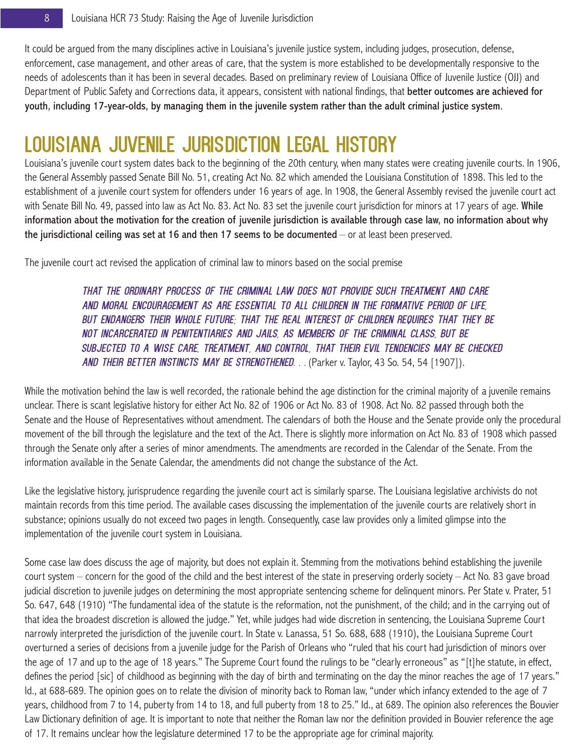It could be argued from the many disciplines active in Louisiana's juvenile justice system, including judges, prosecution, defense, enforcement, case management, and other areas of care, that the system is more established to be developmentally responsive to the needs of adolescents than it has been in several decades. Based on preliminary review of Louisiana Office of Juvenile Justice (OJJ) and Department of Public Safety and Corrections data, it appears, consistent with national findings, that better outcomes are achieved for youth, including 17-year-olds, by managing them in the juvenile system rather than the adult criminal justice system.

# Louisiana Juvenile Jurisdiction Legal History

Louisiana's juvenile court system dates back to the beginning of the 20th century, when many states were creating juvenile courts. In 1906, the General Assembly passed Senate Bill No. 51, creating Act No. 82 which amended the Louisiana Constitution of 1898. This led to the establishment of a juvenile court system for offenders under 16 years of age. In 1908, the General Assembly revised the juvenile court act with Senate Bill No. 49, passed into law as Act No. 83. Act No. 83 set the juvenile court jurisdiction for minors at 17 years of age. While information about the motivation for the creation of juvenile jurisdiction is available through case law, no information about why the jurisdictional ceiling was set at 16 and then 17 seems to be documented – or at least been preserved.

The juvenile court act revised the application of criminal law to minors based on the social premise

*that the ordinary process of the criminal law does not provide such treatment and care and moral encouragement as are essential to all children in the formative period of life, but endangers their whole future; that the real interest of children requires that they be not incarcerated in penitentiaries and jails, as members of the criminal class, but be subjected to a wise care, treatment, and control, that their evil tendencies may be checked and their better instincts may be strengthened. . .* (Parker v. Taylor, 43 So. 54, 54 [1907]).

While the motivation behind the law is well recorded, the rationale behind the age distinction for the criminal majority of a juvenile remains unclear. There is scant legislative history for either Act No. 82 of 1906 or Act No. 83 of 1908. Act No. 82 passed through both the Senate and the House of Representatives without amendment. The calendars of both the House and the Senate provide only the procedural movement of the bill through the legislature and the text of the Act. There is slightly more information on Act No. 83 of 1908 which passed through the Senate only after a series of minor amendments. The amendments are recorded in the Calendar of the Senate. From the information available in the Senate Calendar, the amendments did not change the substance of the Act.

Like the legislative history, jurisprudence regarding the juvenile court act is similarly sparse. The Louisiana legislative archivists do not maintain records from this time period. The available cases discussing the implementation of the juvenile courts are relatively short in substance; opinions usually do not exceed two pages in length. Consequently, case law provides only a limited glimpse into the implementation of the juvenile court system in Louisiana.

Some case law does discuss the age of majority, but does not explain it. Stemming from the motivations behind establishing the juvenile court system – concern for the good of the child and the best interest of the state in preserving orderly society – Act No. 83 gave broad judicial discretion to juvenile judges on determining the most appropriate sentencing scheme for delinquent minors. Per State v. Prater, 51 So. 647, 648 (1910) "The fundamental idea of the statute is the reformation, not the punishment, of the child; and in the carrying out of that idea the broadest discretion is allowed the judge." Yet, while judges had wide discretion in sentencing, the Louisiana Supreme Court narrowly interpreted the jurisdiction of the juvenile court. In State v. Lanassa, 51 So. 688, 688 (1910), the Louisiana Supreme Court overturned a series of decisions from a juvenile judge for the Parish of Orleans who "ruled that his court had jurisdiction of minors over the age of 17 and up to the age of 18 years." The Supreme Court found the rulings to be "clearly erroneous" as "[t]he statute, in effect, defines the period [sic] of childhood as beginning with the day of birth and terminating on the day the minor reaches the age of 17 years." Id., at 688-689. The opinion goes on to relate the division of minority back to Roman law, "under which infancy extended to the age of 7 years, childhood from 7 to 14, puberty from 14 to 18, and full puberty from 18 to 25." Id., at 689. The opinion also references the Bouvier Law Dictionary definition of age. It is important to note that neither the Roman law nor the definition provided in Bouvier reference the age of 17. It remains unclear how the legislature determined 17 to be the appropriate age for criminal majority.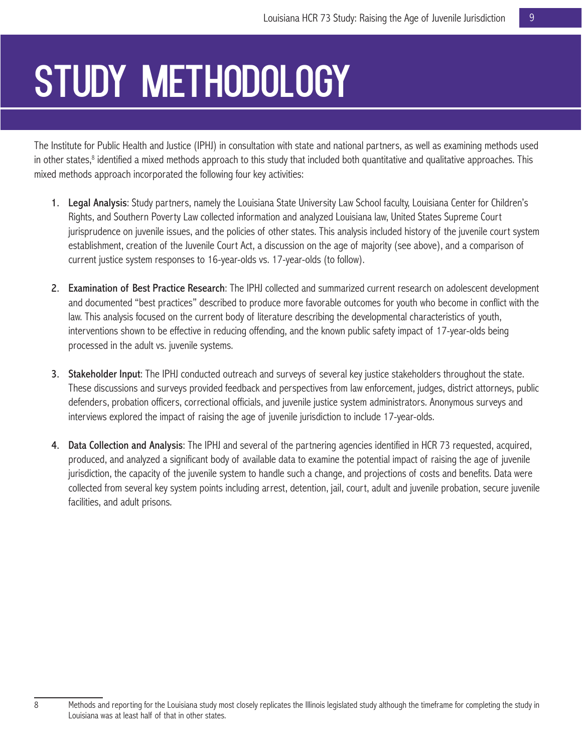# STUDY METHODOLOGY

The Institute for Public Health and Justice (IPHJ) in consultation with state and national partners, as well as examining methods used in other states,<sup>8</sup> identified a mixed methods approach to this study that included both quantitative and qualitative approaches. This mixed methods approach incorporated the following four key activities:

- 1. Legal Analysis: Study partners, namely the Louisiana State University Law School faculty, Louisiana Center for Children's Rights, and Southern Poverty Law collected information and analyzed Louisiana law, United States Supreme Court jurisprudence on juvenile issues, and the policies of other states. This analysis included history of the juvenile court system establishment, creation of the Juvenile Court Act, a discussion on the age of majority (see above), and a comparison of current justice system responses to 16-year-olds vs. 17-year-olds (to follow).
- 2. Examination of Best Practice Research: The IPHJ collected and summarized current research on adolescent development and documented "best practices" described to produce more favorable outcomes for youth who become in conflict with the law. This analysis focused on the current body of literature describing the developmental characteristics of youth, interventions shown to be effective in reducing offending, and the known public safety impact of 17-year-olds being processed in the adult vs. juvenile systems.
- 3. Stakeholder Input: The IPHJ conducted outreach and surveys of several key justice stakeholders throughout the state. These discussions and surveys provided feedback and perspectives from law enforcement, judges, district attorneys, public defenders, probation officers, correctional officials, and juvenile justice system administrators. Anonymous surveys and interviews explored the impact of raising the age of juvenile jurisdiction to include 17-year-olds.
- 4. Data Collection and Analysis: The IPHJ and several of the partnering agencies identified in HCR 73 requested, acquired, produced, and analyzed a significant body of available data to examine the potential impact of raising the age of juvenile jurisdiction, the capacity of the juvenile system to handle such a change, and projections of costs and benefits. Data were collected from several key system points including arrest, detention, jail, court, adult and juvenile probation, secure juvenile facilities, and adult prisons.

<sup>8</sup> Methods and reporting for the Louisiana study most closely replicates the Illinois legislated study although the timeframe for completing the study in Louisiana was at least half of that in other states.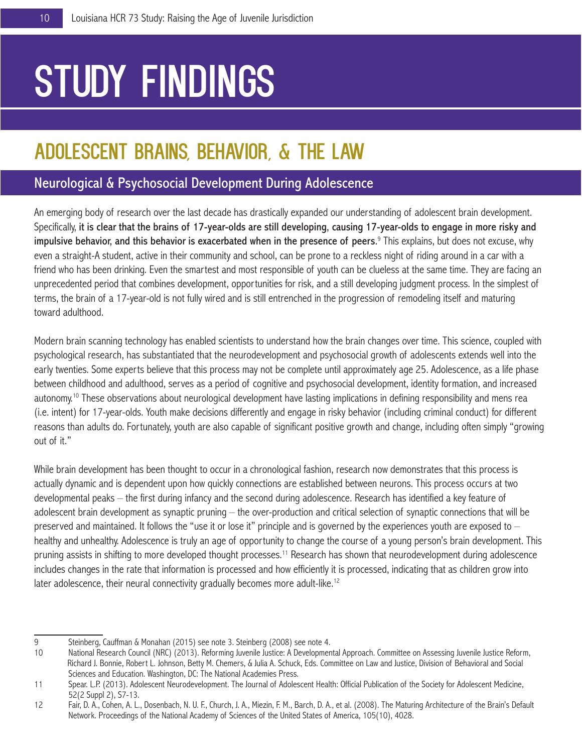# STUDY FINDINGS

# ADOLESCENT BRAINS, BEHAVIOR, & THE LAW

# Neurological & Psychosocial Development During Adolescence

An emerging body of research over the last decade has drastically expanded our understanding of adolescent brain development. Specifically, it is clear that the brains of 17-year-olds are still developing, causing 17-year-olds to engage in more risky and impulsive behavior, and this behavior is exacerbated when in the presence of peers.<sup>9</sup> This explains, but does not excuse, why even a straight-A student, active in their community and school, can be prone to a reckless night of riding around in a car with a friend who has been drinking. Even the smartest and most responsible of youth can be clueless at the same time. They are facing an unprecedented period that combines development, opportunities for risk, and a still developing judgment process. In the simplest of terms, the brain of a 17-year-old is not fully wired and is still entrenched in the progression of remodeling itself and maturing toward adulthood.

Modern brain scanning technology has enabled scientists to understand how the brain changes over time. This science, coupled with psychological research, has substantiated that the neurodevelopment and psychosocial growth of adolescents extends well into the early twenties. Some experts believe that this process may not be complete until approximately age 25. Adolescence, as a life phase between childhood and adulthood, serves as a period of cognitive and psychosocial development, identity formation, and increased autonomy.10 These observations about neurological development have lasting implications in defining responsibility and mens rea (i.e. intent) for 17-year-olds. Youth make decisions differently and engage in risky behavior (including criminal conduct) for different reasons than adults do. Fortunately, youth are also capable of significant positive growth and change, including often simply "growing out of it."

While brain development has been thought to occur in a chronological fashion, research now demonstrates that this process is actually dynamic and is dependent upon how quickly connections are established between neurons. This process occurs at two developmental peaks – the first during infancy and the second during adolescence. Research has identified a key feature of adolescent brain development as synaptic pruning – the over-production and critical selection of synaptic connections that will be preserved and maintained. It follows the "use it or lose it" principle and is governed by the experiences youth are exposed to – healthy and unhealthy. Adolescence is truly an age of opportunity to change the course of a young person's brain development. This pruning assists in shifting to more developed thought processes.11 Research has shown that neurodevelopment during adolescence includes changes in the rate that information is processed and how efficiently it is processed, indicating that as children grow into later adolescence, their neural connectivity gradually becomes more adult-like.<sup>12</sup>

<sup>9</sup> Steinberg, Cauffman & Monahan (2015) see note 3. Steinberg (2008) see note 4.

<sup>10</sup> National Research Council (NRC) (2013). Reforming Juvenile Justice: A Developmental Approach. Committee on Assessing Juvenile Justice Reform, Richard J. Bonnie, Robert L. Johnson, Betty M. Chemers, & Julia A. Schuck, Eds. Committee on Law and Justice, Division of Behavioral and Social Sciences and Education. Washington, DC: The National Academies Press.

<sup>11</sup> Spear. L.P. (2013). Adolescent Neurodevelopment. The Journal of Adolescent Health: Official Publication of the Society for Adolescent Medicine, 52(2 Suppl 2), S7-13.

<sup>12</sup> Fair, D. A., Cohen, A. L., Dosenbach, N. U. F., Church, J. A., Miezin, F. M., Barch, D. A., et al. (2008). The Maturing Architecture of the Brain's Default Network. Proceedings of the National Academy of Sciences of the United States of America, 105(10), 4028.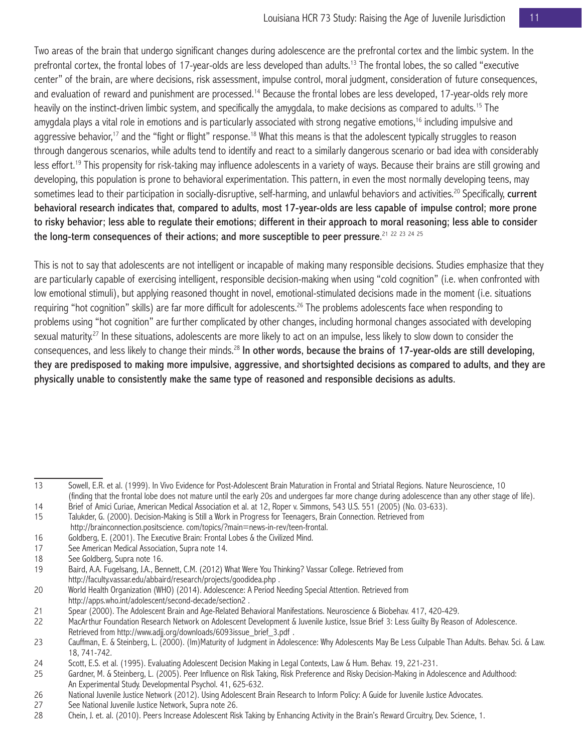Two areas of the brain that undergo significant changes during adolescence are the prefrontal cortex and the limbic system. In the prefrontal cortex, the frontal lobes of 17-year-olds are less developed than adults.<sup>13</sup> The frontal lobes, the so called "executive center" of the brain, are where decisions, risk assessment, impulse control, moral judgment, consideration of future consequences, and evaluation of reward and punishment are processed.<sup>14</sup> Because the frontal lobes are less developed, 17-year-olds rely more heavily on the instinct-driven limbic system, and specifically the amygdala, to make decisions as compared to adults.15 The amygdala plays a vital role in emotions and is particularly associated with strong negative emotions,<sup>16</sup> including impulsive and aggressive behavior,<sup>17</sup> and the "fight or flight" response.<sup>18</sup> What this means is that the adolescent typically struggles to reason through dangerous scenarios, while adults tend to identify and react to a similarly dangerous scenario or bad idea with considerably less effort.19 This propensity for risk-taking may influence adolescents in a variety of ways. Because their brains are still growing and developing, this population is prone to behavioral experimentation. This pattern, in even the most normally developing teens, may sometimes lead to their participation in socially-disruptive, self-harming, and unlawful behaviors and activities.<sup>20</sup> Specifically, current behavioral research indicates that, compared to adults, most 17-year-olds are less capable of impulse control; more prone to risky behavior; less able to regulate their emotions; different in their approach to moral reasoning; less able to consider the long-term consequences of their actions; and more susceptible to peer pressure. $^{21\,\,22\,\,23\,\,24\,\,25}$ 

This is not to say that adolescents are not intelligent or incapable of making many responsible decisions. Studies emphasize that they are particularly capable of exercising intelligent, responsible decision-making when using "cold cognition" (i.e. when confronted with low emotional stimuli), but applying reasoned thought in novel, emotional-stimulated decisions made in the moment (i.e. situations requiring "hot cognition" skills) are far more difficult for adolescents.<sup>26</sup> The problems adolescents face when responding to problems using "hot cognition" are further complicated by other changes, including hormonal changes associated with developing sexual maturity.<sup>27</sup> In these situations, adolescents are more likely to act on an impulse, less likely to slow down to consider the consequences, and less likely to change their minds.28 In other words, because the brains of 17-year-olds are still developing, they are predisposed to making more impulsive, aggressive, and shortsighted decisions as compared to adults, and they are physically unable to consistently make the same type of reasoned and responsible decisions as adults.

<sup>13</sup> Sowell, E.R. et al. (1999). In Vivo Evidence for Post-Adolescent Brain Maturation in Frontal and Striatal Regions. Nature Neuroscience, 10 (finding that the frontal lobe does not mature until the early 20s and undergoes far more change during adolescence than any other stage of life).

<sup>14</sup> Brief of Amici Curiae, American Medical Association et al. at 12, Roper v. Simmons, 543 U.S. 551 (2005) (No. 03-633).

<sup>15</sup> Talukder, G. (2000). Decision-Making is Still a Work in Progress for Teenagers, Brain Connection. Retrieved from http://brainconnection.positscience. com/topics/?main=news-in-rev/teen-frontal.

<sup>16</sup> Goldberg, E. (2001). The Executive Brain: Frontal Lobes & the Civilized Mind.

<sup>17</sup> See American Medical Association, Supra note 14.

<sup>18</sup> See Goldberg, Supra note 16.

<sup>19</sup> Baird, A.A. Fugelsang, J.A., Bennett, C.M. (2012) What Were You Thinking? Vassar College. Retrieved from http://faculty.vassar.edu/abbaird/research/projects/goodidea.php .

<sup>20</sup> World Health Organization (WHO) (2014). Adolescence: A Period Needing Special Attention. Retrieved from http://apps.who.int/adolescent/second-decade/section2 .

<sup>21</sup> Spear (2000). The Adolescent Brain and Age-Related Behavioral Manifestations. Neuroscience & Biobehav. 417, 420-429.

<sup>22</sup> MacArthur Foundation Research Network on Adolescent Development & Juvenile Justice, Issue Brief 3: Less Guilty By Reason of Adolescence. Retrieved from http://www.adjj.org/downloads/6093issue\_brief\_3.pdf .

<sup>23</sup> Cauffman, E. & Steinberg, L. (2000). (Im)Maturity of Judgment in Adolescence: Why Adolescents May Be Less Culpable Than Adults. Behav. Sci. & Law. 18, 741-742.

<sup>24</sup> Scott, E.S. et al. (1995). Evaluating Adolescent Decision Making in Legal Contexts, Law & Hum. Behav. 19, 221-231.

<sup>25</sup> Gardner, M. & Steinberg, L. (2005). Peer Influence on Risk Taking, Risk Preference and Risky Decision-Making in Adolescence and Adulthood: An Experimental Study. Developmental Psychol. 41, 625-632.

<sup>26</sup> National Juvenile Justice Network (2012). Using Adolescent Brain Research to Inform Policy: A Guide for Juvenile Justice Advocates.

<sup>27</sup> See National Juvenile Justice Network, Supra note 26.<br>28 Chein. J. et. al. (2010). Peers Increase Adolescent Ris

<sup>28</sup> Chein, J. et. al. (2010). Peers Increase Adolescent Risk Taking by Enhancing Activity in the Brain's Reward Circuitry, Dev. Science, 1.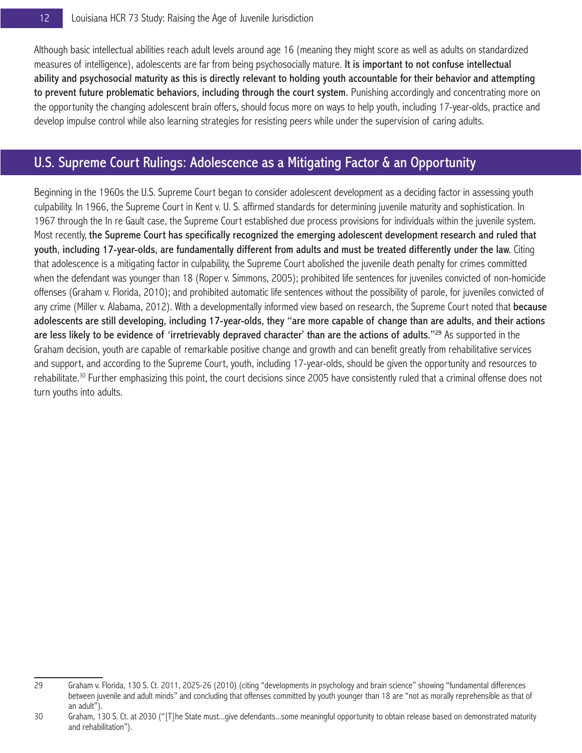Although basic intellectual abilities reach adult levels around age 16 (meaning they might score as well as adults on standardized measures of intelligence), adolescents are far from being psychosocially mature. It is important to not confuse intellectual ability and psychosocial maturity as this is directly relevant to holding youth accountable for their behavior and attempting to prevent future problematic behaviors, including through the court system. Punishing accordingly and concentrating more on the opportunity the changing adolescent brain offers, should focus more on ways to help youth, including 17-year-olds, practice and develop impulse control while also learning strategies for resisting peers while under the supervision of caring adults.

# U.S. Supreme Court Rulings: Adolescence as a Mitigating Factor & an Opportunity

Beginning in the 1960s the U.S. Supreme Court began to consider adolescent development as a deciding factor in assessing youth culpability. In 1966, the Supreme Court in Kent v. U. S. affirmed standards for determining juvenile maturity and sophistication. In 1967 through the In re Gault case, the Supreme Court established due process provisions for individuals within the juvenile system. Most recently, the Supreme Court has specifically recognized the emerging adolescent development research and ruled that youth, including 17-year-olds, are fundamentally different from adults and must be treated differently under the law. Citing that adolescence is a mitigating factor in culpability, the Supreme Court abolished the juvenile death penalty for crimes committed when the defendant was younger than 18 (Roper v. Simmons, 2005); prohibited life sentences for juveniles convicted of non-homicide offenses (Graham v. Florida, 2010); and prohibited automatic life sentences without the possibility of parole, for juveniles convicted of any crime (Miller v. Alabama, 2012). With a developmentally informed view based on research, the Supreme Court noted that because adolescents are still developing, including 17-year-olds, they "are more capable of change than are adults, and their actions are less likely to be evidence of 'irretrievably depraved character' than are the actions of adults."<sup>29</sup> As supported in the Graham decision, youth are capable of remarkable positive change and growth and can benefit greatly from rehabilitative services and support, and according to the Supreme Court, youth, including 17-year-olds, should be given the opportunity and resources to rehabilitate.30 Further emphasizing this point, the court decisions since 2005 have consistently ruled that a criminal offense does not turn youths into adults.

<sup>29</sup> Graham v. Florida, 130 S. Ct. 2011, 2025-26 (2010) (citing "developments in psychology and brain science" showing "fundamental differences between juvenile and adult minds" and concluding that offenses committed by youth younger than 18 are "not as morally reprehensible as that of an adult").

<sup>30</sup> Graham, 130 S. Ct. at 2030 ("[T]he State must...give defendants...some meaningful opportunity to obtain release based on demonstrated maturity and rehabilitation").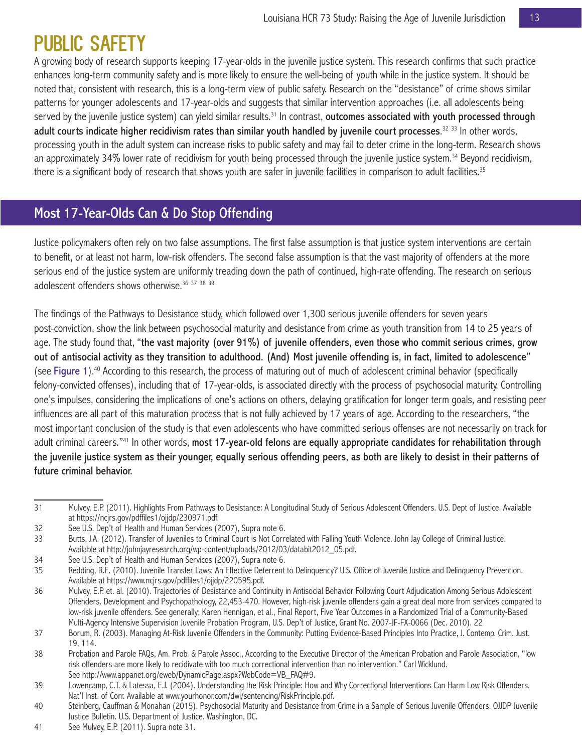# PUBLIC SAFETY

A growing body of research supports keeping 17-year-olds in the juvenile justice system. This research confirms that such practice enhances long-term community safety and is more likely to ensure the well-being of youth while in the justice system. It should be noted that, consistent with research, this is a long-term view of public safety. Research on the "desistance" of crime shows similar patterns for younger adolescents and 17-year-olds and suggests that similar intervention approaches (i.e. all adolescents being served by the juvenile justice system) can yield similar results.<sup>31</sup> In contrast, outcomes associated with youth processed through adult courts indicate higher recidivism rates than similar youth handled by juvenile court processes.<sup>32 33</sup> In other words, processing youth in the adult system can increase risks to public safety and may fail to deter crime in the long-term. Research shows an approximately 34% lower rate of recidivism for youth being processed through the juvenile justice system.<sup>34</sup> Beyond recidivism, there is a significant body of research that shows youth are safer in juvenile facilities in comparison to adult facilities.<sup>35</sup>

# Most 17-Year-Olds Can & Do Stop Offending

Justice policymakers often rely on two false assumptions. The first false assumption is that justice system interventions are certain to benefit, or at least not harm, low-risk offenders. The second false assumption is that the vast majority of offenders at the more serious end of the justice system are uniformly treading down the path of continued, high-rate offending. The research on serious adolescent offenders shows otherwise.<sup>36 37 38 39</sup>

The findings of the Pathways to Desistance study, which followed over 1,300 serious juvenile offenders for seven years post-conviction, show the link between psychosocial maturity and desistance from crime as youth transition from 14 to 25 years of age. The study found that, "the vast majority (over 91%) of juvenile offenders, even those who commit serious crimes, grow out of antisocial activity as they transition to adulthood. (And) Most juvenile offending is, in fact, limited to adolescence" (see Figure 1).<sup>40</sup> According to this research, the process of maturing out of much of adolescent criminal behavior (specifically felony-convicted offenses), including that of 17-year-olds, is associated directly with the process of psychosocial maturity. Controlling one's impulses, considering the implications of one's actions on others, delaying gratification for longer term goals, and resisting peer influences are all part of this maturation process that is not fully achieved by 17 years of age. According to the researchers, "the most important conclusion of the study is that even adolescents who have committed serious offenses are not necessarily on track for adult criminal careers."<sup>41</sup> In other words, most 17-year-old felons are equally appropriate candidates for rehabilitation through the juvenile justice system as their younger, equally serious offending peers, as both are likely to desist in their patterns of future criminal behavior.

<sup>31</sup> Mulvey, E.P. (2011). Highlights From Pathways to Desistance: A Longitudinal Study of Serious Adolescent Offenders. U.S. Dept of Justice. Available at https://ncjrs.gov/pdffiles1/ojjdp/230971.pdf.

<sup>32</sup> See U.S. Dep't of Health and Human Services (2007), Supra note 6.

<sup>33</sup> Butts, J.A. (2012). Transfer of Juveniles to Criminal Court is Not Correlated with Falling Youth Violence. John Jay College of Criminal Justice. Available at http://johnjayresearch.org/wp-content/uploads/2012/03/databit2012\_05.pdf.

<sup>34</sup> See U.S. Dep't of Health and Human Services (2007), Supra note 6.

<sup>35</sup> Redding, R.E. (2010). Juvenile Transfer Laws: An Effective Deterrent to Delinquency? U.S. Office of Juvenile Justice and Delinquency Prevention. Available at https://www.ncjrs.gov/pdffiles1/ojjdp/220595.pdf.

<sup>36</sup> Mulvey, E.P. et. al. (2010). Trajectories of Desistance and Continuity in Antisocial Behavior Following Court Adjudication Among Serious Adolescent Offenders. Development and Psychopathology, 22,453-470. However, high-risk juvenile offenders gain a great deal more from services compared to low-risk juvenile offenders. See generally; Karen Hennigan, et al., Final Report, Five Year Outcomes in a Randomized Trial of a Community-Based Multi-Agency Intensive Supervision Juvenile Probation Program, U.S. Dep't of Justice, Grant No. 2007-JF-FX-0066 (Dec. 2010). 22

<sup>37</sup> Borum, R. (2003). Managing At-Risk Juvenile Offenders in the Community: Putting Evidence-Based Principles Into Practice, J. Contemp. Crim. Just. 19, 114.

<sup>38</sup> Probation and Parole FAQs, Am. Prob. & Parole Assoc., According to the Executive Director of the American Probation and Parole Association, "low risk offenders are more likely to recidivate with too much correctional intervention than no intervention." Carl Wicklund. See http://www.appanet.org/eweb/DynamicPage.aspx?WebCode=VB\_FAQ#9.

<sup>39</sup> Lowencamp, C.T. & Latessa, E.J. (2004). Understanding the Risk Principle: How and Why Correctional Interventions Can Harm Low Risk Offenders. Nat'l Inst. of Corr. Available at www.yourhonor.com/dwi/sentencing/RiskPrinciple.pdf.

<sup>40</sup> Steinberg, Cauffman & Monahan (2015). Psychosocial Maturity and Desistance from Crime in a Sample of Serious Juvenile Offenders. OJJDP Juvenile Justice Bulletin. U.S. Department of Justice. Washington, DC.

<sup>41</sup> See Mulvey, E.P. (2011). Supra note 31.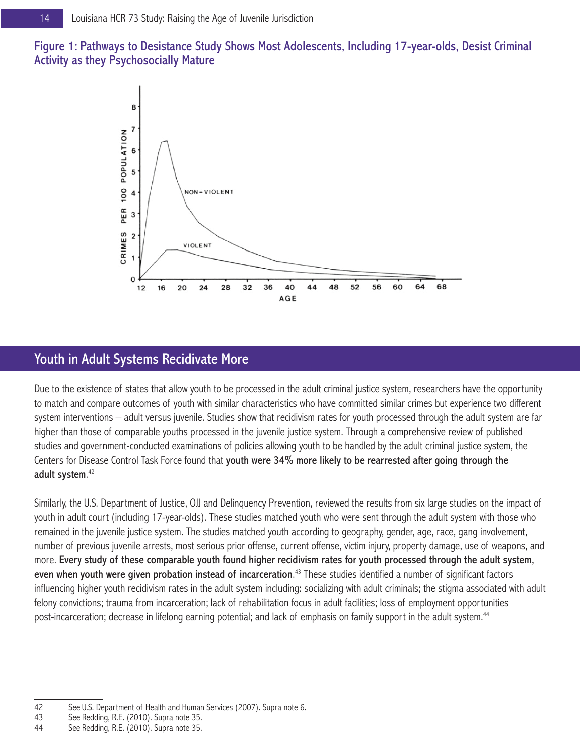Figure 1: Pathways to Desistance Study Shows Most Adolescents, Including 17-year-olds, Desist Criminal Activity as they Psychosocially Mature



# Youth in Adult Systems Recidivate More

Due to the existence of states that allow youth to be processed in the adult criminal justice system, researchers have the opportunity to match and compare outcomes of youth with similar characteristics who have committed similar crimes but experience two different system interventions – adult versus juvenile. Studies show that recidivism rates for youth processed through the adult system are far higher than those of comparable youths processed in the juvenile justice system. Through a comprehensive review of published studies and government-conducted examinations of policies allowing youth to be handled by the adult criminal justice system, the Centers for Disease Control Task Force found that youth were 34% more likely to be rearrested after going through the adult system. 42

Similarly, the U.S. Department of Justice, OJJ and Delinquency Prevention, reviewed the results from six large studies on the impact of youth in adult court (including 17-year-olds). These studies matched youth who were sent through the adult system with those who remained in the juvenile justice system. The studies matched youth according to geography, gender, age, race, gang involvement, number of previous juvenile arrests, most serious prior offense, current offense, victim injury, property damage, use of weapons, and more. Every study of these comparable youth found higher recidivism rates for youth processed through the adult system, even when youth were given probation instead of incarceration.<sup>43</sup> These studies identified a number of significant factors influencing higher youth recidivism rates in the adult system including: socializing with adult criminals; the stigma associated with adult felony convictions; trauma from incarceration; lack of rehabilitation focus in adult facilities; loss of employment opportunities post-incarceration; decrease in lifelong earning potential; and lack of emphasis on family support in the adult system.<sup>44</sup>

<sup>42</sup> See U.S. Department of Health and Human Services (2007). Supra note 6.

<sup>43</sup> See Redding, R.E. (2010). Supra note 35.

<sup>44</sup> See Redding, R.E. (2010). Supra note 35.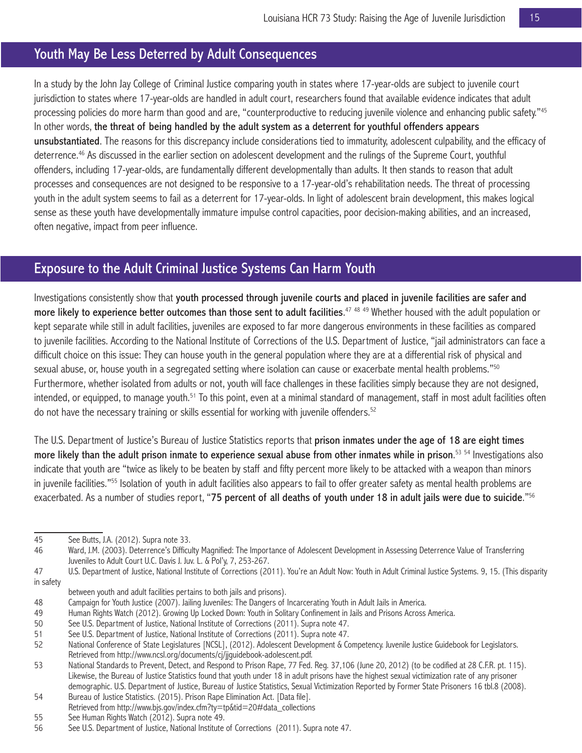## Youth May Be Less Deterred by Adult Consequences

In a study by the John Jay College of Criminal Justice comparing youth in states where 17-year-olds are subject to juvenile court jurisdiction to states where 17-year-olds are handled in adult court, researchers found that available evidence indicates that adult processing policies do more harm than good and are, "counterproductive to reducing juvenile violence and enhancing public safety."<sup>45</sup> In other words, the threat of being handled by the adult system as a deterrent for youthful offenders appears unsubstantiated. The reasons for this discrepancy include considerations tied to immaturity, adolescent culpability, and the efficacy of deterrence.46 As discussed in the earlier section on adolescent development and the rulings of the Supreme Court, youthful offenders, including 17-year-olds, are fundamentally different developmentally than adults. It then stands to reason that adult processes and consequences are not designed to be responsive to a 17-year-old's rehabilitation needs. The threat of processing youth in the adult system seems to fail as a deterrent for 17-year-olds. In light of adolescent brain development, this makes logical sense as these youth have developmentally immature impulse control capacities, poor decision-making abilities, and an increased, often negative, impact from peer influence.

# Exposure to the Adult Criminal Justice Systems Can Harm Youth

Investigations consistently show that youth processed through juvenile courts and placed in juvenile facilities are safer and more likely to experience better outcomes than those sent to adult facilities.<sup>47 48 49</sup> Whether housed with the adult population or kept separate while still in adult facilities, juveniles are exposed to far more dangerous environments in these facilities as compared to juvenile facilities. According to the National Institute of Corrections of the U.S. Department of Justice, "jail administrators can face a difficult choice on this issue: They can house youth in the general population where they are at a differential risk of physical and sexual abuse, or, house youth in a segregated setting where isolation can cause or exacerbate mental health problems."<sup>50</sup> Furthermore, whether isolated from adults or not, youth will face challenges in these facilities simply because they are not designed, intended, or equipped, to manage youth.<sup>51</sup> To this point, even at a minimal standard of management, staff in most adult facilities often do not have the necessary training or skills essential for working with juvenile offenders.<sup>52</sup>

The U.S. Department of Justice's Bureau of Justice Statistics reports that prison inmates under the age of 18 are eight times more likely than the adult prison inmate to experience sexual abuse from other inmates while in prison.<sup>53 54</sup> Investigations also indicate that youth are "twice as likely to be beaten by staff and fifty percent more likely to be attacked with a weapon than minors in juvenile facilities."<sup>55</sup> Isolation of youth in adult facilities also appears to fail to offer greater safety as mental health problems are exacerbated. As a number of studies report, "75 percent of all deaths of youth under 18 in adult jails were due to suicide."<sup>56</sup>

<sup>45</sup> See Butts, J.A. (2012). Supra note 33.

<sup>46</sup> Ward, J.M. (2003). Deterrence's Difficulty Magnified: The Importance of Adolescent Development in Assessing Deterrence Value of Transferring Juveniles to Adult Court U.C. Davis J. Juv. L. & Pol'y, 7, 253-267.

<sup>47</sup> U.S. Department of Justice, National Institute of Corrections (2011). You're an Adult Now: Youth in Adult Criminal Justice Systems. 9, 15. (This disparity in safety

between youth and adult facilities pertains to both jails and prisons).

<sup>48</sup> Campaign for Youth Justice (2007). Jailing Juveniles: The Dangers of Incarcerating Youth in Adult Jails in America.

<sup>49</sup> Human Rights Watch (2012). Growing Up Locked Down: Youth in Solitary Confinement in Jails and Prisons Across America.

<sup>50</sup> See U.S. Department of Justice, National Institute of Corrections (2011). Supra note 47.

<sup>51</sup> See U.S. Department of Justice, National Institute of Corrections (2011). Supra note 47.

<sup>52</sup> National Conference of State Legislatures [NCSL], (2012). Adolescent Development & Competency. Juvenile Justice Guidebook for Legislators. Retrieved from http://www.ncsl.org/documents/cj/jjguidebook-adolescent.pdf.

<sup>53</sup> National Standards to Prevent, Detect, and Respond to Prison Rape, 77 Fed. Reg. 37,106 (June 20, 2012) (to be codified at 28 C.F.R. pt. 115). Likewise, the Bureau of Justice Statistics found that youth under 18 in adult prisons have the highest sexual victimization rate of any prisoner demographic. U.S. Department of Justice, Bureau of Justice Statistics, Sexual Victimization Reported by Former State Prisoners 16 tbl.8 (2008).

<sup>54</sup> Bureau of Justice Statistics. (2015). Prison Rape Elimination Act. [Data file].

Retrieved from http://www.bjs.gov/index.cfm?ty=tp&tid=20#data\_collections

<sup>55</sup> See Human Rights Watch (2012). Supra note 49.

<sup>56</sup> See U.S. Department of Justice, National Institute of Corrections (2011). Supra note 47.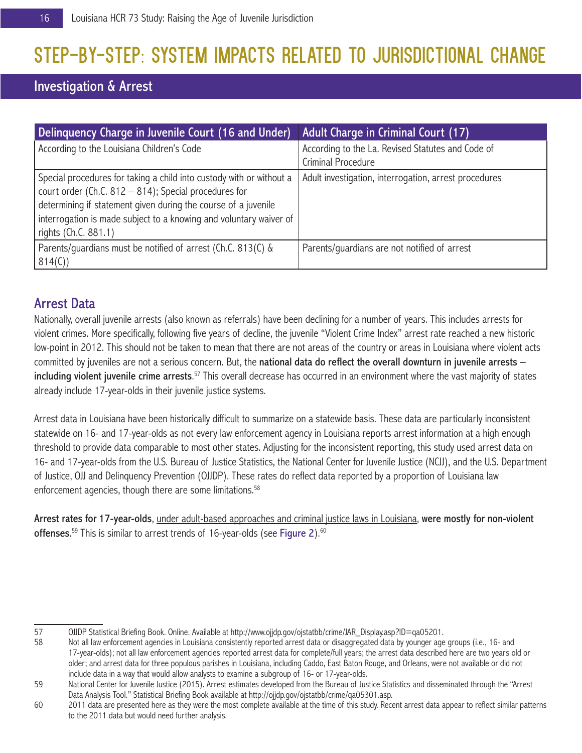# STEP-BY-STEP: SYSTEM IMPACTS RELATED TO JURISDICTIONAL CHANGE

# Investigation & Arrest

| Delinguency Charge in Juvenile Court (16 and Under)                                                                                                                                                                                                                                              | <b>Adult Charge in Criminal Court (17)</b>                              |
|--------------------------------------------------------------------------------------------------------------------------------------------------------------------------------------------------------------------------------------------------------------------------------------------------|-------------------------------------------------------------------------|
| According to the Louisiana Children's Code                                                                                                                                                                                                                                                       | According to the La. Revised Statutes and Code of<br>Criminal Procedure |
| Special procedures for taking a child into custody with or without a<br>court order (Ch.C. $812 - 814$ ); Special procedures for<br>determining if statement given during the course of a juvenile<br>interrogation is made subject to a knowing and voluntary waiver of<br>rights (Ch.C. 881.1) | Adult investigation, interrogation, arrest procedures                   |
| Parents/quardians must be notified of arrest (Ch.C. 813(C) &<br>814(C)                                                                                                                                                                                                                           | Parents/quardians are not notified of arrest                            |

# Arrest Data

Nationally, overall juvenile arrests (also known as referrals) have been declining for a number of years. This includes arrests for violent crimes. More specifically, following five years of decline, the juvenile "Violent Crime Index" arrest rate reached a new historic low-point in 2012. This should not be taken to mean that there are not areas of the country or areas in Louisiana where violent acts committed by juveniles are not a serious concern. But, the national data do reflect the overall downturn in juvenile arrests including violent juvenile crime arrests.<sup>57</sup> This overall decrease has occurred in an environment where the vast majority of states already include 17-year-olds in their juvenile justice systems.

Arrest data in Louisiana have been historically difficult to summarize on a statewide basis. These data are particularly inconsistent statewide on 16- and 17-year-olds as not every law enforcement agency in Louisiana reports arrest information at a high enough threshold to provide data comparable to most other states. Adjusting for the inconsistent reporting, this study used arrest data on 16- and 17-year-olds from the U.S. Bureau of Justice Statistics, the National Center for Juvenile Justice (NCJJ), and the U.S. Department of Justice, OJJ and Delinquency Prevention (OJJDP). These rates do reflect data reported by a proportion of Louisiana law enforcement agencies, though there are some limitations.<sup>58</sup>

Arrest rates for 17-year-olds, under adult-based approaches and criminal justice laws in Louisiana, were mostly for non-violent **offenses.** $^{59}$  This is similar to arrest trends of 16-year-olds (see **Figure 2**). $^{60}$ 

<sup>57</sup> OJJDP Statistical Briefing Book. Online. Available at http://www.ojjdp.gov/ojstatbb/crime/JAR\_Display.asp?ID=qa05201.

Not all law enforcement agencies in Louisiana consistently reported arrest data or disaggregated data by younger age groups (i.e., 16- and 17-year-olds); not all law enforcement agencies reported arrest data for complete/full years; the arrest data described here are two years old or older; and arrest data for three populous parishes in Louisiana, including Caddo, East Baton Rouge, and Orleans, were not available or did not include data in a way that would allow analysts to examine a subgroup of 16- or 17-year-olds.

<sup>59</sup> National Center for Juvenile Justice (2015). Arrest estimates developed from the Bureau of Justice Statistics and disseminated through the "Arrest Data Analysis Tool." Statistical Briefing Book available at http://ojjdp.gov/ojstatbb/crime/qa05301.asp.

<sup>60</sup> 2011 data are presented here as they were the most complete available at the time of this study. Recent arrest data appear to reflect similar patterns to the 2011 data but would need further analysis.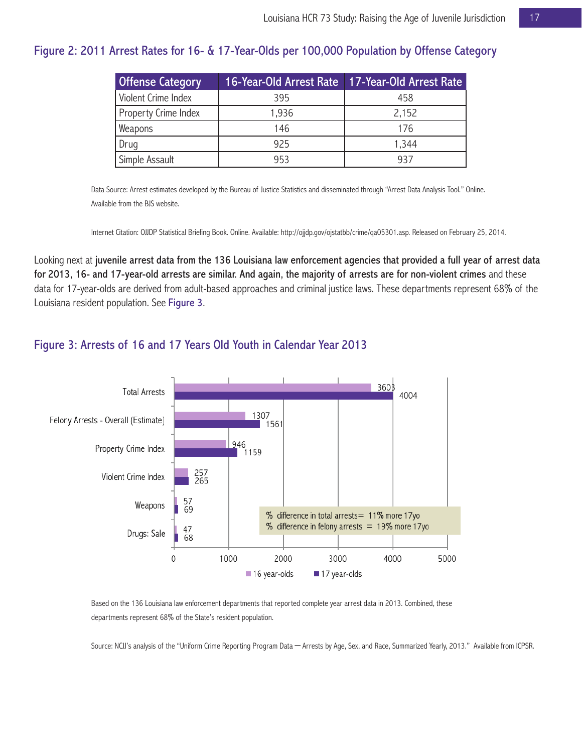#### Figure 2: 2011 Arrest Rates for 16- & 17-Year-Olds per 100,000 Population by Offense Category

| 16-Year-Old Arrest Rate 17-Year-Old Arrest Rate<br><b>Offense Category</b> |       |       |
|----------------------------------------------------------------------------|-------|-------|
| Violent Crime Index                                                        | 395   | 458   |
| Property Crime Index                                                       | 1,936 | 2,152 |
| Weapons                                                                    | 146   | 176   |
| Drug                                                                       | 925   | 1,344 |
| Simple Assault                                                             | 953   | 937   |

Data Source: Arrest estimates developed by the Bureau of Justice Statistics and disseminated through "Arrest Data Analysis Tool." Online. Available from the BJS website.

Internet Citation: OJJDP Statistical Briefing Book. Online. Available: http://ojjdp.gov/ojstatbb/crime/qa05301.asp. Released on February 25, 2014.

Looking next at juvenile arrest data from the 136 Louisiana law enforcement agencies that provided a full year of arrest data for 2013, 16- and 17-year-old arrests are similar. And again, the majority of arrests are for non-violent crimes and these data for 17-year-olds are derived from adult-based approaches and criminal justice laws. These departments represent 68% of the Louisiana resident population. See Figure 3.

### Figure 3: Arrests of 16 and 17 Years Old Youth in Calendar Year 2013



Based on the 136 Louisiana law enforcement departments that reported complete year arrest data in 2013. Combined, these departments represent 68% of the State's resident population.

Source: NCJJ's analysis of the "Uniform Crime Reporting Program Data – Arrests by Age, Sex, and Race, Summarized Yearly, 2013." Available from ICPSR.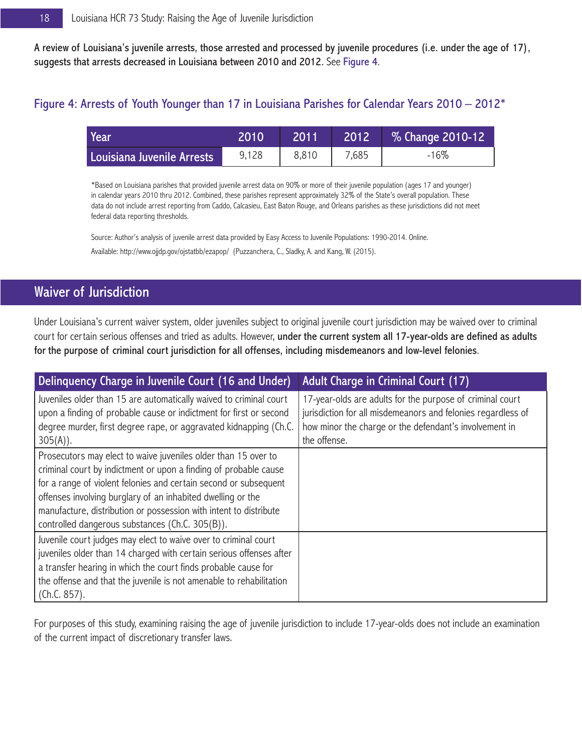A review of Louisiana's juvenile arrests, those arrested and processed by juvenile procedures (i.e. under the age of 17), suggests that arrests decreased in Louisiana between 2010 and 2012. See Figure 4.

## Figure 4: Arrests of Youth Younger than 17 in Louisiana Parishes for Calendar Years 2010 – 2012\*

| Year                       | 2010  | .2011 | 2012  | % Change 2010-12 |
|----------------------------|-------|-------|-------|------------------|
| Louisiana Juvenile Arrests | 9,128 | 8.810 | 7.685 | $-16\%$          |

\*Based on Louisiana parishes that provided juvenile arrest data on 90% or more of their juvenile population (ages 17 and younger) in calendar years 2010 thru 2012. Combined, these parishes represent approximately 32% of the State's overall population. These data do not include arrest reporting from Caddo, Calcasieu, East Baton Rouge, and Orleans parishes as these jurisdictions did not meet federal data reporting thresholds.

Source: Author's analysis of juvenile arrest data provided by Easy Access to Juvenile Populations: 1990-2014. Online. Available: http://www.ojjdp.gov/ojstatbb/ezapop/ (Puzzanchera, C., Sladky, A. and Kang, W. (2015).

# Waiver of Jurisdiction

Under Louisiana's current waiver system, older juveniles subject to original juvenile court jurisdiction may be waived over to criminal court for certain serious offenses and tried as adults. However, under the current system all 17-year-olds are defined as adults for the purpose of criminal court jurisdiction for all offenses, including misdemeanors and low-level felonies.

| Delinguency Charge in Juvenile Court (16 and Under)                                                                                                                                                                                                                                                                                                                                           | Adult Charge in Criminal Court (17)                                                                                                                                                                 |
|-----------------------------------------------------------------------------------------------------------------------------------------------------------------------------------------------------------------------------------------------------------------------------------------------------------------------------------------------------------------------------------------------|-----------------------------------------------------------------------------------------------------------------------------------------------------------------------------------------------------|
| Juveniles older than 15 are automatically waived to criminal court<br>upon a finding of probable cause or indictment for first or second<br>degree murder, first degree rape, or aggravated kidnapping (Ch.C.<br>$305(A)$ ).                                                                                                                                                                  | 17-year-olds are adults for the purpose of criminal court<br>jurisdiction for all misdemeanors and felonies regardless of<br>how minor the charge or the defendant's involvement in<br>the offense. |
| Prosecutors may elect to waive juveniles older than 15 over to<br>criminal court by indictment or upon a finding of probable cause<br>for a range of violent felonies and certain second or subsequent<br>offenses involving burglary of an inhabited dwelling or the<br>manufacture, distribution or possession with intent to distribute<br>controlled dangerous substances (Ch.C. 305(B)). |                                                                                                                                                                                                     |
| Juvenile court judges may elect to waive over to criminal court<br>juveniles older than 14 charged with certain serious offenses after<br>a transfer hearing in which the court finds probable cause for<br>the offense and that the juvenile is not amenable to rehabilitation<br>(Ch.C. 857).                                                                                               |                                                                                                                                                                                                     |

For purposes of this study, examining raising the age of juvenile jurisdiction to include 17-year-olds does not include an examination of the current impact of discretionary transfer laws.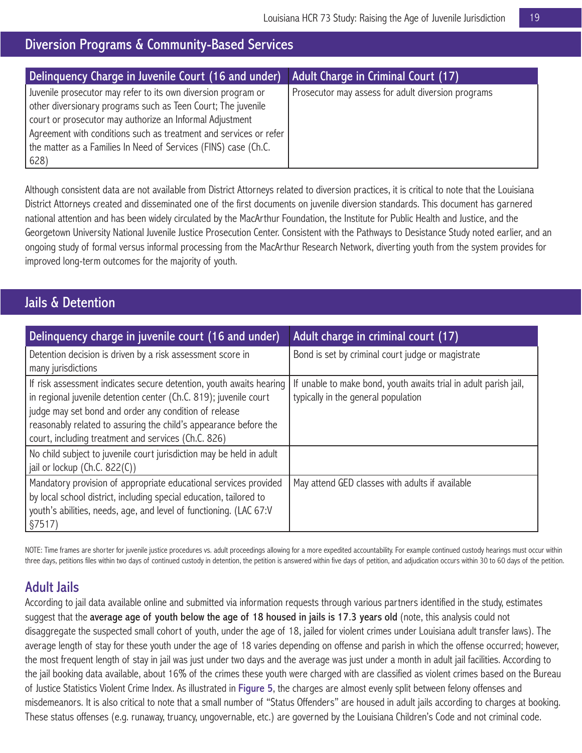# Diversion Programs & Community-Based Services

| Delinquency Charge in Juvenile Court (16 and under)                                                                                                                                                                                                                                                                                                | Adult Charge in Criminal Court (17)                |
|----------------------------------------------------------------------------------------------------------------------------------------------------------------------------------------------------------------------------------------------------------------------------------------------------------------------------------------------------|----------------------------------------------------|
| Juvenile prosecutor may refer to its own diversion program or<br>other diversionary programs such as Teen Court; The juvenile<br>court or prosecutor may authorize an Informal Adjustment<br>Agreement with conditions such as treatment and services or refer<br>the matter as a Families In Need of Services (FINS) case (Ch.C.<br>$ 628\rangle$ | Prosecutor may assess for adult diversion programs |

Although consistent data are not available from District Attorneys related to diversion practices, it is critical to note that the Louisiana District Attorneys created and disseminated one of the first documents on juvenile diversion standards. This document has garnered national attention and has been widely circulated by the MacArthur Foundation, the Institute for Public Health and Justice, and the Georgetown University National Juvenile Justice Prosecution Center. Consistent with the Pathways to Desistance Study noted earlier, and an ongoing study of formal versus informal processing from the MacArthur Research Network, diverting youth from the system provides for improved long-term outcomes for the majority of youth.

## Jails & Detention

| Delinquency charge in juvenile court (16 and under)                                                                                                                                                                                                                                                                          | Adult charge in criminal court (17)                                                                     |
|------------------------------------------------------------------------------------------------------------------------------------------------------------------------------------------------------------------------------------------------------------------------------------------------------------------------------|---------------------------------------------------------------------------------------------------------|
| Detention decision is driven by a risk assessment score in<br>many jurisdictions                                                                                                                                                                                                                                             | Bond is set by criminal court judge or magistrate                                                       |
| If risk assessment indicates secure detention, youth awaits hearing<br>in regional juvenile detention center (Ch.C. 819); juvenile court<br>judge may set bond and order any condition of release<br>reasonably related to assuring the child's appearance before the<br>court, including treatment and services (Ch.C. 826) | If unable to make bond, youth awaits trial in adult parish jail,<br>typically in the general population |
| No child subject to juvenile court jurisdiction may be held in adult<br>jail or lockup ( $Ch.C. 822(C)$ )                                                                                                                                                                                                                    |                                                                                                         |
| Mandatory provision of appropriate educational services provided<br>by local school district, including special education, tailored to<br>youth's abilities, needs, age, and level of functioning. (LAC 67:V<br>§7517)                                                                                                       | May attend GED classes with adults if available                                                         |

NOTE: Time frames are shorter for juvenile justice procedures vs. adult proceedings allowing for a more expedited accountability. For example continued custody hearings must occur within three days, petitions files within two days of continued custody in detention, the petition is answered within five days of petition, and adjudication occurs within 30 to 60 days of the petition.

## Adult Jails

According to jail data available online and submitted via information requests through various partners identified in the study, estimates suggest that the average age of youth below the age of 18 housed in jails is 17.3 years old (note, this analysis could not disaggregate the suspected small cohort of youth, under the age of 18, jailed for violent crimes under Louisiana adult transfer laws). The average length of stay for these youth under the age of 18 varies depending on offense and parish in which the offense occurred; however, the most frequent length of stay in jail was just under two days and the average was just under a month in adult jail facilities. According to the jail booking data available, about 16% of the crimes these youth were charged with are classified as violent crimes based on the Bureau of Justice Statistics Violent Crime Index. As illustrated in Figure 5, the charges are almost evenly split between felony offenses and misdemeanors. It is also critical to note that a small number of "Status Offenders" are housed in adult jails according to charges at booking. These status offenses (e.g. runaway, truancy, ungovernable, etc.) are governed by the Louisiana Children's Code and not criminal code.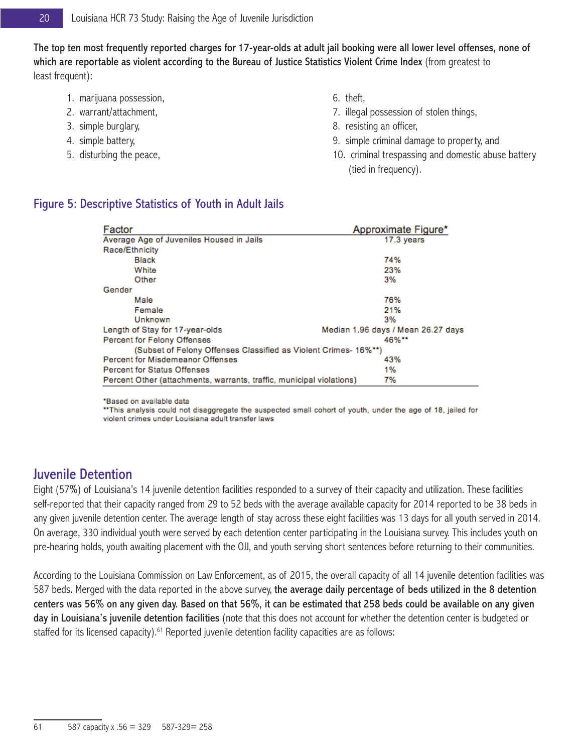The top ten most frequently reported charges for 17-year-olds at adult jail booking were all lower level offenses, none of which are reportable as violent according to the Bureau of Justice Statistics Violent Crime Index (from greatest to least frequent):

- 1. marijuana possession,
- 2. warrant/attachment,
- 3. simple burglary,
- 4. simple battery,
- 5. disturbing the peace,
- 6. theft,
- 7. illegal possession of stolen things,
- 8. resisting an officer,
- 9. simple criminal damage to property, and
- 10. criminal trespassing and domestic abuse battery (tied in frequency).

| Factor                                                               | Approximate Figure*                |
|----------------------------------------------------------------------|------------------------------------|
| Average Age of Juveniles Housed in Jails                             | 17.3 years                         |
| Race/Ethnicity                                                       |                                    |
| <b>Black</b>                                                         | 74%                                |
| White                                                                | 23%                                |
| Other                                                                | 3%                                 |
| Gender                                                               |                                    |
| Male                                                                 | 76%                                |
| Female                                                               | 21%                                |
| Unknown                                                              | 3%                                 |
| Length of Stay for 17-year-olds                                      | Median 1.96 days / Mean 26.27 days |
| <b>Percent for Felony Offenses</b>                                   | 46%**                              |
| (Subset of Felony Offenses Classified as Violent Crimes- 16%**)      |                                    |
| <b>Percent for Misdemeanor Offenses</b>                              | 43%                                |
| <b>Percent for Status Offenses</b>                                   | 1%                                 |
| Percent Other (attachments, warrants, traffic, municipal violations) | 7%                                 |

#### Figure 5: Descriptive Statistics of Youth in Adult Jails

\*Based on available data

\*\* This analysis could not disaggregate the suspected small cohort of youth, under the age of 18, jailed for violent crimes under Louisiana adult transfer laws

## Juvenile Detention

Eight (57%) of Louisiana's 14 juvenile detention facilities responded to a survey of their capacity and utilization. These facilities self-reported that their capacity ranged from 29 to 52 beds with the average available capacity for 2014 reported to be 38 beds in any given juvenile detention center. The average length of stay across these eight facilities was 13 days for all youth served in 2014. On average, 330 individual youth were served by each detention center participating in the Louisiana survey. This includes youth on pre-hearing holds, youth awaiting placement with the OJJ, and youth serving short sentences before returning to their communities.

According to the Louisiana Commission on Law Enforcement, as of 2015, the overall capacity of all 14 juvenile detention facilities was 587 beds. Merged with the data reported in the above survey, the average daily percentage of beds utilized in the 8 detention centers was 56% on any given day. Based on that 56%, it can be estimated that 258 beds could be available on any given day in Louisiana's juvenile detention facilities (note that this does not account for whether the detention center is budgeted or staffed for its licensed capacity).<sup>61</sup> Reported juvenile detention facility capacities are as follows: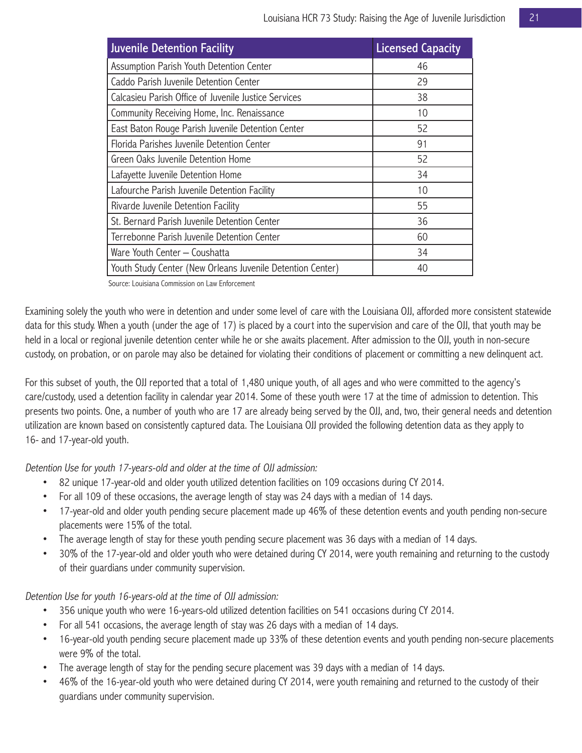| <b>Juvenile Detention Facility</b>                         | <b>Licensed Capacity</b> |
|------------------------------------------------------------|--------------------------|
| Assumption Parish Youth Detention Center                   | 46                       |
| Caddo Parish Juvenile Detention Center                     | 29                       |
| Calcasieu Parish Office of Juvenile Justice Services       | 38                       |
| Community Receiving Home, Inc. Renaissance                 | 10                       |
| East Baton Rouge Parish Juvenile Detention Center          | 52                       |
| Florida Parishes Juvenile Detention Center                 | 91                       |
| Green Oaks Juvenile Detention Home                         | 52                       |
| Lafayette Juvenile Detention Home                          | 34                       |
| Lafourche Parish Juvenile Detention Facility               | 10                       |
| Rivarde Juvenile Detention Facility                        | 55                       |
| St. Bernard Parish Juvenile Detention Center               | 36                       |
| Terrebonne Parish Juvenile Detention Center                | 60                       |
| Ware Youth Center - Coushatta                              | 34                       |
| Youth Study Center (New Orleans Juvenile Detention Center) | 40                       |

Source: Louisiana Commission on Law Enforcement

Examining solely the youth who were in detention and under some level of care with the Louisiana OJJ, afforded more consistent statewide data for this study. When a youth (under the age of 17) is placed by a court into the supervision and care of the OJJ, that youth may be held in a local or regional juvenile detention center while he or she awaits placement. After admission to the OJJ, youth in non-secure custody, on probation, or on parole may also be detained for violating their conditions of placement or committing a new delinquent act.

For this subset of youth, the OJJ reported that a total of 1,480 unique youth, of all ages and who were committed to the agency's care/custody, used a detention facility in calendar year 2014. Some of these youth were 17 at the time of admission to detention. This presents two points. One, a number of youth who are 17 are already being served by the OJJ, and, two, their general needs and detention utilization are known based on consistently captured data. The Louisiana OJJ provided the following detention data as they apply to 16- and 17-year-old youth.

Detention Use for youth 17-years-old and older at the time of OJJ admission:

- 82 unique 17-year-old and older youth utilized detention facilities on 109 occasions during CY 2014.
- For all 109 of these occasions, the average length of stay was 24 days with a median of 14 days.
- 17-year-old and older youth pending secure placement made up 46% of these detention events and youth pending non-secure placements were 15% of the total.
- The average length of stay for these youth pending secure placement was 36 days with a median of 14 days.
- 30% of the 17-year-old and older youth who were detained during CY 2014, were youth remaining and returning to the custody of their guardians under community supervision.

Detention Use for youth 16-years-old at the time of OJJ admission:

- 356 unique youth who were 16-years-old utilized detention facilities on 541 occasions during CY 2014.
- For all 541 occasions, the average length of stay was 26 days with a median of 14 days.
- 16-year-old youth pending secure placement made up 33% of these detention events and youth pending non-secure placements were 9% of the total.
- The average length of stay for the pending secure placement was 39 days with a median of 14 days.
- 46% of the 16-year-old youth who were detained during CY 2014, were youth remaining and returned to the custody of their guardians under community supervision.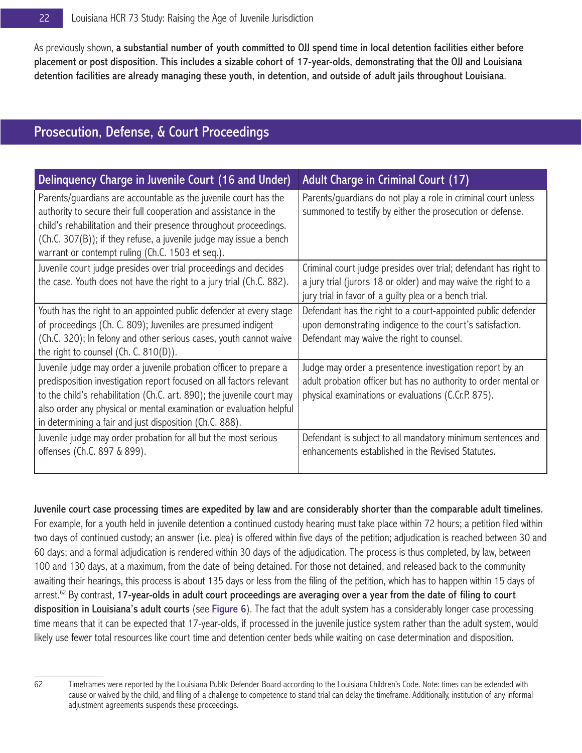As previously shown, a substantial number of youth committed to OJJ spend time in local detention facilities either before placement or post disposition. This includes a sizable cohort of 17-year-olds, demonstrating that the OJJ and Louisiana detention facilities are already managing these youth, in detention, and outside of adult jails throughout Louisiana.

# Prosecution, Defense, & Court Proceedings

| Delinquency Charge in Juvenile Court (16 and Under)                                                                                                                                                                                                                                                                                                   | Adult Charge in Criminal Court (17)                                                                                                                                                          |
|-------------------------------------------------------------------------------------------------------------------------------------------------------------------------------------------------------------------------------------------------------------------------------------------------------------------------------------------------------|----------------------------------------------------------------------------------------------------------------------------------------------------------------------------------------------|
| Parents/guardians are accountable as the juvenile court has the<br>authority to secure their full cooperation and assistance in the<br>child's rehabilitation and their presence throughout proceedings.<br>(Ch.C. 307(B)); if they refuse, a juvenile judge may issue a bench<br>warrant or contempt ruling (Ch.C. 1503 et seq.).                    | Parents/guardians do not play a role in criminal court unless<br>summoned to testify by either the prosecution or defense.                                                                   |
| Juvenile court judge presides over trial proceedings and decides<br>the case. Youth does not have the right to a jury trial (Ch.C. 882).                                                                                                                                                                                                              | Criminal court judge presides over trial; defendant has right to<br>a jury trial (jurors 18 or older) and may waive the right to a<br>jury trial in favor of a guilty plea or a bench trial. |
| Youth has the right to an appointed public defender at every stage<br>of proceedings (Ch. C. 809); Juveniles are presumed indigent<br>(Ch.C. 320); In felony and other serious cases, youth cannot waive<br>the right to counsel (Ch. C. $810(D)$ ).                                                                                                  | Defendant has the right to a court-appointed public defender<br>upon demonstrating indigence to the court's satisfaction.<br>Defendant may waive the right to counsel.                       |
| Juvenile judge may order a juvenile probation officer to prepare a<br>predisposition investigation report focused on all factors relevant<br>to the child's rehabilitation (Ch.C. art. 890); the juvenile court may<br>also order any physical or mental examination or evaluation helpful<br>in determining a fair and just disposition (Ch.C. 888). | Judge may order a presentence investigation report by an<br>adult probation officer but has no authority to order mental or<br>physical examinations or evaluations (C.Cr.P. 875).           |
| Juvenile judge may order probation for all but the most serious<br>offenses (Ch.C. 897 & 899).                                                                                                                                                                                                                                                        | Defendant is subject to all mandatory minimum sentences and<br>enhancements established in the Revised Statutes.                                                                             |

Juvenile court case processing times are expedited by law and are considerably shorter than the comparable adult timelines. For example, for a youth held in juvenile detention a continued custody hearing must take place within 72 hours; a petition filed within two days of continued custody; an answer (i.e. plea) is offered within five days of the petition; adjudication is reached between 30 and 60 days; and a formal adjudication is rendered within 30 days of the adjudication. The process is thus completed, by law, between 100 and 130 days, at a maximum, from the date of being detained. For those not detained, and released back to the community awaiting their hearings, this process is about 135 days or less from the filing of the petition, which has to happen within 15 days of  $\alpha$  arrest.<sup>62</sup> By contrast, 17-year-olds in adult court proceedings are averaging over a year from the date of filing to court disposition in Louisiana's adult courts (see Figure 6). The fact that the adult system has a considerably longer case processing time means that it can be expected that 17-year-olds, if processed in the juvenile justice system rather than the adult system, would likely use fewer total resources like court time and detention center beds while waiting on case determination and disposition.

<sup>62</sup> Timeframes were reported by the Louisiana Public Defender Board according to the Louisiana Children's Code. Note: times can be extended with cause or waived by the child, and filing of a challenge to competence to stand trial can delay the timeframe. Additionally, institution of any informal adjustment agreements suspends these proceedings.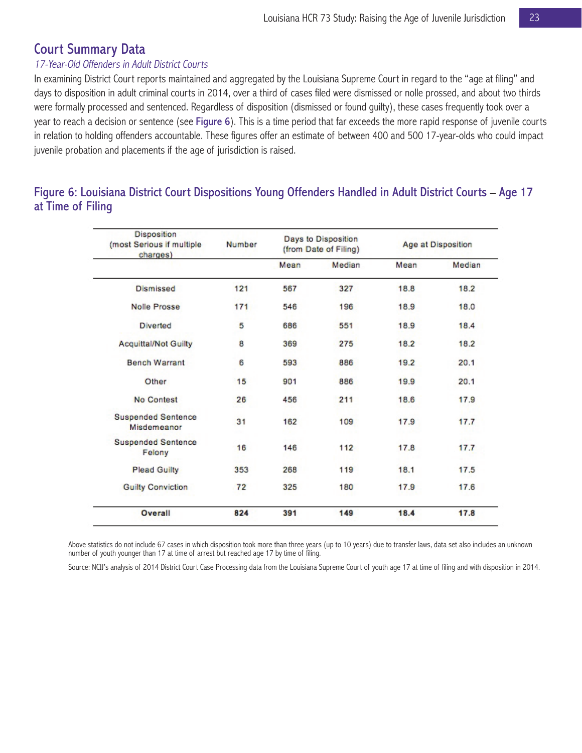## Court Summary Data

#### 17-Year-Old Offenders in Adult District Courts

In examining District Court reports maintained and aggregated by the Louisiana Supreme Court in regard to the "age at filing" and days to disposition in adult criminal courts in 2014, over a third of cases filed were dismissed or nolle prossed, and about two thirds were formally processed and sentenced. Regardless of disposition (dismissed or found guilty), these cases frequently took over a year to reach a decision or sentence (see Figure 6). This is a time period that far exceeds the more rapid response of juvenile courts in relation to holding offenders accountable. These figures offer an estimate of between 400 and 500 17-year-olds who could impact juvenile probation and placements if the age of jurisdiction is raised.

## Figure 6: Louisiana District Court Dispositions Young Offenders Handled in Adult District Courts – Age 17 at Time of Filing

| Disposition<br>(most Serious if multiple<br>charges) | Number | Days to Disposition<br>(from Date of Filing) |        | Age at Disposition |        |
|------------------------------------------------------|--------|----------------------------------------------|--------|--------------------|--------|
|                                                      |        | Mean                                         | Median | Mean               | Median |
| Dismissed                                            | 121    | 567                                          | 327    | 18.8               | 18.2   |
| Nolle Prosse                                         | 171    | 546                                          | 196    | 18.9               | 18.0   |
| <b>Diverted</b>                                      | 5      | 686                                          | 551    | 18.9               | 18.4   |
| <b>Acquittal/Not Guilty</b>                          | 8      | 369                                          | 275    | 18.2               | 18.2   |
| <b>Bench Warrant</b>                                 | 6      | 593                                          | 886    | 19.2               | 20.1   |
| Other                                                | 15     | 901                                          | 886    | 19.9               | 20.1   |
| <b>No Contest</b>                                    | 26     | 456                                          | 211    | 18.6               | 17.9   |
| <b>Suspended Sentence</b><br>Misdemeanor             | 31     | 162                                          | 109    | 17.9               | 17.7   |
| <b>Suspended Sentence</b><br>Felony                  | 16     | 146                                          | 112    | 17.8               | 17.7   |
| <b>Plead Guilty</b>                                  | 353    | 268                                          | 119    | 18.1               | 17.5   |
| <b>Guilty Conviction</b>                             | 72     | 325                                          | 180    | 17.9               | 17.6   |
| Overall                                              | 824    | 391                                          | 149    | 18.4               | 17.8   |

Above statistics do not include 67 cases in which disposition took more than three years (up to 10 years) due to transfer laws, data set also includes an unknown number of youth younger than 17 at time of arrest but reached age 17 by time of filing.

Source: NCJJ's analysis of 2014 District Court Case Processing data from the Louisiana Supreme Court of youth age 17 at time of filing and with disposition in 2014.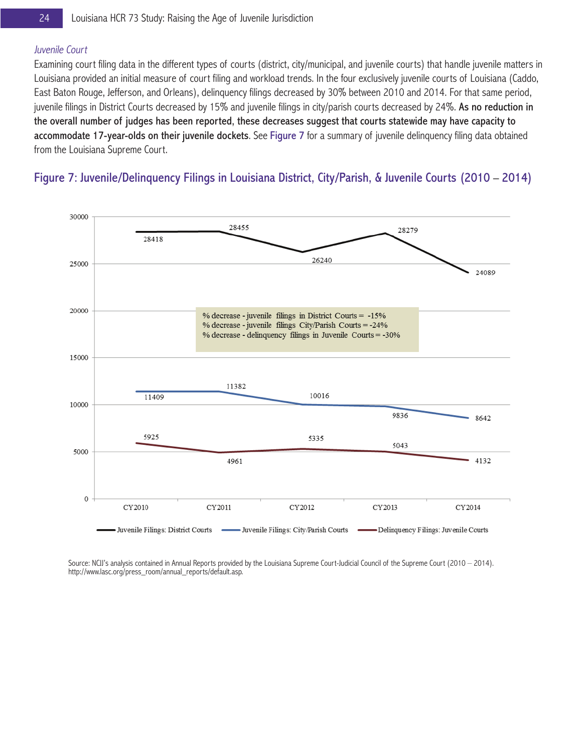#### Juvenile Court

Examining court filing data in the different types of courts (district, city/municipal, and juvenile courts) that handle juvenile matters in Louisiana provided an initial measure of court filing and workload trends. In the four exclusively juvenile courts of Louisiana (Caddo, East Baton Rouge, Jefferson, and Orleans), delinquency filings decreased by 30% between 2010 and 2014. For that same period, juvenile filings in District Courts decreased by 15% and juvenile filings in city/parish courts decreased by 24%. As no reduction in the overall number of judges has been reported, these decreases suggest that courts statewide may have capacity to accommodate 17-year-olds on their juvenile dockets. See Figure 7 for a summary of juvenile delinquency filing data obtained from the Louisiana Supreme Court.

## Figure 7: Juvenile/Delinquency Filings in Louisiana District, City/Parish, & Juvenile Courts (2010 – 2014)



Source: NCJJ's analysis contained in Annual Reports provided by the Louisiana Supreme Court-Judicial Council of the Supreme Court (2010 – 2014). http://www.lasc.org/press\_room/annual\_reports/default.asp.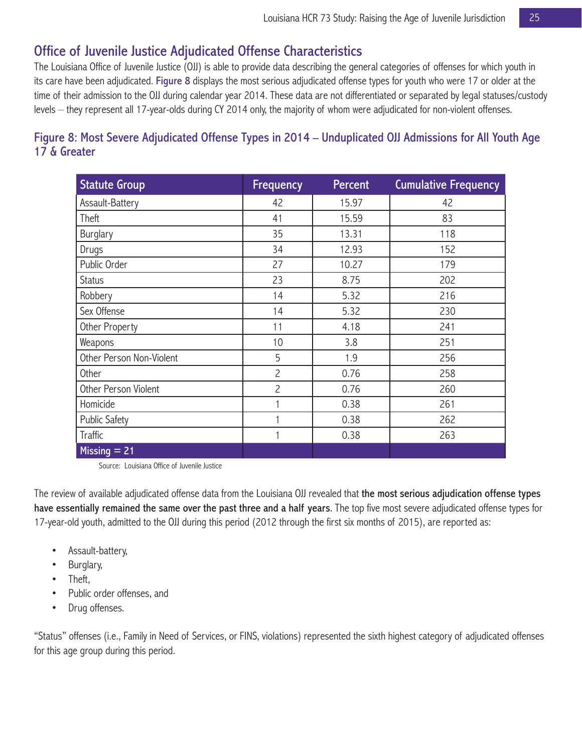# Office of Juvenile Justice Adjudicated Offense Characteristics

The Louisiana Office of Juvenile Justice (OJJ) is able to provide data describing the general categories of offenses for which youth in its care have been adjudicated. Figure 8 displays the most serious adjudicated offense types for youth who were 17 or older at the time of their admission to the OJJ during calendar year 2014. These data are not differentiated or separated by legal statuses/custody levels – they represent all 17-year-olds during CY 2014 only, the majority of whom were adjudicated for non-violent offenses.

## Figure 8: Most Severe Adjudicated Offense Types in 2014 – Unduplicated OJJ Admissions for All Youth Age 17 & Greater

| <b>Statute Group</b>     | <b>Frequency</b> | Percent | <b>Cumulative Frequency</b> |
|--------------------------|------------------|---------|-----------------------------|
| Assault-Battery          | 42               | 15.97   | 42                          |
| Theft                    | 41               | 15.59   | 83                          |
| <b>Burglary</b>          | 35               | 13.31   | 118                         |
| Drugs                    | 34               | 12.93   | 152                         |
| Public Order             | 27               | 10.27   | 179                         |
| <b>Status</b>            | 23               | 8.75    | 202                         |
| Robbery                  | 14               | 5.32    | 216                         |
| Sex Offense              | 14               | 5.32    | 230                         |
| Other Property           | 11               | 4.18    | 241                         |
| Weapons                  | 10               | 3.8     | 251                         |
| Other Person Non-Violent | 5                | 1.9     | 256                         |
| Other                    | $\overline{c}$   | 0.76    | 258                         |
| Other Person Violent     | $\overline{c}$   | 0.76    | 260                         |
| Homicide                 |                  | 0.38    | 261                         |
| <b>Public Safety</b>     |                  | 0.38    | 262                         |
| Traffic                  |                  | 0.38    | 263                         |
| Missing $= 21$           |                  |         |                             |

Source: Louisiana Office of Juvenile Justice

The review of available adjudicated offense data from the Louisiana OJJ revealed that the most serious adjudication offense types have essentially remained the same over the past three and a half years. The top five most severe adjudicated offense types for 17-year-old youth, admitted to the OJJ during this period (2012 through the first six months of 2015), are reported as:

- Assault-battery,
- Burglary,
- Theft,
- Public order offenses, and
- Drug offenses.

"Status" offenses (i.e., Family in Need of Services, or FINS, violations) represented the sixth highest category of adjudicated offenses for this age group during this period.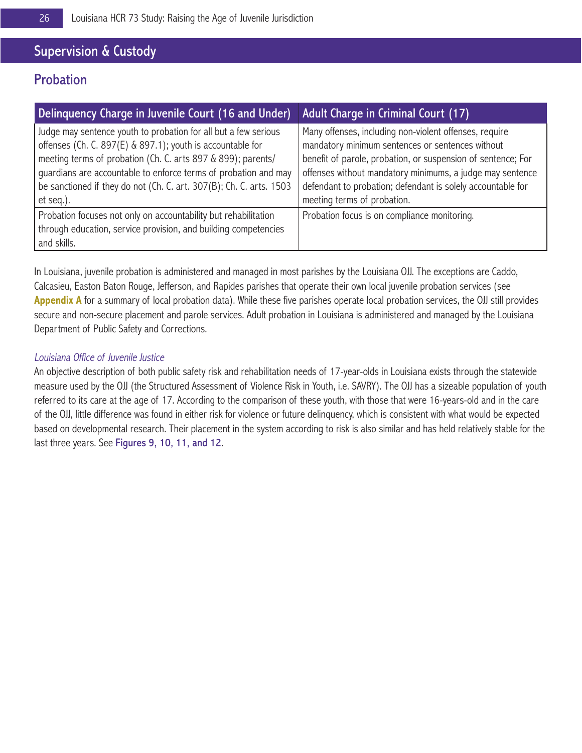# Supervision & Custody

# **Probation**

| Delinquency Charge in Juvenile Court (16 and Under)                                                                                                                                                                                                                                                                                                  | Adult Charge in Criminal Court (17)                                                                                                                                                                                                                                                                                                   |
|------------------------------------------------------------------------------------------------------------------------------------------------------------------------------------------------------------------------------------------------------------------------------------------------------------------------------------------------------|---------------------------------------------------------------------------------------------------------------------------------------------------------------------------------------------------------------------------------------------------------------------------------------------------------------------------------------|
| Judge may sentence youth to probation for all but a few serious<br>offenses (Ch. C. 897(E) & 897.1); youth is accountable for<br>meeting terms of probation (Ch. C. arts 897 & 899); parents/<br>guardians are accountable to enforce terms of probation and may<br>be sanctioned if they do not (Ch. C. art. 307(B); Ch. C. arts. 1503<br>et seq.). | Many offenses, including non-violent offenses, require<br>mandatory minimum sentences or sentences without<br>benefit of parole, probation, or suspension of sentence; For<br>offenses without mandatory minimums, a judge may sentence<br>defendant to probation; defendant is solely accountable for<br>meeting terms of probation. |
| Probation focuses not only on accountability but rehabilitation<br>through education, service provision, and building competencies<br>and skills.                                                                                                                                                                                                    | Probation focus is on compliance monitoring.                                                                                                                                                                                                                                                                                          |

In Louisiana, juvenile probation is administered and managed in most parishes by the Louisiana OJJ. The exceptions are Caddo, Calcasieu, Easton Baton Rouge, Jefferson, and Rapides parishes that operate their own local juvenile probation services (see Appendix A for a summary of local probation data). While these five parishes operate local probation services, the OJJ still provides secure and non-secure placement and parole services. Adult probation in Louisiana is administered and managed by the Louisiana Department of Public Safety and Corrections.

#### Louisiana Office of Juvenile Justice

An objective description of both public safety risk and rehabilitation needs of 17-year-olds in Louisiana exists through the statewide measure used by the OJJ (the Structured Assessment of Violence Risk in Youth, i.e. SAVRY). The OJJ has a sizeable population of youth referred to its care at the age of 17. According to the comparison of these youth, with those that were 16-years-old and in the care of the OJJ, little difference was found in either risk for violence or future delinquency, which is consistent with what would be expected based on developmental research. Their placement in the system according to risk is also similar and has held relatively stable for the last three years. See Figures 9, 10, 11, and 12.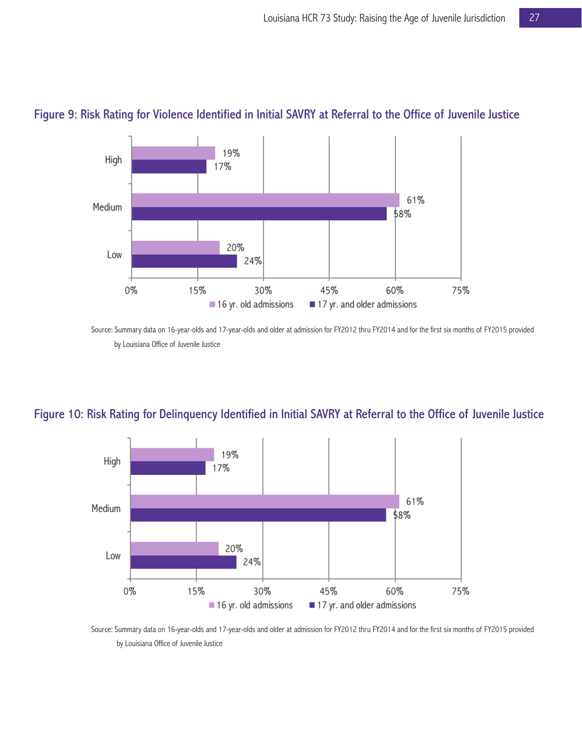

### Figure 9: Risk Rating for Violence Identified in Initial SAVRY at Referral to the Office of Juvenile Justice

Source: Summary data on 16-year-olds and 17-year-olds and older at admission for FY2012 thru FY2014 and for the first six months of FY2015 provided by Louisiana Office of Juvenile Justice

## Figure 10: Risk Rating for Delinquency Identified in Initial SAVRY at Referral to the Office of Juvenile Justice



Source: Summary data on 16-year-olds and 17-year-olds and older at admission for FY2012 thru FY2014 and for the first six months of FY2015 provided by Louisiana Office of Juvenile Justice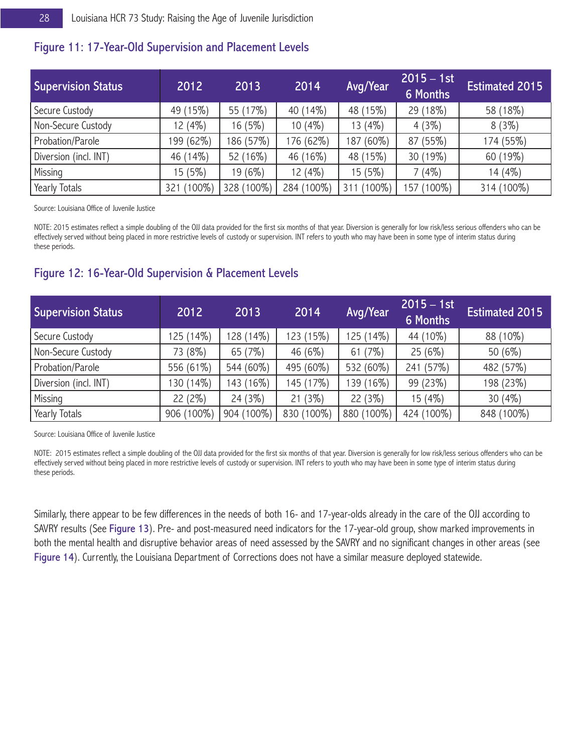### Figure 11: 17-Year-Old Supervision and Placement Levels

| <b>Supervision Status</b> | 2012         | 2013               | 2014       | Avg/Year        | $2015 - 1st$<br><b>6 Months</b> | <b>Estimated 2015</b> |
|---------------------------|--------------|--------------------|------------|-----------------|---------------------------------|-----------------------|
| Secure Custody            | (15%)<br>49  | 55 (17%)           | 40 (14%)   | 48 (15%)        | 29 (18%)                        | 58 (18%)              |
| Non-Secure Custody        | 12 (4%)      | 16 (5%)            | $10(4\%)$  | 13 (4%)         | 4(3%)                           | 8(3%)                 |
| Probation/Parole          | 199 (62%)    | 186 (57%)          | 176 (62%)  | 187 (60%)       | 87 (55%)                        | 174 (55%)             |
| Diversion (incl. INT)     | 46 (14%)     | 52 (16%)           | 46 (16%)   | 48 (15%)        | 30 (19%)                        | 60 (19%)              |
| Missing                   | 15 (5%)      | 19 (6%)            | 12 (4%)    | 15 (5%)         | 7(4%)                           | 14 (4%)               |
| Yearly Totals             | 100%)<br>321 | $(100\%)$<br>328 ( | 284 (100%) | $(100\%)$<br>31 | $(100\%)$<br>57                 | 314 (100%)            |

Source: Louisiana Office of Juvenile Justice

NOTE: 2015 estimates reflect a simple doubling of the OJJ data provided for the first six months of that year. Diversion is generally for low risk/less serious offenders who can be effectively served without being placed in more restrictive levels of custody or supervision. INT refers to youth who may have been in some type of interim status during these periods.

## Figure 12: 16-Year-Old Supervision & Placement Levels

| <b>Supervision Status</b> | 2012       | 2013       | 2014       | Avg/Year   | $2015 - 1st$<br><b>6 Months</b> | <b>Estimated 2015</b> |
|---------------------------|------------|------------|------------|------------|---------------------------------|-----------------------|
| Secure Custody            | 125 (14%)  | 128 (14%)  | 123 (15%)  | 125 (14%)  | 44 (10%)                        | 88 (10%)              |
| Non-Secure Custody        | 73 (8%)    | 65 (7%)    | 46 (6%)    | 61(7%)     | 25(6%)                          | 50(6%)                |
| Probation/Parole          | 556 (61%)  | 544 (60%)  | 495 (60%)  | 532 (60%)  | 241 (57%)                       | 482 (57%)             |
| Diversion (incl. INT)     | 130 (14%)  | 143 (16%)  | 145 (17%)  | 139 (16%)  | 99 (23%)                        | 198 (23%)             |
| Missing                   | 22(2%)     | 24(3%)     | 21(3%)     | 22(3%)     | 15 (4%)                         | 30 $(4%)$             |
| Yearly Totals             | 906 (100%) | 904 (100%) | 830 (100%) | 880 (100%) | 424 (100%)                      | 848 (100%)            |

Source: Louisiana Office of Juvenile Justice

NOTE: 2015 estimates reflect a simple doubling of the OJJ data provided for the first six months of that year. Diversion is generally for low risk/less serious offenders who can be effectively served without being placed in more restrictive levels of custody or supervision. INT refers to youth who may have been in some type of interim status during these periods.

Similarly, there appear to be few differences in the needs of both 16- and 17-year-olds already in the care of the OJJ according to SAVRY results (See Figure 13). Pre- and post-measured need indicators for the 17-year-old group, show marked improvements in both the mental health and disruptive behavior areas of need assessed by the SAVRY and no significant changes in other areas (see Figure 14). Currently, the Louisiana Department of Corrections does not have a similar measure deployed statewide.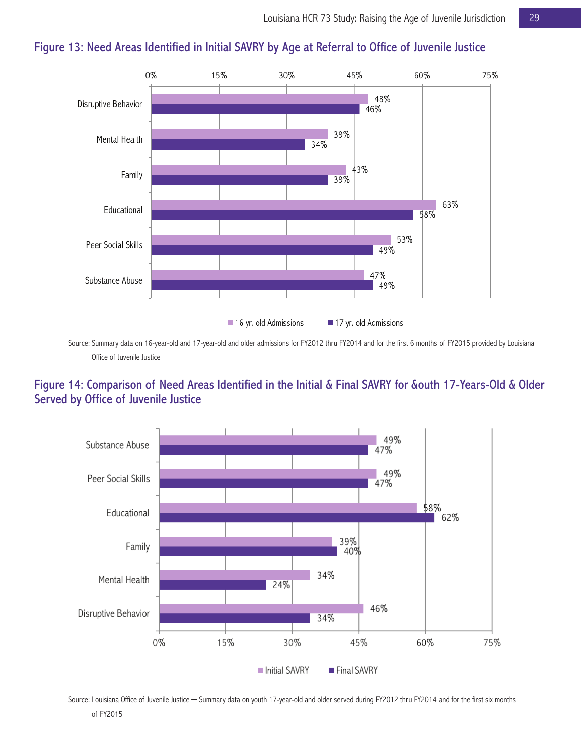

# Figure 13: Need Areas Identified in Initial SAVRY by Age at Referral to Office of Juvenile Justice

Source: Summary data on 16-year-old and 17-year-old and older admissions for FY2012 thru FY2014 and for the first 6 months of FY2015 provided by Louisiana Office of Juvenile Justice

## Figure 14: Comparison of Need Areas Identified in the Initial & Final SAVRY for &outh 17-Years-Old & Older Served by Office of Juvenile Justice



Source: Louisiana Office of Juvenile Justice – Summary data on youth 17-year-old and older served during FY2012 thru FY2014 and for the first six months of FY2015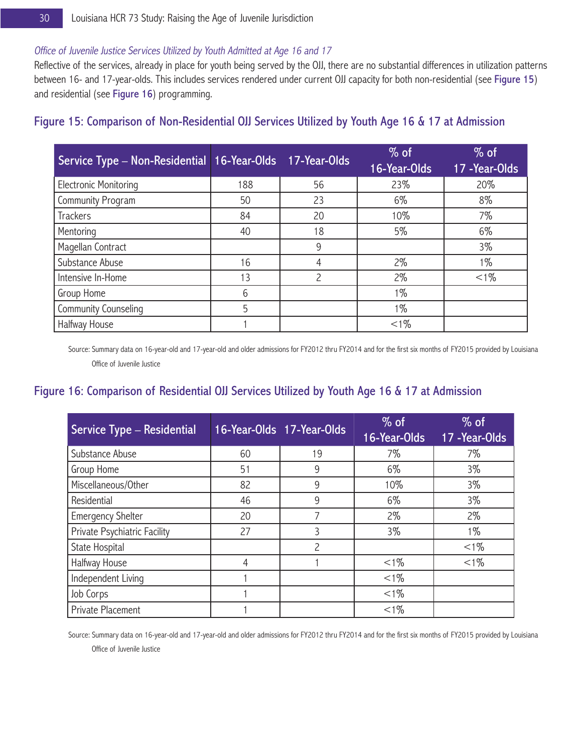#### Office of Juvenile Justice Services Utilized by Youth Admitted at Age 16 and 17

Reflective of the services, already in place for youth being served by the OJJ, there are no substantial differences in utilization patterns between 16- and 17-year-olds. This includes services rendered under current OJJ capacity for both non-residential (see Figure 15) and residential (see Figure 16) programming.

| Service Type - Non-Residential 16-Year-Olds 17-Year-Olds |     |               | $%$ of<br>16-Year-Olds | $%$ of<br>17 - Year-Olds |
|----------------------------------------------------------|-----|---------------|------------------------|--------------------------|
| <b>Electronic Monitoring</b>                             | 188 | 56            | 23%                    | 20%                      |
| Community Program                                        | 50  | 23            | 6%                     | 8%                       |
| Trackers                                                 | 84  | 20            | 10%                    | 7%                       |
| Mentoring                                                | 40  | 18            | 5%                     | 6%                       |
| Magellan Contract                                        |     | 9             |                        | $3\%$                    |
| Substance Abuse                                          | 16  | 4             | $2\%$                  | $1\%$                    |
| Intensive In-Home                                        | 13  | $\mathcal{P}$ | $2\%$                  | $< 1\%$                  |
| Group Home                                               | 6   |               | $1\%$                  |                          |
| Community Counseling                                     | 5   |               | $1\%$                  |                          |
| Halfway House                                            |     |               | $< 1\%$                |                          |

## Figure 15: Comparison of Non-Residential OJJ Services Utilized by Youth Age 16 & 17 at Admission

Source: Summary data on 16-year-old and 17-year-old and older admissions for FY2012 thru FY2014 and for the first six months of FY2015 provided by Louisiana Office of Juvenile Justice

## Figure 16: Comparison of Residential OJJ Services Utilized by Youth Age 16 & 17 at Admission

| Service Type - Residential   |    | 16-Year-Olds 17-Year-Olds | $%$ of<br>16-Year-Olds | $%$ of<br>17 - Year-Olds |
|------------------------------|----|---------------------------|------------------------|--------------------------|
| Substance Abuse              | 60 | 19                        | 7%                     | 7%                       |
| Group Home                   | 51 | 9                         | 6%                     | $3\%$                    |
| Miscellaneous/Other          | 82 | 9                         | 10%                    | $3\%$                    |
| Residential                  | 46 | 9                         | 6%                     | $3\%$                    |
| <b>Emergency Shelter</b>     | 20 | 7                         | $2\%$                  | $2\%$                    |
| Private Psychiatric Facility | 27 | 3                         | $3\%$                  | 1%                       |
| State Hospital               |    | $\mathcal{P}$             |                        | $< 1\%$                  |
| Halfway House                | 4  |                           | $< 1\%$                | $< 1\%$                  |
| Independent Living           |    |                           | $< 1\%$                |                          |
| Job Corps                    |    |                           | $< 1\%$                |                          |
| Private Placement            |    |                           | $< 1\%$                |                          |

Source: Summary data on 16-year-old and 17-year-old and older admissions for FY2012 thru FY2014 and for the first six months of FY2015 provided by Louisiana Office of Juvenile Justice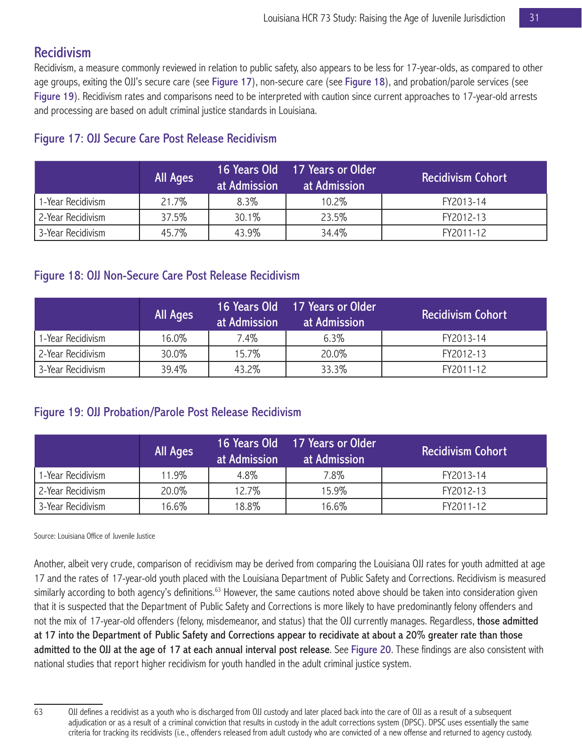# Recidivism

Recidivism, a measure commonly reviewed in relation to public safety, also appears to be less for 17-year-olds, as compared to other age groups, exiting the OJJ's secure care (see Figure 17), non-secure care (see Figure 18), and probation/parole services (see Figure 19). Recidivism rates and comparisons need to be interpreted with caution since current approaches to 17-year-old arrests and processing are based on adult criminal justice standards in Louisiana.

|                   | <b>All Ages</b> | at Admission | 16 Years Old 17 Years or Older<br>at Admission | Recidivism Cohort' |
|-------------------|-----------------|--------------|------------------------------------------------|--------------------|
| 1-Year Recidivism | 21.7%           | $8.3\%$      | 10.2%                                          | FY2013-14          |
| 2-Year Recidivism | 37.5%           | 30.1%        | 23.5%                                          | FY2012-13          |
| 3-Year Recidivism | 45.7%           | 43.9%        | 34.4%                                          | FY2011-12          |

## Figure 17: OJJ Secure Care Post Release Recidivism

## Figure 18: OJJ Non-Secure Care Post Release Recidivism

|                   | <b>All Ages</b> | at Admission | 16 Years Old 17 Years or Older<br>at Admission | <b>Recidivism Cohort</b> |
|-------------------|-----------------|--------------|------------------------------------------------|--------------------------|
| 1-Year Recidivism | 16.0%           | 7.4%         | 6.3%                                           | FY2013-14                |
| 2-Year Recidivism | 30.0%           | 15.7%        | 20.0%                                          | FY2012-13                |
| 3-Year Recidivism | 39.4%           | 43.2%        | 33.3%                                          | FY2011-12                |

## Figure 19: OJJ Probation/Parole Post Release Recidivism

|                   | All Ages | Lat Admission | 16 Years Old 17 Years or Older<br>at Admission | <b>Recidivism Cohort</b> |
|-------------------|----------|---------------|------------------------------------------------|--------------------------|
| 1-Year Recidivism | 11.9%    | 4.8%          | 7.8%                                           | FY2013-14                |
| 2-Year Recidivism | 20.0%    | 12.7%         | 15.9%                                          | FY2012-13                |
| 3-Year Recidivism | 16.6%    | 18.8%         | 16.6%                                          | FY2011-12                |

Source: Louisiana Office of Juvenile Justice

Another, albeit very crude, comparison of recidivism may be derived from comparing the Louisiana OJJ rates for youth admitted at age 17 and the rates of 17-year-old youth placed with the Louisiana Department of Public Safety and Corrections. Recidivism is measured similarly according to both agency's definitions.<sup>63</sup> However, the same cautions noted above should be taken into consideration given that it is suspected that the Department of Public Safety and Corrections is more likely to have predominantly felony offenders and not the mix of 17-year-old offenders (felony, misdemeanor, and status) that the OJJ currently manages. Regardless, those admitted at 17 into the Department of Public Safety and Corrections appear to recidivate at about a 20% greater rate than those admitted to the OJJ at the age of 17 at each annual interval post release. See Figure 20. These findings are also consistent with national studies that report higher recidivism for youth handled in the adult criminal justice system.

<sup>63</sup> OJJ defines a recidivist as a youth who is discharged from OJJ custody and later placed back into the care of OJJ as a result of a subsequent adjudication or as a result of a criminal conviction that results in custody in the adult corrections system (DPSC). DPSC uses essentially the same criteria for tracking its recidivists (i.e., offenders released from adult custody who are convicted of a new offense and returned to agency custody.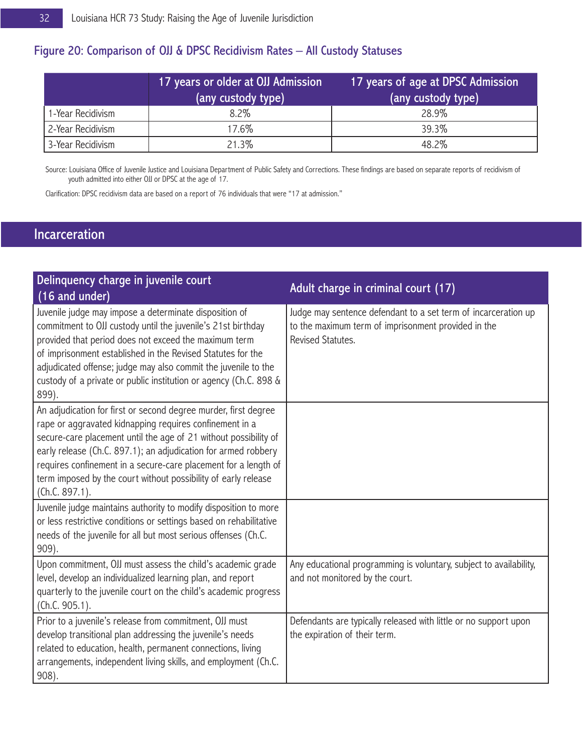## Figure 20: Comparison of OJJ & DPSC Recidivism Rates – All Custody Statuses

|                     | 17 years or older at OJJ Admission<br>(any custody type) | 17 years of age at DPSC Admission<br>(any custody type) |
|---------------------|----------------------------------------------------------|---------------------------------------------------------|
| 1-Year Recidivism   | $8.2\%$                                                  | 28.9%                                                   |
| l 2-Year Recidivism | 17.6%                                                    | 39.3%                                                   |
| 3-Year Recidivism   | 21.3%                                                    | 48.2%                                                   |

Source: Louisiana Office of Juvenile Justice and Louisiana Department of Public Safety and Corrections. These findings are based on separate reports of recidivism of youth admitted into either OJJ or DPSC at the age of 17.

Clarification: DPSC recidivism data are based on a report of 76 individuals that were "17 at admission."

# Incarceration

| Delinquency charge in juvenile court<br>(16 and under)                                                                                                                                                                                                                                                                                                                                                                  | Adult charge in criminal court (17)                                                                                                        |
|-------------------------------------------------------------------------------------------------------------------------------------------------------------------------------------------------------------------------------------------------------------------------------------------------------------------------------------------------------------------------------------------------------------------------|--------------------------------------------------------------------------------------------------------------------------------------------|
| Juvenile judge may impose a determinate disposition of<br>commitment to OJJ custody until the juvenile's 21st birthday<br>provided that period does not exceed the maximum term<br>of imprisonment established in the Revised Statutes for the<br>adjudicated offense; judge may also commit the juvenile to the<br>custody of a private or public institution or agency (Ch.C. 898 &<br>899).                          | Judge may sentence defendant to a set term of incarceration up<br>to the maximum term of imprisonment provided in the<br>Revised Statutes. |
| An adjudication for first or second degree murder, first degree<br>rape or aggravated kidnapping requires confinement in a<br>secure-care placement until the age of 21 without possibility of<br>early release (Ch.C. 897.1); an adjudication for armed robbery<br>requires confinement in a secure-care placement for a length of<br>term imposed by the court without possibility of early release<br>(Ch.C. 897.1). |                                                                                                                                            |
| Juvenile judge maintains authority to modify disposition to more<br>or less restrictive conditions or settings based on rehabilitative<br>needs of the juvenile for all but most serious offenses (Ch.C.<br>909).                                                                                                                                                                                                       |                                                                                                                                            |
| Upon commitment, OJJ must assess the child's academic grade<br>level, develop an individualized learning plan, and report<br>quarterly to the juvenile court on the child's academic progress<br>(Ch.C. 905.1).                                                                                                                                                                                                         | Any educational programming is voluntary, subject to availability,<br>and not monitored by the court.                                      |
| Prior to a juvenile's release from commitment, OJJ must<br>develop transitional plan addressing the juvenile's needs<br>related to education, health, permanent connections, living<br>arrangements, independent living skills, and employment (Ch.C.<br>$908$ ).                                                                                                                                                       | Defendants are typically released with little or no support upon<br>the expiration of their term.                                          |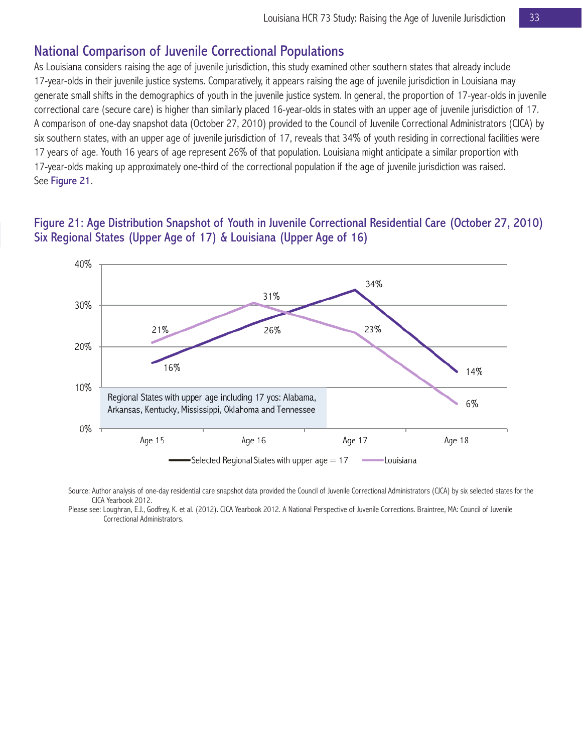## National Comparison of Juvenile Correctional Populations

As Louisiana considers raising the age of juvenile jurisdiction, this study examined other southern states that already include 17-year-olds in their juvenile justice systems. Comparatively, it appears raising the age of juvenile jurisdiction in Louisiana may generate small shifts in the demographics of youth in the juvenile justice system. In general, the proportion of 17-year-olds in juvenile correctional care (secure care) is higher than similarly placed 16-year-olds in states with an upper age of juvenile jurisdiction of 17. A comparison of one-day snapshot data (October 27, 2010) provided to the Council of Juvenile Correctional Administrators (CJCA) by six southern states, with an upper age of juvenile jurisdiction of 17, reveals that 34% of youth residing in correctional facilities were 17 years of age. Youth 16 years of age represent 26% of that population. Louisiana might anticipate a similar proportion with 17-year-olds making up approximately one-third of the correctional population if the age of juvenile jurisdiction was raised. See Figure 21.

#### Figure 21: Age Distribution Snapshot of Youth in Juvenile Correctional Residential Care (October 27, 2010) Six Regional States (Upper Age of 17) & Louisiana (Upper Age of 16)



Source: Author analysis of one-day residential care snapshot data provided the Council of Juvenile Correctional Administrators (CJCA) by six selected states for the CJCA Yearbook 2012.

Please see: Loughran, E.J., Godfrey, K. et al. (2012). CJCA Yearbook 2012. A National Perspective of Juvenile Corrections. Braintree, MA: Council of Juvenile Correctional Administrators.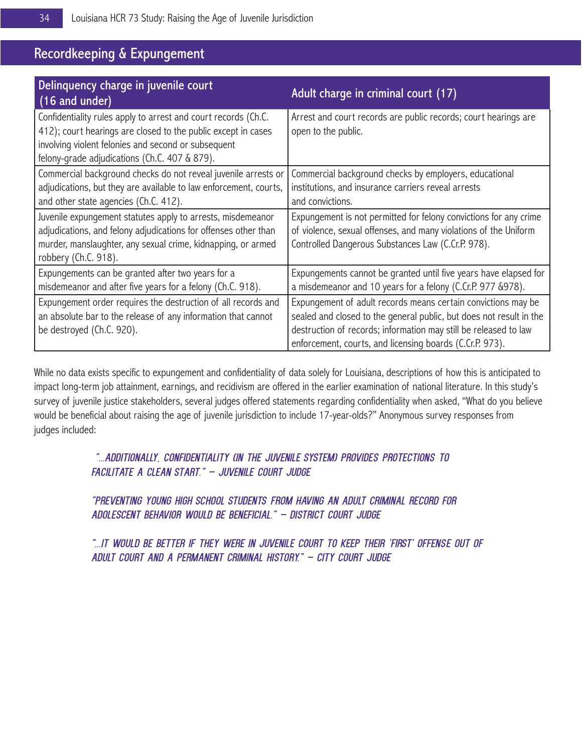# Recordkeeping & Expungement

| Delinquency charge in juvenile court<br>(16 and under)                                                                                                                                                                                  | Adult charge in criminal court (17)                                                                                                                                                                                                                                  |
|-----------------------------------------------------------------------------------------------------------------------------------------------------------------------------------------------------------------------------------------|----------------------------------------------------------------------------------------------------------------------------------------------------------------------------------------------------------------------------------------------------------------------|
| Confidentiality rules apply to arrest and court records (Ch.C.<br>412); court hearings are closed to the public except in cases<br>involving violent felonies and second or subsequent<br>felony-grade adjudications (Ch.C. 407 & 879). | Arrest and court records are public records; court hearings are<br>open to the public.                                                                                                                                                                               |
| Commercial background checks do not reveal juvenile arrests or<br>adjudications, but they are available to law enforcement, courts,<br>and other state agencies (Ch.C. 412).                                                            | Commercial background checks by employers, educational<br>institutions, and insurance carriers reveal arrests<br>and convictions.                                                                                                                                    |
| Juvenile expungement statutes apply to arrests, misdemeanor<br>adjudications, and felony adjudications for offenses other than<br>murder, manslaughter, any sexual crime, kidnapping, or armed<br>robbery (Ch.C. 918).                  | Expungement is not permitted for felony convictions for any crime<br>of violence, sexual offenses, and many violations of the Uniform<br>Controlled Dangerous Substances Law (C.Cr.P. 978).                                                                          |
| Expungements can be granted after two years for a<br>misdemeanor and after five years for a felony (Ch.C. 918).                                                                                                                         | Expungements cannot be granted until five years have elapsed for<br>a misdemeanor and 10 years for a felony (C.Cr.P. 977 & 978).                                                                                                                                     |
| Expungement order requires the destruction of all records and<br>an absolute bar to the release of any information that cannot<br>be destroyed (Ch.C. 920).                                                                             | Expungement of adult records means certain convictions may be<br>sealed and closed to the general public, but does not result in the<br>destruction of records; information may still be released to law<br>enforcement, courts, and licensing boards (C.Cr.P. 973). |

While no data exists specific to expungement and confidentiality of data solely for Louisiana, descriptions of how this is anticipated to impact long-term job attainment, earnings, and recidivism are offered in the earlier examination of national literature. In this study's survey of juvenile justice stakeholders, several judges offered statements regarding confidentiality when asked, "What do you believe would be beneficial about raising the age of juvenile jurisdiction to include 17-year-olds?" Anonymous survey responses from judges included:

#### *"...Additionally, confidentiality (in the juvenile system) provides protections to facilitate a clean start." – Juvenile Court Judge*

*"Preventing young high school students from having an adult criminal record for adolescent behavior would be beneficial." – District Court Judge*

*"...it would be better if they were in juvenile court to keep their 'first' offense out of adult court and a permanent criminal history." – City Court Judge*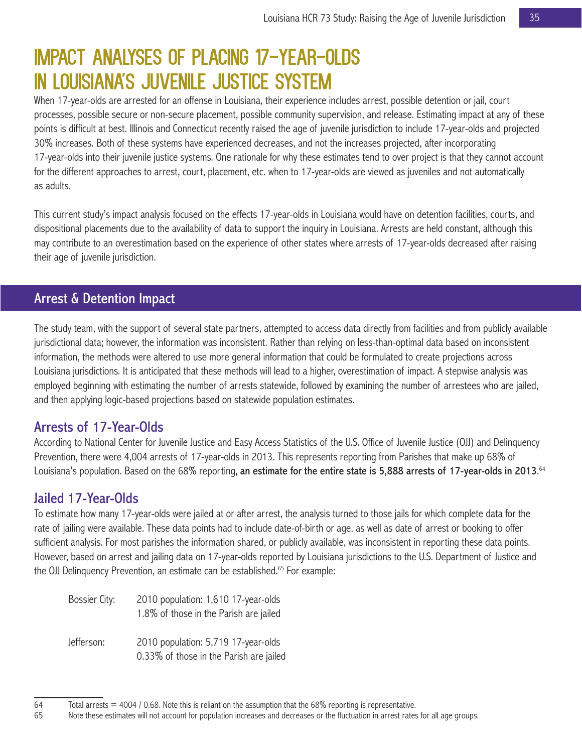# IMPACT ANALYSES OF PLACING 17-YEAR-OLDS IN LOUISIANA'S JUVENILE JUSTICE SYSTEM

When 17-year-olds are arrested for an offense in Louisiana, their experience includes arrest, possible detention or jail, court processes, possible secure or non-secure placement, possible community supervision, and release. Estimating impact at any of these points is difficult at best. Illinois and Connecticut recently raised the age of juvenile jurisdiction to include 17-year-olds and projected 30% increases. Both of these systems have experienced decreases, and not the increases projected, after incorporating 17-year-olds into their juvenile justice systems. One rationale for why these estimates tend to over project is that they cannot account for the different approaches to arrest, court, placement, etc. when to 17-year-olds are viewed as juveniles and not automatically as adults.

This current study's impact analysis focused on the effects 17-year-olds in Louisiana would have on detention facilities, courts, and dispositional placements due to the availability of data to support the inquiry in Louisiana. Arrests are held constant, although this may contribute to an overestimation based on the experience of other states where arrests of 17-year-olds decreased after raising their age of juvenile jurisdiction.

# Arrest & Detention Impact

The study team, with the support of several state partners, attempted to access data directly from facilities and from publicly available jurisdictional data; however, the information was inconsistent. Rather than relying on less-than-optimal data based on inconsistent information, the methods were altered to use more general information that could be formulated to create projections across Louisiana jurisdictions. It is anticipated that these methods will lead to a higher, overestimation of impact. A stepwise analysis was employed beginning with estimating the number of arrests statewide, followed by examining the number of arrestees who are jailed, and then applying logic-based projections based on statewide population estimates.

## Arrests of 17-Year-Olds

According to National Center for Juvenile Justice and Easy Access Statistics of the U.S. Office of Juvenile Justice (OJJ) and Delinquency Prevention, there were 4,004 arrests of 17-year-olds in 2013. This represents reporting from Parishes that make up 68% of Louisiana's population. Based on the 68% reporting, **an estimate for the entire state is 5,888 arrests of 17-year-olds in 2013**.<sup>64</sup>

## Jailed 17-Year-Olds

To estimate how many 17-year-olds were jailed at or after arrest, the analysis turned to those jails for which complete data for the rate of jailing were available. These data points had to include date-of-birth or age, as well as date of arrest or booking to offer sufficient analysis. For most parishes the information shared, or publicly available, was inconsistent in reporting these data points. However, based on arrest and jailing data on 17-year-olds reported by Louisiana jurisdictions to the U.S. Department of Justice and the OJJ Delinquency Prevention, an estimate can be established.<sup>65</sup> For example:

| <b>Bossier City:</b> | 2010 population: 1,610 17-year-olds<br>1.8% of those in the Parish are jailed  |
|----------------------|--------------------------------------------------------------------------------|
| Jefferson:           | 2010 population: 5,719 17-year-olds<br>0.33% of those in the Parish are jailed |

 $64$  Total arrests = 4004 / 0.68. Note this is reliant on the assumption that the 68% reporting is representative.<br>65 Note these estimates will not account for population increases and decreases or the fluctuation in arre

Note these estimates will not account for population increases and decreases or the fluctuation in arrest rates for all age groups.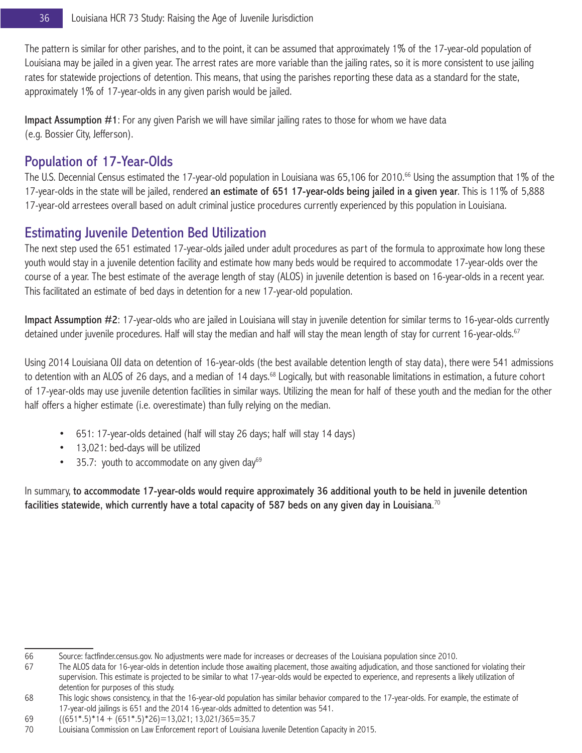The pattern is similar for other parishes, and to the point, it can be assumed that approximately 1% of the 17-year-old population of Louisiana may be jailed in a given year. The arrest rates are more variable than the jailing rates, so it is more consistent to use jailing rates for statewide projections of detention. This means, that using the parishes reporting these data as a standard for the state, approximately 1% of 17-year-olds in any given parish would be jailed.

Impact Assumption #1: For any given Parish we will have similar jailing rates to those for whom we have data (e.g. Bossier City, Jefferson).

# Population of 17-Year-Olds

The U.S. Decennial Census estimated the 17-year-old population in Louisiana was 65,106 for 2010.<sup>66</sup> Using the assumption that 1% of the 17-year-olds in the state will be jailed, rendered an estimate of 651 17-year-olds being jailed in a given year. This is 11% of 5,888 17-year-old arrestees overall based on adult criminal justice procedures currently experienced by this population in Louisiana.

# Estimating Juvenile Detention Bed Utilization

The next step used the 651 estimated 17-year-olds jailed under adult procedures as part of the formula to approximate how long these youth would stay in a juvenile detention facility and estimate how many beds would be required to accommodate 17-year-olds over the course of a year. The best estimate of the average length of stay (ALOS) in juvenile detention is based on 16-year-olds in a recent year. This facilitated an estimate of bed days in detention for a new 17-year-old population.

Impact Assumption #2: 17-year-olds who are jailed in Louisiana will stay in juvenile detention for similar terms to 16-year-olds currently detained under juvenile procedures. Half will stay the median and half will stay the mean length of stay for current 16-year-olds.<sup>67</sup>

Using 2014 Louisiana OJJ data on detention of 16-year-olds (the best available detention length of stay data), there were 541 admissions to detention with an ALOS of 26 days, and a median of 14 days.<sup>68</sup> Logically, but with reasonable limitations in estimation, a future cohort of 17-year-olds may use juvenile detention facilities in similar ways. Utilizing the mean for half of these youth and the median for the other half offers a higher estimate (i.e. overestimate) than fully relying on the median.

- 651: 17-year-olds detained (half will stay 26 days; half will stay 14 days)
- 13,021: bed-days will be utilized
- 35.7: youth to accommodate on any given day $69$

In summary, to accommodate 17-year-olds would require approximately 36 additional youth to be held in juvenile detention facilities statewide, which currently have a total capacity of 587 beds on any given day in Louisiana. $^{70}$ 

<sup>66</sup> Source: factfinder.census.gov. No adjustments were made for increases or decreases of the Louisiana population since 2010.

<sup>67</sup> The ALOS data for 16-year-olds in detention include those awaiting placement, those awaiting adjudication, and those sanctioned for violating their supervision. This estimate is projected to be similar to what 17-year-olds would be expected to experience, and represents a likely utilization of detention for purposes of this study.

<sup>68</sup> This logic shows consistency, in that the 16-year-old population has similar behavior compared to the 17-year-olds. For example, the estimate of 17-year-old jailings is 651 and the 2014 16-year-olds admitted to detention was 541.

<sup>69</sup> ((651\*.5)\*14 + (651\*.5)\*26)=13,021; 13,021/365=35.7

Louisiana Commission on Law Enforcement report of Louisiana Juvenile Detention Capacity in 2015.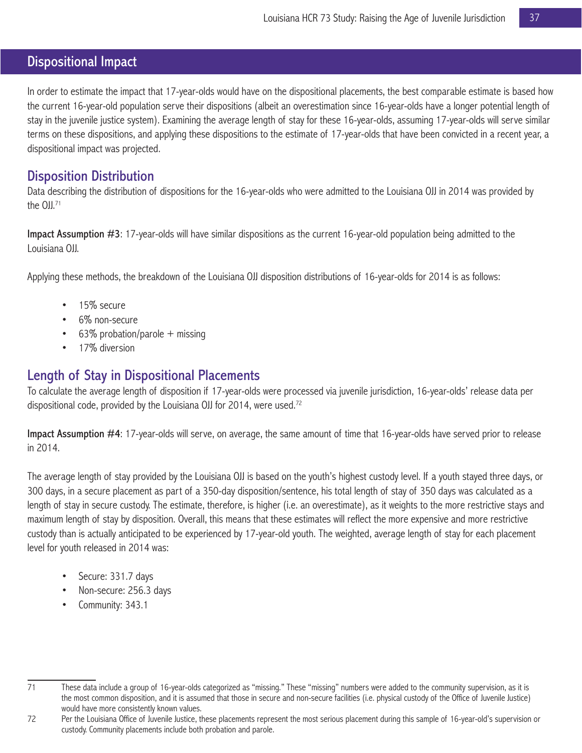# Dispositional Impact

In order to estimate the impact that 17-year-olds would have on the dispositional placements, the best comparable estimate is based how the current 16-year-old population serve their dispositions (albeit an overestimation since 16-year-olds have a longer potential length of stay in the juvenile justice system). Examining the average length of stay for these 16-year-olds, assuming 17-year-olds will serve similar terms on these dispositions, and applying these dispositions to the estimate of 17-year-olds that have been convicted in a recent year, a dispositional impact was projected.

## Disposition Distribution

Data describing the distribution of dispositions for the 16-year-olds who were admitted to the Louisiana OJJ in 2014 was provided by the OJJ.<sup>71</sup>

Impact Assumption #3: 17-year-olds will have similar dispositions as the current 16-year-old population being admitted to the Louisiana OJJ.

Applying these methods, the breakdown of the Louisiana OJJ disposition distributions of 16-year-olds for 2014 is as follows:

- 15% secure
- 6% non-secure
- 63% probation/parole  $+$  missing
- 17% diversion

## Length of Stay in Dispositional Placements

To calculate the average length of disposition if 17-year-olds were processed via juvenile jurisdiction, 16-year-olds' release data per dispositional code, provided by the Louisiana OJJ for 2014, were used.<sup>72</sup>

Impact Assumption #4: 17-year-olds will serve, on average, the same amount of time that 16-year-olds have served prior to release in 2014.

The average length of stay provided by the Louisiana OJJ is based on the youth's highest custody level. If a youth stayed three days, or 300 days, in a secure placement as part of a 350-day disposition/sentence, his total length of stay of 350 days was calculated as a length of stay in secure custody. The estimate, therefore, is higher (i.e. an overestimate), as it weights to the more restrictive stays and maximum length of stay by disposition. Overall, this means that these estimates will reflect the more expensive and more restrictive custody than is actually anticipated to be experienced by 17-year-old youth. The weighted, average length of stay for each placement level for youth released in 2014 was:

- Secure: 331.7 days
- Non-secure: 256.3 days
- Community: 343.1

<sup>71</sup> These data include a group of 16-year-olds categorized as "missing." These "missing" numbers were added to the community supervision, as it is the most common disposition, and it is assumed that those in secure and non-secure facilities (i.e. physical custody of the Office of Juvenile Justice) would have more consistently known values.

<sup>72</sup> Per the Louisiana Office of Juvenile Justice, these placements represent the most serious placement during this sample of 16-year-old's supervision or custody. Community placements include both probation and parole.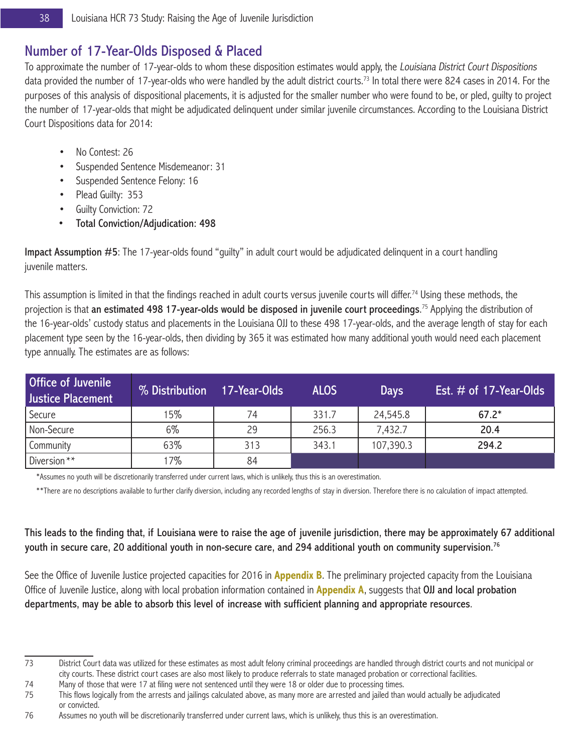# Number of 17-Year-Olds Disposed & Placed

To approximate the number of 17-year-olds to whom these disposition estimates would apply, the Louisiana District Court Dispositions data provided the number of 17-year-olds who were handled by the adult district courts.<sup>73</sup> In total there were 824 cases in 2014. For the purposes of this analysis of dispositional placements, it is adjusted for the smaller number who were found to be, or pled, guilty to project the number of 17-year-olds that might be adjudicated delinquent under similar juvenile circumstances. According to the Louisiana District Court Dispositions data for 2014:

- No Contest: 26
- Suspended Sentence Misdemeanor: 31
- Suspended Sentence Felony: 16
- Plead Guilty: 353
- Guilty Conviction: 72
- Total Conviction/Adjudication: 498

Impact Assumption #5: The 17-year-olds found "guilty" in adult court would be adjudicated delinquent in a court handling juvenile matters.

This assumption is limited in that the findings reached in adult courts versus juvenile courts will differ.<sup>74</sup> Using these methods, the projection is that **an estimated 498 17-year-olds would be disposed in juvenile court proceedings**.<sup>75</sup> Applying the distribution of the 16-year-olds' custody status and placements in the Louisiana OJJ to these 498 17-year-olds, and the average length of stay for each placement type seen by the 16-year-olds, then dividing by 365 it was estimated how many additional youth would need each placement type annually. The estimates are as follows:

| Office of Juvenile<br>Justice Placement | % Distribution | 17-Year-Olds | <b>ALOS</b> | <b>Days</b> | Est. $#$ of 17-Year-Olds |  |  |
|-----------------------------------------|----------------|--------------|-------------|-------------|--------------------------|--|--|
| Secure                                  | 15%            | 74           | 331.7       | 24,545.8    | $67.2*$                  |  |  |
| Non-Secure                              | 6%             | 29           | 256.3       | 7,432.7     | 20.4                     |  |  |
| Community                               | 63%            | 313          | 343.1       | 107,390.3   | 294.2                    |  |  |
| Diversion <sup>**</sup>                 | 17%            | 84           |             |             |                          |  |  |

\*Assumes no youth will be discretionarily transferred under current laws, which is unlikely, thus this is an overestimation.

\*\*There are no descriptions available to further clarify diversion, including any recorded lengths of stay in diversion. Therefore there is no calculation of impact attempted.

### This leads to the finding that, if Louisiana were to raise the age of juvenile jurisdiction, there may be approximately 67 additional youth in secure care, 20 additional youth in non-secure care, and 294 additional youth on community supervision.<sup>76</sup>

See the Office of Juvenile Justice projected capacities for 2016 in **Appendix B**. The preliminary projected capacity from the Louisiana Office of Juvenile Justice, along with local probation information contained in **Appendix A**, suggests that OJJ and local probation departments, may be able to absorb this level of increase with sufficient planning and appropriate resources.

74 Many of those that were 17 at filing were not sentenced until they were 18 or older due to processing times.

75 This flows logically from the arrests and jailings calculated above, as many more are arrested and jailed than would actually be adjudicated or convicted.

<sup>73</sup> District Court data was utilized for these estimates as most adult felony criminal proceedings are handled through district courts and not municipal or city courts. These district court cases are also most likely to produce referrals to state managed probation or correctional facilities.

<sup>76</sup> Assumes no youth will be discretionarily transferred under current laws, which is unlikely, thus this is an overestimation.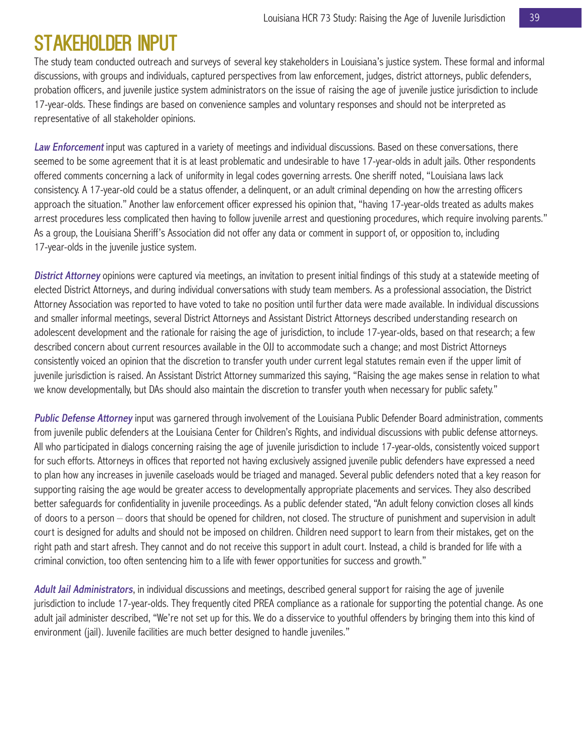# Stakeholder Input

The study team conducted outreach and surveys of several key stakeholders in Louisiana's justice system. These formal and informal discussions, with groups and individuals, captured perspectives from law enforcement, judges, district attorneys, public defenders, probation officers, and juvenile justice system administrators on the issue of raising the age of juvenile justice jurisdiction to include 17-year-olds. These findings are based on convenience samples and voluntary responses and should not be interpreted as representative of all stakeholder opinions.

Law Enforcement input was captured in a variety of meetings and individual discussions. Based on these conversations, there seemed to be some agreement that it is at least problematic and undesirable to have 17-year-olds in adult jails. Other respondents offered comments concerning a lack of uniformity in legal codes governing arrests. One sheriff noted, "Louisiana laws lack consistency. A 17-year-old could be a status offender, a delinquent, or an adult criminal depending on how the arresting officers approach the situation." Another law enforcement officer expressed his opinion that, "having 17-year-olds treated as adults makes arrest procedures less complicated then having to follow juvenile arrest and questioning procedures, which require involving parents." As a group, the Louisiana Sheriff's Association did not offer any data or comment in support of, or opposition to, including 17-year-olds in the juvenile justice system.

District Attorney opinions were captured via meetings, an invitation to present initial findings of this study at a statewide meeting of elected District Attorneys, and during individual conversations with study team members. As a professional association, the District Attorney Association was reported to have voted to take no position until further data were made available. In individual discussions and smaller informal meetings, several District Attorneys and Assistant District Attorneys described understanding research on adolescent development and the rationale for raising the age of jurisdiction, to include 17-year-olds, based on that research; a few described concern about current resources available in the OJJ to accommodate such a change; and most District Attorneys consistently voiced an opinion that the discretion to transfer youth under current legal statutes remain even if the upper limit of juvenile jurisdiction is raised. An Assistant District Attorney summarized this saying, "Raising the age makes sense in relation to what we know developmentally, but DAs should also maintain the discretion to transfer youth when necessary for public safety."

Public Defense Attorney input was garnered through involvement of the Louisiana Public Defender Board administration, comments from juvenile public defenders at the Louisiana Center for Children's Rights, and individual discussions with public defense attorneys. All who participated in dialogs concerning raising the age of juvenile jurisdiction to include 17-year-olds, consistently voiced support for such efforts. Attorneys in offices that reported not having exclusively assigned juvenile public defenders have expressed a need to plan how any increases in juvenile caseloads would be triaged and managed. Several public defenders noted that a key reason for supporting raising the age would be greater access to developmentally appropriate placements and services. They also described better safeguards for confidentiality in juvenile proceedings. As a public defender stated, "An adult felony conviction closes all kinds of doors to a person – doors that should be opened for children, not closed. The structure of punishment and supervision in adult court is designed for adults and should not be imposed on children. Children need support to learn from their mistakes, get on the right path and start afresh. They cannot and do not receive this support in adult court. Instead, a child is branded for life with a criminal conviction, too often sentencing him to a life with fewer opportunities for success and growth."

Adult Jail Administrators, in individual discussions and meetings, described general support for raising the age of juvenile jurisdiction to include 17-year-olds. They frequently cited PREA compliance as a rationale for supporting the potential change. As one adult jail administer described, "We're not set up for this. We do a disservice to youthful offenders by bringing them into this kind of environment (jail). Juvenile facilities are much better designed to handle juveniles."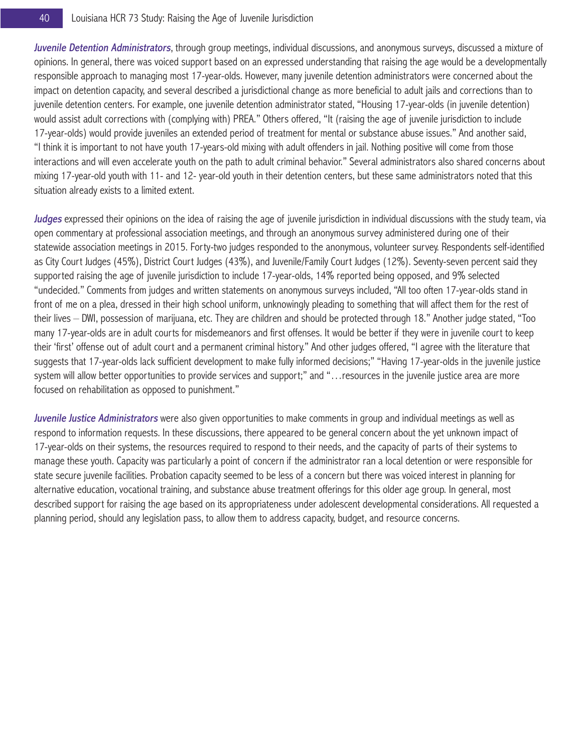Juvenile Detention Administrators, through group meetings, individual discussions, and anonymous surveys, discussed a mixture of opinions. In general, there was voiced support based on an expressed understanding that raising the age would be a developmentally responsible approach to managing most 17-year-olds. However, many juvenile detention administrators were concerned about the impact on detention capacity, and several described a jurisdictional change as more beneficial to adult jails and corrections than to juvenile detention centers. For example, one juvenile detention administrator stated, "Housing 17-year-olds (in juvenile detention) would assist adult corrections with (complying with) PREA." Others offered, "It (raising the age of juvenile jurisdiction to include 17-year-olds) would provide juveniles an extended period of treatment for mental or substance abuse issues." And another said, "I think it is important to not have youth 17-years-old mixing with adult offenders in jail. Nothing positive will come from those interactions and will even accelerate youth on the path to adult criminal behavior." Several administrators also shared concerns about mixing 17-year-old youth with 11- and 12- year-old youth in their detention centers, but these same administrators noted that this situation already exists to a limited extent.

Judges expressed their opinions on the idea of raising the age of juvenile jurisdiction in individual discussions with the study team, via open commentary at professional association meetings, and through an anonymous survey administered during one of their statewide association meetings in 2015. Forty-two judges responded to the anonymous, volunteer survey. Respondents self-identified as City Court Judges (45%), District Court Judges (43%), and Juvenile/Family Court Judges (12%). Seventy-seven percent said they supported raising the age of juvenile jurisdiction to include 17-year-olds, 14% reported being opposed, and 9% selected "undecided." Comments from judges and written statements on anonymous surveys included, "All too often 17-year-olds stand in front of me on a plea, dressed in their high school uniform, unknowingly pleading to something that will affect them for the rest of their lives – DWI, possession of marijuana, etc. They are children and should be protected through 18." Another judge stated, "Too many 17-year-olds are in adult courts for misdemeanors and first offenses. It would be better if they were in juvenile court to keep their 'first' offense out of adult court and a permanent criminal history." And other judges offered, "I agree with the literature that suggests that 17-year-olds lack sufficient development to make fully informed decisions;" "Having 17-year-olds in the juvenile justice system will allow better opportunities to provide services and support;" and "…resources in the juvenile justice area are more focused on rehabilitation as opposed to punishment."

Juvenile Justice Administrators were also given opportunities to make comments in group and individual meetings as well as respond to information requests. In these discussions, there appeared to be general concern about the yet unknown impact of 17-year-olds on their systems, the resources required to respond to their needs, and the capacity of parts of their systems to manage these youth. Capacity was particularly a point of concern if the administrator ran a local detention or were responsible for state secure juvenile facilities. Probation capacity seemed to be less of a concern but there was voiced interest in planning for alternative education, vocational training, and substance abuse treatment offerings for this older age group. In general, most described support for raising the age based on its appropriateness under adolescent developmental considerations. All requested a planning period, should any legislation pass, to allow them to address capacity, budget, and resource concerns.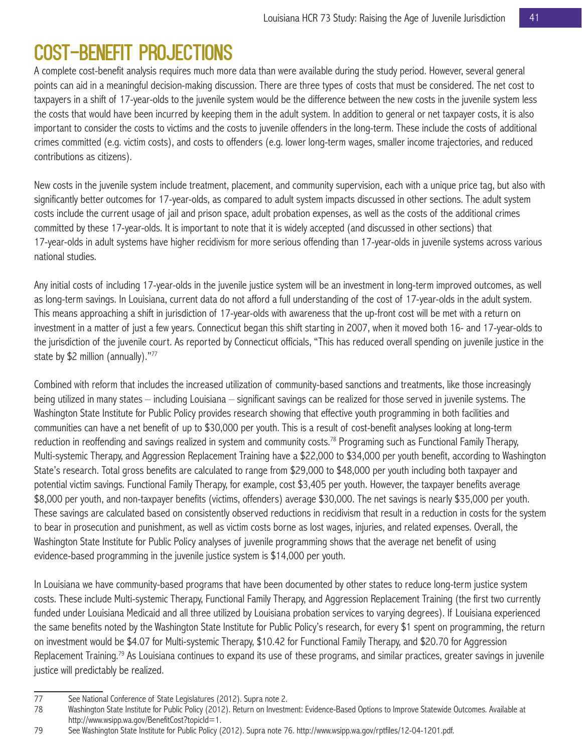# Cost-Benefit Projections

A complete cost-benefit analysis requires much more data than were available during the study period. However, several general points can aid in a meaningful decision-making discussion. There are three types of costs that must be considered. The net cost to taxpayers in a shift of 17-year-olds to the juvenile system would be the difference between the new costs in the juvenile system less the costs that would have been incurred by keeping them in the adult system. In addition to general or net taxpayer costs, it is also important to consider the costs to victims and the costs to juvenile offenders in the long-term. These include the costs of additional crimes committed (e.g. victim costs), and costs to offenders (e.g. lower long-term wages, smaller income trajectories, and reduced contributions as citizens).

New costs in the juvenile system include treatment, placement, and community supervision, each with a unique price tag, but also with significantly better outcomes for 17-year-olds, as compared to adult system impacts discussed in other sections. The adult system costs include the current usage of jail and prison space, adult probation expenses, as well as the costs of the additional crimes committed by these 17-year-olds. It is important to note that it is widely accepted (and discussed in other sections) that 17-year-olds in adult systems have higher recidivism for more serious offending than 17-year-olds in juvenile systems across various national studies.

Any initial costs of including 17-year-olds in the juvenile justice system will be an investment in long-term improved outcomes, as well as long-term savings. In Louisiana, current data do not afford a full understanding of the cost of 17-year-olds in the adult system. This means approaching a shift in jurisdiction of 17-year-olds with awareness that the up-front cost will be met with a return on investment in a matter of just a few years. Connecticut began this shift starting in 2007, when it moved both 16- and 17-year-olds to the jurisdiction of the juvenile court. As reported by Connecticut officials, "This has reduced overall spending on juvenile justice in the state by \$2 million (annually)."77

Combined with reform that includes the increased utilization of community-based sanctions and treatments, like those increasingly being utilized in many states – including Louisiana – significant savings can be realized for those served in juvenile systems. The Washington State Institute for Public Policy provides research showing that effective youth programming in both facilities and communities can have a net benefit of up to \$30,000 per youth. This is a result of cost-benefit analyses looking at long-term reduction in reoffending and savings realized in system and community costs.<sup>78</sup> Programing such as Functional Family Therapy, Multi-systemic Therapy, and Aggression Replacement Training have a \$22,000 to \$34,000 per youth benefit, according to Washington State's research. Total gross benefits are calculated to range from \$29,000 to \$48,000 per youth including both taxpayer and potential victim savings. Functional Family Therapy, for example, cost \$3,405 per youth. However, the taxpayer benefits average \$8,000 per youth, and non-taxpayer benefits (victims, offenders) average \$30,000. The net savings is nearly \$35,000 per youth. These savings are calculated based on consistently observed reductions in recidivism that result in a reduction in costs for the system to bear in prosecution and punishment, as well as victim costs borne as lost wages, injuries, and related expenses. Overall, the Washington State Institute for Public Policy analyses of juvenile programming shows that the average net benefit of using evidence-based programming in the juvenile justice system is \$14,000 per youth.

In Louisiana we have community-based programs that have been documented by other states to reduce long-term justice system costs. These include Multi-systemic Therapy, Functional Family Therapy, and Aggression Replacement Training (the first two currently funded under Louisiana Medicaid and all three utilized by Louisiana probation services to varying degrees). If Louisiana experienced the same benefits noted by the Washington State Institute for Public Policy's research, for every \$1 spent on programming, the return on investment would be \$4.07 for Multi-systemic Therapy, \$10.42 for Functional Family Therapy, and \$20.70 for Aggression Replacement Training.<sup>79</sup> As Louisiana continues to expand its use of these programs, and similar practices, greater savings in juvenile justice will predictably be realized.

<sup>77</sup> See National Conference of State Legislatures (2012). Supra note 2.

<sup>78</sup> Washington State Institute for Public Policy (2012). Return on Investment: Evidence-Based Options to Improve Statewide Outcomes. Available at http://www.wsipp.wa.gov/BenefitCost?topicId=1.

<sup>79</sup> See Washington State Institute for Public Policy (2012). Supra note 76. http://www.wsipp.wa.gov/rptfiles/12-04-1201.pdf.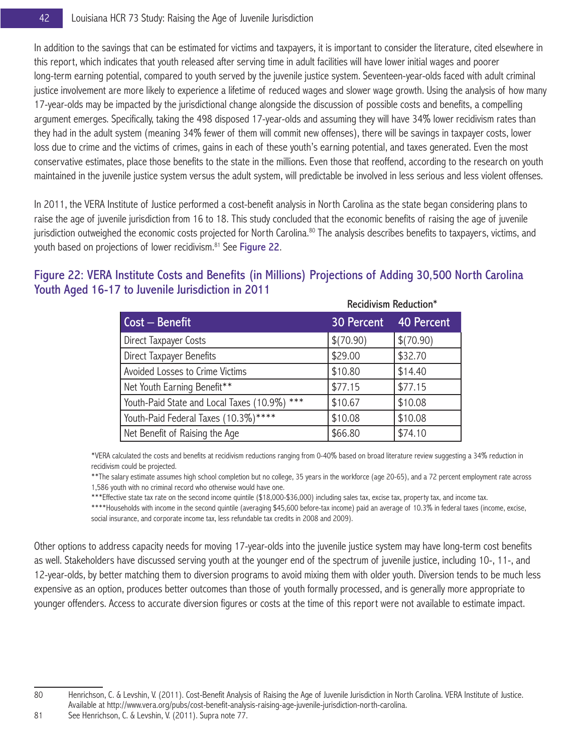In addition to the savings that can be estimated for victims and taxpayers, it is important to consider the literature, cited elsewhere in this report, which indicates that youth released after serving time in adult facilities will have lower initial wages and poorer long-term earning potential, compared to youth served by the juvenile justice system. Seventeen-year-olds faced with adult criminal justice involvement are more likely to experience a lifetime of reduced wages and slower wage growth. Using the analysis of how many 17-year-olds may be impacted by the jurisdictional change alongside the discussion of possible costs and benefits, a compelling argument emerges. Specifically, taking the 498 disposed 17-year-olds and assuming they will have 34% lower recidivism rates than they had in the adult system (meaning 34% fewer of them will commit new offenses), there will be savings in taxpayer costs, lower loss due to crime and the victims of crimes, gains in each of these youth's earning potential, and taxes generated. Even the most conservative estimates, place those benefits to the state in the millions. Even those that reoffend, according to the research on youth maintained in the juvenile justice system versus the adult system, will predictable be involved in less serious and less violent offenses.

In 2011, the VERA Institute of Justice performed a cost-benefit analysis in North Carolina as the state began considering plans to raise the age of juvenile jurisdiction from 16 to 18. This study concluded that the economic benefits of raising the age of juvenile jurisdiction outweighed the economic costs projected for North Carolina.<sup>80</sup> The analysis describes benefits to taxpayers, victims, and youth based on projections of lower recidivism.<sup>81</sup> See Figure 22.

## Figure 22: VERA Institute Costs and Benefits (in Millions) Projections of Adding 30,500 North Carolina Youth Aged 16-17 to Juvenile Jurisdiction in 2011

|                                                 | <b>Recidivism Reduction*</b> |           |  |  |  |
|-------------------------------------------------|------------------------------|-----------|--|--|--|
| $Cost - Benefit$                                | 30 Percent 40 Percent        |           |  |  |  |
| Direct Taxpayer Costs                           | \$(70.90)                    | \$(70.90) |  |  |  |
| Direct Taxpayer Benefits                        | \$29.00                      | \$32.70   |  |  |  |
| Avoided Losses to Crime Victims                 | \$10.80                      | \$14.40   |  |  |  |
| Net Youth Earning Benefit**                     | \$77.15                      | \$77.15   |  |  |  |
| Youth-Paid State and Local Taxes (10.9%)<br>*** | \$10.67                      | \$10.08   |  |  |  |
| Youth-Paid Federal Taxes (10.3%)****            | \$10.08                      | \$10.08   |  |  |  |
| Net Benefit of Raising the Age                  | \$66.80                      | \$74.10   |  |  |  |

\*VERA calculated the costs and benefits at recidivism reductions ranging from 0-40% based on broad literature review suggesting a 34% reduction in recidivism could be projected.

\*\*The salary estimate assumes high school completion but no college, 35 years in the workforce (age 20-65), and a 72 percent employment rate across 1,586 youth with no criminal record who otherwise would have one.

\*\*\*Effective state tax rate on the second income quintile (\$18,000-\$36,000) including sales tax, excise tax, property tax, and income tax.

\*\*\*\*Households with income in the second quintile (averaging \$45,600 before-tax income) paid an average of 10.3% in federal taxes (income, excise, social insurance, and corporate income tax, less refundable tax credits in 2008 and 2009).

Other options to address capacity needs for moving 17-year-olds into the juvenile justice system may have long-term cost benefits as well. Stakeholders have discussed serving youth at the younger end of the spectrum of juvenile justice, including 10-, 11-, and 12-year-olds, by better matching them to diversion programs to avoid mixing them with older youth. Diversion tends to be much less expensive as an option, produces better outcomes than those of youth formally processed, and is generally more appropriate to younger offenders. Access to accurate diversion figures or costs at the time of this report were not available to estimate impact.

<sup>80</sup> Henrichson, C. & Levshin, V. (2011). Cost-Benefit Analysis of Raising the Age of Juvenile Jurisdiction in North Carolina. VERA Institute of Justice. Available at http://www.vera.org/pubs/cost-benefit-analysis-raising-age-juvenile-jurisdiction-north-carolina.

<sup>81</sup> See Henrichson, C. & Levshin, V. (2011). Supra note 77.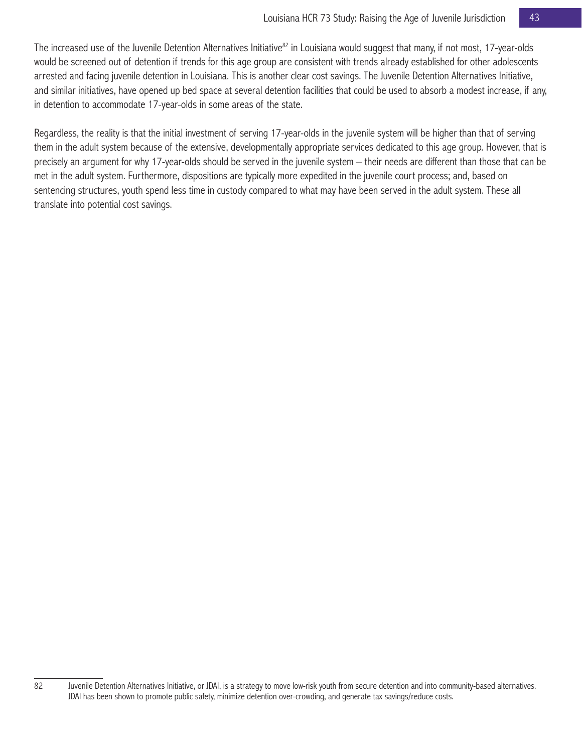The increased use of the Juvenile Detention Alternatives Initiative<sup>82</sup> in Louisiana would suggest that many, if not most, 17-year-olds would be screened out of detention if trends for this age group are consistent with trends already established for other adolescents arrested and facing juvenile detention in Louisiana. This is another clear cost savings. The Juvenile Detention Alternatives Initiative, and similar initiatives, have opened up bed space at several detention facilities that could be used to absorb a modest increase, if any, in detention to accommodate 17-year-olds in some areas of the state.

Regardless, the reality is that the initial investment of serving 17-year-olds in the juvenile system will be higher than that of serving them in the adult system because of the extensive, developmentally appropriate services dedicated to this age group. However, that is precisely an argument for why 17-year-olds should be served in the juvenile system – their needs are different than those that can be met in the adult system. Furthermore, dispositions are typically more expedited in the juvenile court process; and, based on sentencing structures, youth spend less time in custody compared to what may have been served in the adult system. These all translate into potential cost savings.

<sup>82</sup> Juvenile Detention Alternatives Initiative, or JDAI, is a strategy to move low-risk youth from secure detention and into community-based alternatives. JDAI has been shown to promote public safety, minimize detention over-crowding, and generate tax savings/reduce costs.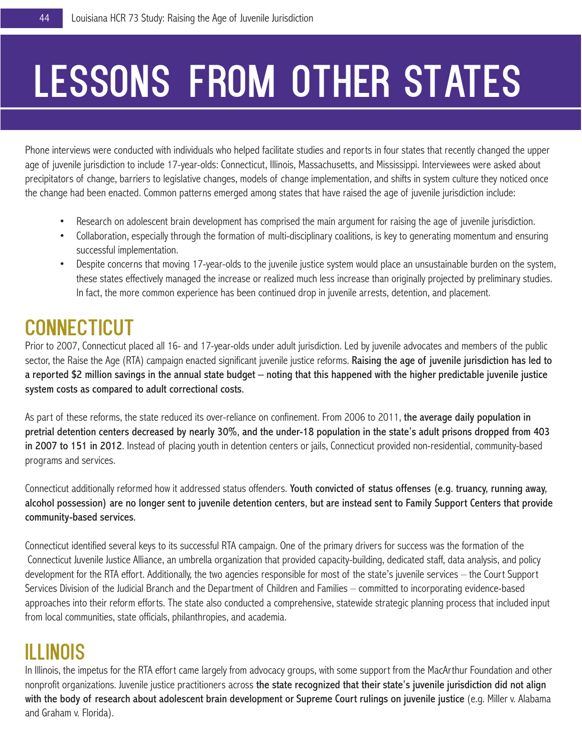# Lessons from other states

Phone interviews were conducted with individuals who helped facilitate studies and reports in four states that recently changed the upper age of juvenile jurisdiction to include 17-year-olds: Connecticut, Illinois, Massachusetts, and Mississippi. Interviewees were asked about precipitators of change, barriers to legislative changes, models of change implementation, and shifts in system culture they noticed once the change had been enacted. Common patterns emerged among states that have raised the age of juvenile jurisdiction include:

- Research on adolescent brain development has comprised the main argument for raising the age of juvenile jurisdiction.
- Collaboration, especially through the formation of multi-disciplinary coalitions, is key to generating momentum and ensuring successful implementation.
- Despite concerns that moving 17-year-olds to the juvenile justice system would place an unsustainable burden on the system, these states effectively managed the increase or realized much less increase than originally projected by preliminary studies. In fact, the more common experience has been continued drop in juvenile arrests, detention, and placement.

# **CONNECTICUT**

Prior to 2007, Connecticut placed all 16- and 17-year-olds under adult jurisdiction. Led by juvenile advocates and members of the public sector, the Raise the Age (RTA) campaign enacted significant juvenile justice reforms. Raising the age of juvenile jurisdiction has led to a reported \$2 million savings in the annual state budget – noting that this happened with the higher predictable juvenile justice system costs as compared to adult correctional costs.

As part of these reforms, the state reduced its over-reliance on confinement. From 2006 to 2011, the average daily population in pretrial detention centers decreased by nearly 30%, and the under-18 population in the state's adult prisons dropped from 403 in 2007 to 151 in 2012. Instead of placing youth in detention centers or jails, Connecticut provided non-residential, community-based programs and services.

Connecticut additionally reformed how it addressed status offenders. Youth convicted of status offenses (e.g. truancy, running away, alcohol possession) are no longer sent to juvenile detention centers, but are instead sent to Family Support Centers that provide community-based services.

Connecticut identified several keys to its successful RTA campaign. One of the primary drivers for success was the formation of the Connecticut Juvenile Justice Alliance, an umbrella organization that provided capacity-building, dedicated staff, data analysis, and policy development for the RTA effort. Additionally, the two agencies responsible for most of the state's juvenile services – the Court Support Services Division of the Judicial Branch and the Department of Children and Families – committed to incorporating evidence-based approaches into their reform efforts. The state also conducted a comprehensive, statewide strategic planning process that included input from local communities, state officials, philanthropies, and academia.

# Illinois

In Illinois, the impetus for the RTA effort came largely from advocacy groups, with some support from the MacArthur Foundation and other nonprofit organizations. Juvenile justice practitioners across the state recognized that their state's juvenile jurisdiction did not align with the body of research about adolescent brain development or Supreme Court rulings on juvenile justice (e.g. Miller v. Alabama and Graham v. Florida).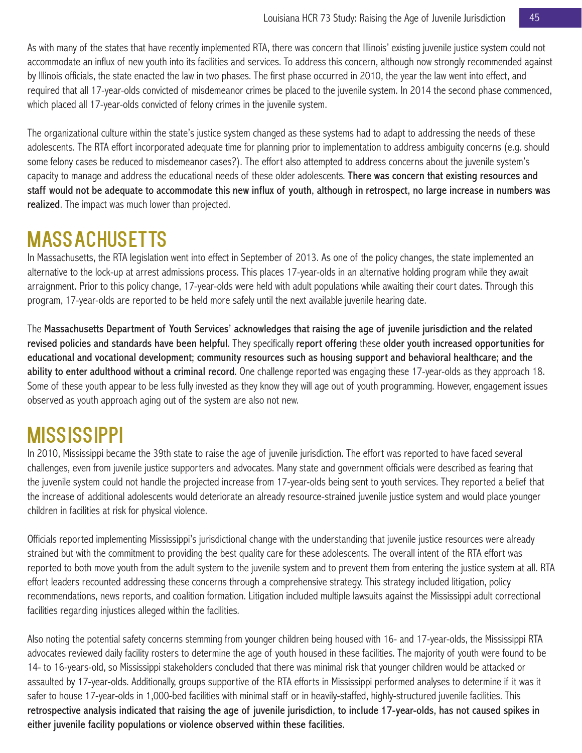As with many of the states that have recently implemented RTA, there was concern that Illinois' existing juvenile justice system could not accommodate an influx of new youth into its facilities and services. To address this concern, although now strongly recommended against by Illinois officials, the state enacted the law in two phases. The first phase occurred in 2010, the year the law went into effect, and required that all 17-year-olds convicted of misdemeanor crimes be placed to the juvenile system. In 2014 the second phase commenced, which placed all 17-year-olds convicted of felony crimes in the juvenile system.

The organizational culture within the state's justice system changed as these systems had to adapt to addressing the needs of these adolescents. The RTA effort incorporated adequate time for planning prior to implementation to address ambiguity concerns (e.g. should some felony cases be reduced to misdemeanor cases?). The effort also attempted to address concerns about the juvenile system's capacity to manage and address the educational needs of these older adolescents. There was concern that existing resources and staff would not be adequate to accommodate this new influx of youth, although in retrospect, no large increase in numbers was realized. The impact was much lower than projected.

# Massachusetts

In Massachusetts, the RTA legislation went into effect in September of 2013. As one of the policy changes, the state implemented an alternative to the lock-up at arrest admissions process. This places 17-year-olds in an alternative holding program while they await arraignment. Prior to this policy change, 17-year-olds were held with adult populations while awaiting their court dates. Through this program, 17-year-olds are reported to be held more safely until the next available juvenile hearing date.

The Massachusetts Department of Youth Services' acknowledges that raising the age of juvenile jurisdiction and the related revised policies and standards have been helpful. They specifically report offering these older youth increased opportunities for educational and vocational development; community resources such as housing support and behavioral healthcare; and the ability to enter adulthood without a criminal record. One challenge reported was engaging these 17-year-olds as they approach 18. Some of these youth appear to be less fully invested as they know they will age out of youth programming. However, engagement issues observed as youth approach aging out of the system are also not new.

# **MISSISSIPPI**

In 2010, Mississippi became the 39th state to raise the age of juvenile jurisdiction. The effort was reported to have faced several challenges, even from juvenile justice supporters and advocates. Many state and government officials were described as fearing that the juvenile system could not handle the projected increase from 17-year-olds being sent to youth services. They reported a belief that the increase of additional adolescents would deteriorate an already resource-strained juvenile justice system and would place younger children in facilities at risk for physical violence.

Officials reported implementing Mississippi's jurisdictional change with the understanding that juvenile justice resources were already strained but with the commitment to providing the best quality care for these adolescents. The overall intent of the RTA effort was reported to both move youth from the adult system to the juvenile system and to prevent them from entering the justice system at all. RTA effort leaders recounted addressing these concerns through a comprehensive strategy. This strategy included litigation, policy recommendations, news reports, and coalition formation. Litigation included multiple lawsuits against the Mississippi adult correctional facilities regarding injustices alleged within the facilities.

Also noting the potential safety concerns stemming from younger children being housed with 16- and 17-year-olds, the Mississippi RTA advocates reviewed daily facility rosters to determine the age of youth housed in these facilities. The majority of youth were found to be 14- to 16-years-old, so Mississippi stakeholders concluded that there was minimal risk that younger children would be attacked or assaulted by 17-year-olds. Additionally, groups supportive of the RTA efforts in Mississippi performed analyses to determine if it was it safer to house 17-year-olds in 1,000-bed facilities with minimal staff or in heavily-staffed, highly-structured juvenile facilities. This retrospective analysis indicated that raising the age of juvenile jurisdiction, to include 17-year-olds, has not caused spikes in either juvenile facility populations or violence observed within these facilities.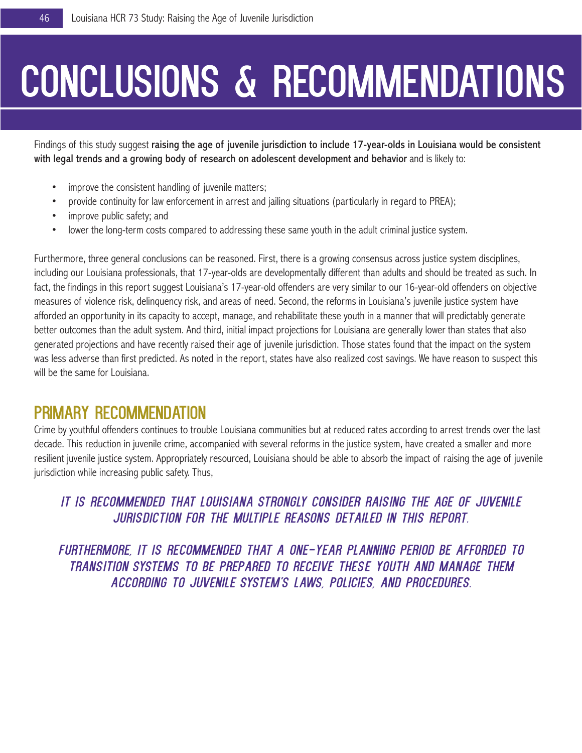# CONCLUSIONS & RECOMMENDATIONS

Findings of this study suggest raising the age of juvenile jurisdiction to include 17-year-olds in Louisiana would be consistent with legal trends and a growing body of research on adolescent development and behavior and is likely to:

- improve the consistent handling of juvenile matters;
- provide continuity for law enforcement in arrest and jailing situations (particularly in regard to PREA);
- improve public safety; and
- lower the long-term costs compared to addressing these same youth in the adult criminal justice system.

Furthermore, three general conclusions can be reasoned. First, there is a growing consensus across justice system disciplines, including our Louisiana professionals, that 17-year-olds are developmentally different than adults and should be treated as such. In fact, the findings in this report suggest Louisiana's 17-year-old offenders are very similar to our 16-year-old offenders on objective measures of violence risk, delinquency risk, and areas of need. Second, the reforms in Louisiana's juvenile justice system have afforded an opportunity in its capacity to accept, manage, and rehabilitate these youth in a manner that will predictably generate better outcomes than the adult system. And third, initial impact projections for Louisiana are generally lower than states that also generated projections and have recently raised their age of juvenile jurisdiction. Those states found that the impact on the system was less adverse than first predicted. As noted in the report, states have also realized cost savings. We have reason to suspect this will be the same for Louisiana.

# Primary Recommendation

Crime by youthful offenders continues to trouble Louisiana communities but at reduced rates according to arrest trends over the last decade. This reduction in juvenile crime, accompanied with several reforms in the justice system, have created a smaller and more resilient juvenile justice system. Appropriately resourced, Louisiana should be able to absorb the impact of raising the age of juvenile jurisdiction while increasing public safety. Thus,

# *it is recommended that Louisiana strongly consider raising the age of juvenile jurisdiction for the multiple reasons detailed in this report.*

*Furthermore, it is recommended that a one-year planning period be afforded to transition systems to be prepared to receive these youth and manage them according to juvenile system's laws, policies, and procedures.*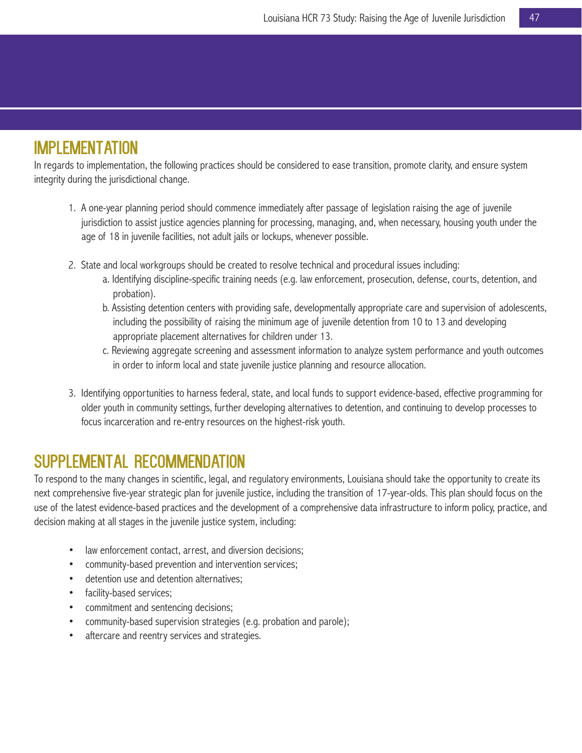# Implementation

In regards to implementation, the following practices should be considered to ease transition, promote clarity, and ensure system integrity during the jurisdictional change.

- 1. A one-year planning period should commence immediately after passage of legislation raising the age of juvenile jurisdiction to assist justice agencies planning for processing, managing, and, when necessary, housing youth under the age of 18 in juvenile facilities, not adult jails or lockups, whenever possible.
- 2. State and local workgroups should be created to resolve technical and procedural issues including:
	- a. Identifying discipline-specific training needs (e.g. law enforcement, prosecution, defense, courts, detention, and probation).
	- b. Assisting detention centers with providing safe, developmentally appropriate care and supervision of adolescents, including the possibility of raising the minimum age of juvenile detention from 10 to 13 and developing appropriate placement alternatives for children under 13.
	- c. Reviewing aggregate screening and assessment information to analyze system performance and youth outcomes in order to inform local and state juvenile justice planning and resource allocation.
- 3. Identifying opportunities to harness federal, state, and local funds to support evidence-based, effective programming for older youth in community settings, further developing alternatives to detention, and continuing to develop processes to focus incarceration and re-entry resources on the highest-risk youth.

# Supplemental Recommendation

To respond to the many changes in scientific, legal, and regulatory environments, Louisiana should take the opportunity to create its next comprehensive five-year strategic plan for juvenile justice, including the transition of 17-year-olds. This plan should focus on the use of the latest evidence-based practices and the development of a comprehensive data infrastructure to inform policy, practice, and decision making at all stages in the juvenile justice system, including:

- law enforcement contact, arrest, and diversion decisions;
- community-based prevention and intervention services;
- detention use and detention alternatives;
- facility-based services;
- commitment and sentencing decisions;
- community-based supervision strategies (e.g. probation and parole);
- aftercare and reentry services and strategies.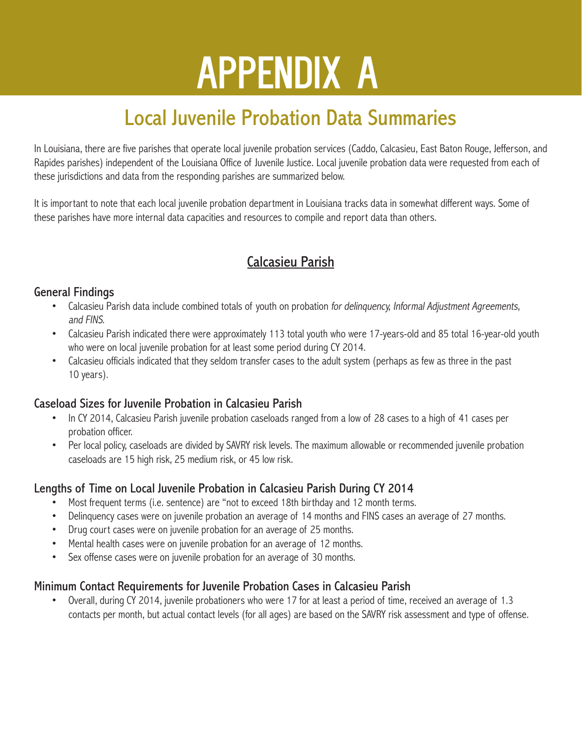# **APPENDIX A**

# Local Juvenile Probation Data Summaries

In Louisiana, there are five parishes that operate local juvenile probation services (Caddo, Calcasieu, East Baton Rouge, Jefferson, and Rapides parishes) independent of the Louisiana Office of Juvenile Justice. Local juvenile probation data were requested from each of these jurisdictions and data from the responding parishes are summarized below.

It is important to note that each local juvenile probation department in Louisiana tracks data in somewhat different ways. Some of these parishes have more internal data capacities and resources to compile and report data than others.

# Calcasieu Parish

## General Findings

- Calcasieu Parish data include combined totals of youth on probation for delinquency, Informal Adjustment Agreements, and FINS.
- Calcasieu Parish indicated there were approximately 113 total youth who were 17-years-old and 85 total 16-year-old youth who were on local juvenile probation for at least some period during CY 2014.
- Calcasieu officials indicated that they seldom transfer cases to the adult system (perhaps as few as three in the past 10 years).

## Caseload Sizes for Juvenile Probation in Calcasieu Parish

- In CY 2014, Calcasieu Parish juvenile probation caseloads ranged from a low of 28 cases to a high of 41 cases per probation officer.
- Per local policy, caseloads are divided by SAVRY risk levels. The maximum allowable or recommended juvenile probation caseloads are 15 high risk, 25 medium risk, or 45 low risk.

# Lengths of Time on Local Juvenile Probation in Calcasieu Parish During CY 2014

- Most frequent terms (i.e. sentence) are "not to exceed 18th birthday and 12 month terms.
- Delinquency cases were on juvenile probation an average of 14 months and FINS cases an average of 27 months.
- Drug court cases were on juvenile probation for an average of 25 months.
- Mental health cases were on juvenile probation for an average of 12 months.
- Sex offense cases were on juvenile probation for an average of 30 months.

## Minimum Contact Requirements for Juvenile Probation Cases in Calcasieu Parish

• Overall, during CY 2014, juvenile probationers who were 17 for at least a period of time, received an average of 1.3 contacts per month, but actual contact levels (for all ages) are based on the SAVRY risk assessment and type of offense.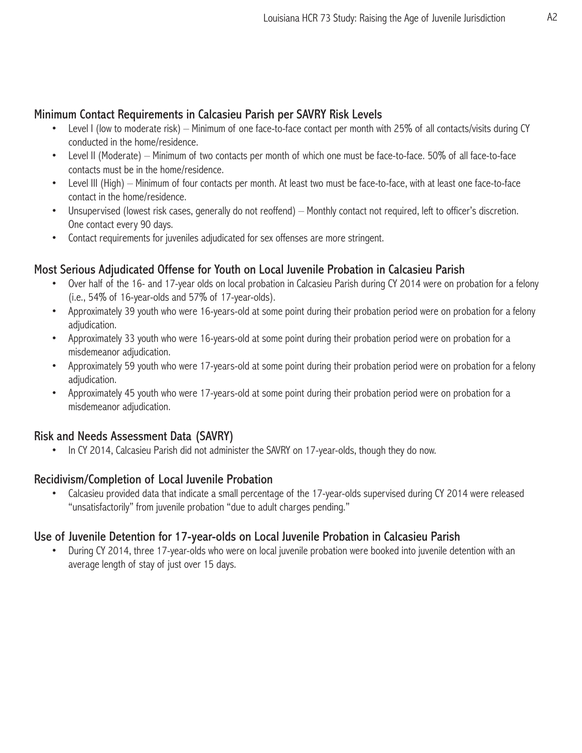## Minimum Contact Requirements in Calcasieu Parish per SAVRY Risk Levels

- Level I (low to moderate risk) Minimum of one face-to-face contact per month with 25% of all contacts/visits during CY conducted in the home/residence.
- Level II (Moderate) Minimum of two contacts per month of which one must be face-to-face. 50% of all face-to-face contacts must be in the home/residence.
- Level III (High) Minimum of four contacts per month. At least two must be face-to-face, with at least one face-to-face contact in the home/residence.
- Unsupervised (lowest risk cases, generally do not reoffend) Monthly contact not required, left to officer's discretion. One contact every 90 days.
- Contact requirements for juveniles adjudicated for sex offenses are more stringent.

## Most Serious Adjudicated Offense for Youth on Local Juvenile Probation in Calcasieu Parish

- Over half of the 16- and 17-year olds on local probation in Calcasieu Parish during CY 2014 were on probation for a felony (i.e., 54% of 16-year-olds and 57% of 17-year-olds).
- Approximately 39 youth who were 16-years-old at some point during their probation period were on probation for a felony adjudication.
- Approximately 33 youth who were 16-years-old at some point during their probation period were on probation for a misdemeanor adjudication.
- Approximately 59 youth who were 17-years-old at some point during their probation period were on probation for a felony adjudication.
- Approximately 45 youth who were 17-years-old at some point during their probation period were on probation for a misdemeanor adjudication.

## Risk and Needs Assessment Data (SAVRY)

• In CY 2014, Calcasieu Parish did not administer the SAVRY on 17-year-olds, though they do now.

## Recidivism/Completion of Local Juvenile Probation

• Calcasieu provided data that indicate a small percentage of the 17-year-olds supervised during CY 2014 were released "unsatisfactorily" from juvenile probation "due to adult charges pending."

## Use of Juvenile Detention for 17-year-olds on Local Juvenile Probation in Calcasieu Parish

• During CY 2014, three 17-year-olds who were on local juvenile probation were booked into juvenile detention with an average length of stay of just over 15 days.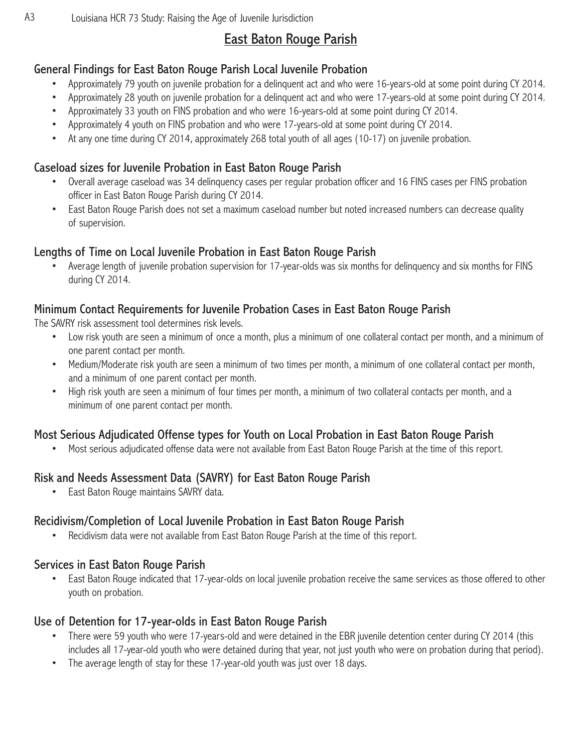# East Baton Rouge Parish

## General Findings for East Baton Rouge Parish Local Juvenile Probation

- Approximately 79 youth on juvenile probation for a delinquent act and who were 16-years-old at some point during CY 2014.
- Approximately 28 youth on juvenile probation for a delinquent act and who were 17-years-old at some point during CY 2014.
- Approximately 33 youth on FINS probation and who were 16-years-old at some point during CY 2014.
- Approximately 4 youth on FINS probation and who were 17-years-old at some point during CY 2014.
- At any one time during CY 2014, approximately 268 total youth of all ages (10-17) on juvenile probation.

## Caseload sizes for Juvenile Probation in East Baton Rouge Parish

- Overall average caseload was 34 delinquency cases per regular probation officer and 16 FINS cases per FINS probation officer in East Baton Rouge Parish during CY 2014.
- East Baton Rouge Parish does not set a maximum caseload number but noted increased numbers can decrease quality of supervision.

## Lengths of Time on Local Juvenile Probation in East Baton Rouge Parish

• Average length of juvenile probation supervision for 17-year-olds was six months for delinquency and six months for FINS during CY 2014.

## Minimum Contact Requirements for Juvenile Probation Cases in East Baton Rouge Parish

The SAVRY risk assessment tool determines risk levels.

- Low risk youth are seen a minimum of once a month, plus a minimum of one collateral contact per month, and a minimum of one parent contact per month.
- Medium/Moderate risk youth are seen a minimum of two times per month, a minimum of one collateral contact per month, and a minimum of one parent contact per month.
- High risk youth are seen a minimum of four times per month, a minimum of two collateral contacts per month, and a minimum of one parent contact per month.

## Most Serious Adjudicated Offense types for Youth on Local Probation in East Baton Rouge Parish

• Most serious adjudicated offense data were not available from East Baton Rouge Parish at the time of this report.

## Risk and Needs Assessment Data (SAVRY) for East Baton Rouge Parish

• East Baton Rouge maintains SAVRY data.

## Recidivism/Completion of Local Juvenile Probation in East Baton Rouge Parish

• Recidivism data were not available from East Baton Rouge Parish at the time of this report.

## Services in East Baton Rouge Parish

• East Baton Rouge indicated that 17-year-olds on local juvenile probation receive the same services as those offered to other youth on probation.

## Use of Detention for 17-year-olds in East Baton Rouge Parish

- There were 59 youth who were 17-years-old and were detained in the EBR juvenile detention center during CY 2014 (this includes all 17-year-old youth who were detained during that year, not just youth who were on probation during that period).
- The average length of stay for these 17-year-old youth was just over 18 days.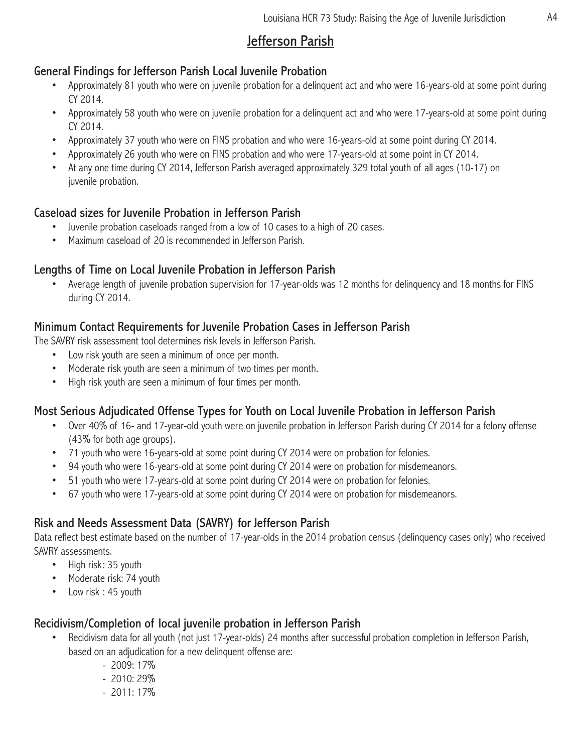# Jefferson Parish

## General Findings for Jefferson Parish Local Juvenile Probation

- Approximately 81 youth who were on juvenile probation for a delinquent act and who were 16-years-old at some point during CY 2014.
- Approximately 58 youth who were on juvenile probation for a delinquent act and who were 17-years-old at some point during CY 2014.
- Approximately 37 youth who were on FINS probation and who were 16-years-old at some point during CY 2014.
- Approximately 26 youth who were on FINS probation and who were 17-years-old at some point in CY 2014.
- At any one time during CY 2014, Jefferson Parish averaged approximately 329 total youth of all ages (10-17) on juvenile probation.

## Caseload sizes for Juvenile Probation in Jefferson Parish

- Juvenile probation caseloads ranged from a low of 10 cases to a high of 20 cases.
- Maximum caseload of 20 is recommended in Jefferson Parish.

## Lengths of Time on Local Juvenile Probation in Jefferson Parish

• Average length of juvenile probation supervision for 17-year-olds was 12 months for delinquency and 18 months for FINS during CY 2014.

## Minimum Contact Requirements for Juvenile Probation Cases in Jefferson Parish

The SAVRY risk assessment tool determines risk levels in Jefferson Parish.

- Low risk youth are seen a minimum of once per month.
- Moderate risk youth are seen a minimum of two times per month.
- High risk youth are seen a minimum of four times per month.

## Most Serious Adjudicated Offense Types for Youth on Local Juvenile Probation in Jefferson Parish

- Over 40% of 16- and 17-year-old youth were on juvenile probation in Jefferson Parish during CY 2014 for a felony offense (43% for both age groups).
- 71 youth who were 16-years-old at some point during CY 2014 were on probation for felonies.
- 94 youth who were 16-years-old at some point during CY 2014 were on probation for misdemeanors.
- 51 youth who were 17-years-old at some point during CY 2014 were on probation for felonies.
- 67 youth who were 17-years-old at some point during CY 2014 were on probation for misdemeanors.

## Risk and Needs Assessment Data (SAVRY) for Jefferson Parish

Data reflect best estimate based on the number of 17-year-olds in the 2014 probation census (delinquency cases only) who received SAVRY assessments.

- High risk: 35 youth
- Moderate risk: 74 youth
- Low risk : 45 youth

## Recidivism/Completion of local juvenile probation in Jefferson Parish

- Recidivism data for all youth (not just 17-year-olds) 24 months after successful probation completion in Jefferson Parish, based on an adjudication for a new delinquent offense are:
	- 2009: 17%
	- 2010: 29%
	- $-2011:17\%$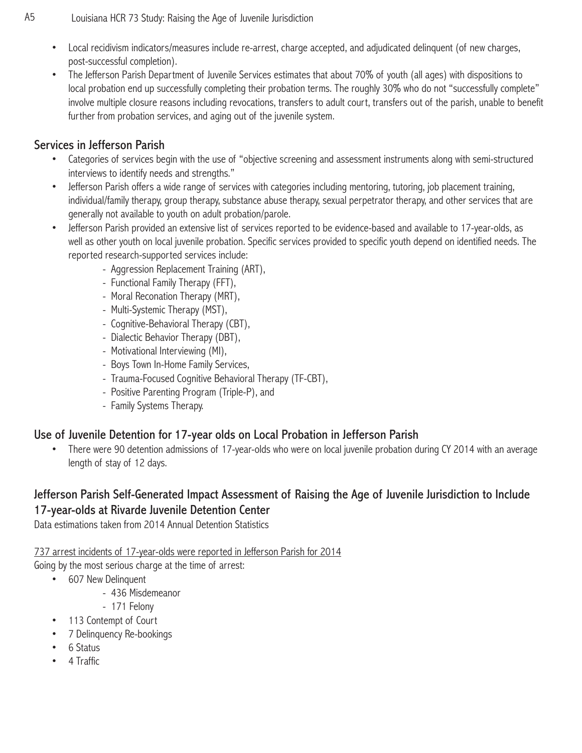- Local recidivism indicators/measures include re-arrest, charge accepted, and adjudicated delinquent (of new charges, post-successful completion).
- The Jefferson Parish Department of Juvenile Services estimates that about 70% of youth (all ages) with dispositions to local probation end up successfully completing their probation terms. The roughly 30% who do not "successfully complete" involve multiple closure reasons including revocations, transfers to adult court, transfers out of the parish, unable to benefit further from probation services, and aging out of the juvenile system.

## Services in Jefferson Parish

- Categories of services begin with the use of "objective screening and assessment instruments along with semi-structured interviews to identify needs and strengths."
- Jefferson Parish offers a wide range of services with categories including mentoring, tutoring, job placement training, individual/family therapy, group therapy, substance abuse therapy, sexual perpetrator therapy, and other services that are generally not available to youth on adult probation/parole.
- Jefferson Parish provided an extensive list of services reported to be evidence-based and available to 17-year-olds, as well as other youth on local juvenile probation. Specific services provided to specific youth depend on identified needs. The reported research-supported services include:
	- Aggression Replacement Training (ART),
	- Functional Family Therapy (FFT),
	- Moral Reconation Therapy (MRT),
	- Multi-Systemic Therapy (MST),
	- Cognitive-Behavioral Therapy (CBT),
	- Dialectic Behavior Therapy (DBT),
	- Motivational Interviewing (MI),
	- Boys Town In-Home Family Services,
	- Trauma-Focused Cognitive Behavioral Therapy (TF-CBT),
	- Positive Parenting Program (Triple-P), and
	- Family Systems Therapy.

## Use of Juvenile Detention for 17-year olds on Local Probation in Jefferson Parish

• There were 90 detention admissions of 17-year-olds who were on local juvenile probation during CY 2014 with an average length of stay of 12 days.

## Jefferson Parish Self-Generated Impact Assessment of Raising the Age of Juvenile Jurisdiction to Include 17-year-olds at Rivarde Juvenile Detention Center

Data estimations taken from 2014 Annual Detention Statistics

737 arrest incidents of 17-year-olds were reported in Jefferson Parish for 2014

Going by the most serious charge at the time of arrest:

- 607 New Delinquent
	- 436 Misdemeanor
	- 171 Felony
- 113 Contempt of Court
- 7 Delinquency Re-bookings
- 6 Status
- 4 Traffic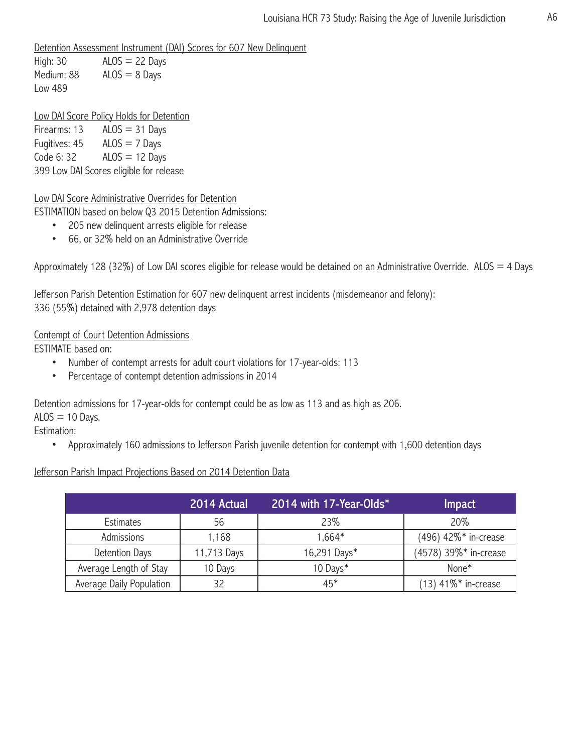Detention Assessment Instrument (DAI) Scores for 607 New Delinquent

High:  $30$   $ALOS = 22$  Days Medium:  $88$  ALOS =  $8$  Days Low 489

Low DAI Score Policy Holds for Detention

Firearms:  $13$  ALOS = 31 Days Fugitives:  $45$  ALOS = 7 Days Code 6: 32  $ALOS = 12$  Days 399 Low DAI Scores eligible for release

Low DAI Score Administrative Overrides for Detention

ESTIMATION based on below Q3 2015 Detention Admissions:

- 205 new delinquent arrests eligible for release
- 66, or 32% held on an Administrative Override

Approximately 128 (32%) of Low DAI scores eligible for release would be detained on an Administrative Override. ALOS = 4 Days

Jefferson Parish Detention Estimation for 607 new delinquent arrest incidents (misdemeanor and felony): 336 (55%) detained with 2,978 detention days

#### Contempt of Court Detention Admissions

ESTIMATE based on:

- Number of contempt arrests for adult court violations for 17-year-olds: 113
- Percentage of contempt detention admissions in 2014

Detention admissions for 17-year-olds for contempt could be as low as 113 and as high as 206.

 $ALOS = 10$  Days.

Estimation:

• Approximately 160 admissions to Jefferson Parish juvenile detention for contempt with 1,600 detention days

#### Jefferson Parish Impact Projections Based on 2014 Detention Data

|                          | 2014 Actual | 2014 with 17-Year-Olds* | <b>Impact</b>         |
|--------------------------|-------------|-------------------------|-----------------------|
| Estimates                | 56          | 23%                     | 20%                   |
| Admissions               | 1,168       | $1.664*$                | (496) 42%* in-crease  |
| Detention Days           | 11,713 Days | 16,291 Days*            | (4578) 39%* in-crease |
| Average Length of Stay   | 10 Days     | 10 Days*                | None <sup>*</sup>     |
| Average Daily Population | 32          | $45*$                   | $(13)$ 41%* in-crease |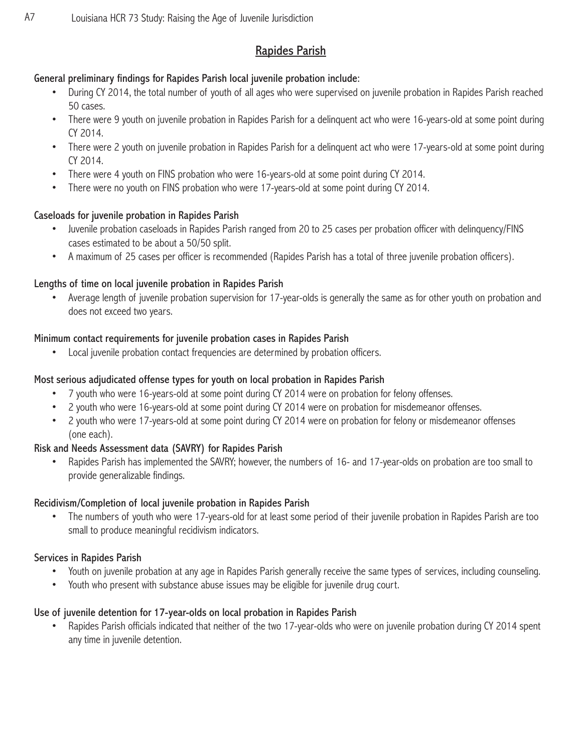# Rapides Parish

### General preliminary findings for Rapides Parish local juvenile probation include:

- During CY 2014, the total number of youth of all ages who were supervised on juvenile probation in Rapides Parish reached 50 cases.
- There were 9 youth on juvenile probation in Rapides Parish for a delinquent act who were 16-years-old at some point during CY 2014.
- There were 2 youth on juvenile probation in Rapides Parish for a delinguent act who were 17-years-old at some point during CY 2014.
- There were 4 youth on FINS probation who were 16-years-old at some point during CY 2014.
- There were no youth on FINS probation who were 17-years-old at some point during CY 2014.

### Caseloads for juvenile probation in Rapides Parish

- Juvenile probation caseloads in Rapides Parish ranged from 20 to 25 cases per probation officer with delinquency/FINS cases estimated to be about a 50/50 split.
- A maximum of 25 cases per officer is recommended (Rapides Parish has a total of three juvenile probation officers).

### Lengths of time on local juvenile probation in Rapides Parish

• Average length of juvenile probation supervision for 17-year-olds is generally the same as for other youth on probation and does not exceed two years.

#### Minimum contact requirements for juvenile probation cases in Rapides Parish

Local juvenile probation contact frequencies are determined by probation officers.

### Most serious adjudicated offense types for youth on local probation in Rapides Parish

- 7 youth who were 16-years-old at some point during CY 2014 were on probation for felony offenses.
- 2 youth who were 16-years-old at some point during CY 2014 were on probation for misdemeanor offenses.
- 2 youth who were 17-years-old at some point during CY 2014 were on probation for felony or misdemeanor offenses (one each).

## Risk and Needs Assessment data (SAVRY) for Rapides Parish

• Rapides Parish has implemented the SAVRY; however, the numbers of 16- and 17-year-olds on probation are too small to provide generalizable findings.

#### Recidivism/Completion of local juvenile probation in Rapides Parish

The numbers of youth who were 17-years-old for at least some period of their juvenile probation in Rapides Parish are too small to produce meaningful recidivism indicators.

### Services in Rapides Parish

- Youth on juvenile probation at any age in Rapides Parish generally receive the same types of services, including counseling.
- Youth who present with substance abuse issues may be eligible for juvenile drug court.

### Use of juvenile detention for 17-year-olds on local probation in Rapides Parish

• Rapides Parish officials indicated that neither of the two 17-year-olds who were on juvenile probation during CY 2014 spent any time in juvenile detention.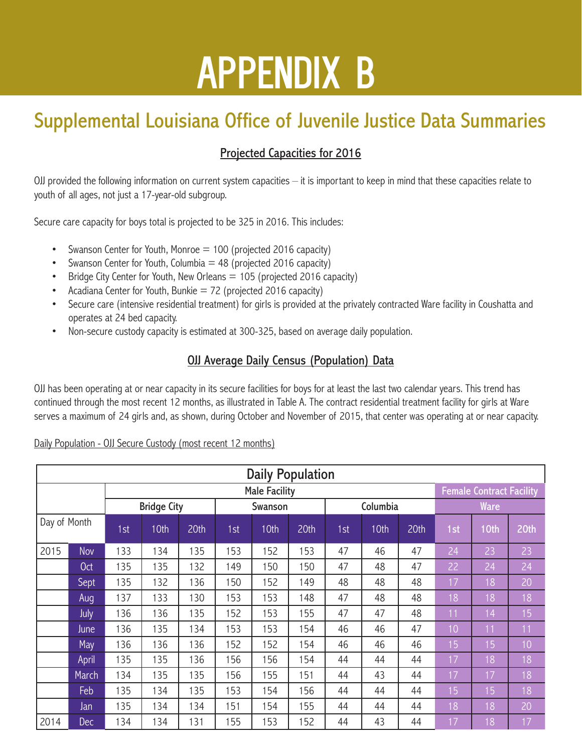# Appendix B

# Supplemental Louisiana Office of Juvenile Justice Data Summaries

# Projected Capacities for 2016

OJJ provided the following information on current system capacities – it is important to keep in mind that these capacities relate to youth of all ages, not just a 17-year-old subgroup.

Secure care capacity for boys total is projected to be 325 in 2016. This includes:

- Swanson Center for Youth, Monroe = 100 (projected 2016 capacity)
- Swanson Center for Youth, Columbia  $=$  48 (projected 2016 capacity)
- Bridge City Center for Youth, New Orleans  $= 105$  (projected 2016 capacity)
- Acadiana Center for Youth, Bunkie = 72 (projected 2016 capacity)
- Secure care (intensive residential treatment) for girls is provided at the privately contracted Ware facility in Coushatta and operates at 24 bed capacity.
- Non-secure custody capacity is estimated at 300-325, based on average daily population.

## **OJJ Average Daily Census (Population) Data**

OJJ has been operating at or near capacity in its secure facilities for boys for at least the last two calendar years. This trend has continued through the most recent 12 months, as illustrated in Table A. The contract residential treatment facility for girls at Ware serves a maximum of 24 girls and, as shown, during October and November of 2015, that center was operating at or near capacity.

#### Daily Population - OJJ Secure Custody (most recent 12 months)

| <b>Daily Population</b> |            |                      |                     |     |         |      |     |          |      |     |                                 |      |                 |
|-------------------------|------------|----------------------|---------------------|-----|---------|------|-----|----------|------|-----|---------------------------------|------|-----------------|
|                         |            | <b>Male Facility</b> |                     |     |         |      |     |          |      |     | <b>Female Contract Facility</b> |      |                 |
|                         |            | <b>Bridge City</b>   |                     |     | Swanson |      |     | Columbia |      |     | Ware                            |      |                 |
| Day of Month            |            | 1st                  | 10th<br>20th<br>1st |     | 10th    | 20th | 1st | 10th     | 20th | 1st | 10th                            | 20th |                 |
| 2015                    | Nov        | 133                  | 134                 | 135 | 153     | 52   | 153 | 47       | 46   | 47  | 24                              | 23   | 23              |
|                         | <b>Oct</b> | 135                  | 135                 | 132 | 149     | 50   | 150 | 47       | 48   | 47  | 22                              | 24   | 24              |
|                         | Sept       | 135                  | 132                 | 136 | 150     | 152  | 149 | 48       | 48   | 48  | 17                              | 18   | 20              |
|                         | Aug        | 137                  | 133                 | 130 | 153     | 153  | 148 | 47       | 48   | 48  | 18                              | 18   | 18              |
|                         | July       | 136                  | 136                 | 135 | 152     | 153  | 155 | 47       | 47   | 48  | 11                              | 14   | 15 <sub>1</sub> |
|                         | June       | 136                  | 135                 | 134 | 153     | 153  | 154 | 46       | 46   | 47  | 10                              | 11   | 11              |
|                         | May        | 136                  | 136                 | 136 | 152     | 152  | 154 | 46       | 46   | 46  | 15                              | 15   | 10              |
|                         | April      | 135                  | 135                 | 136 | 156     | 156  | 154 | 44       | 44   | 44  | 17                              | 18   | 18              |
|                         | March      | 134                  | 135                 | 135 | 156     | 155  | 151 | 44       | 43   | 44  | 17                              | 17   | 18              |
|                         | Feb        | 135                  | 134                 | 135 | 153     | 154  | 156 | 44       | 44   | 44  | 15                              | 15   | 18              |
|                         | Jan        | 135                  | 134                 | 134 | 151     | 154  | 155 | 44       | 44   | 44  | 18                              | 18   | 20              |
| 2014                    | Dec        | 134                  | 134                 | 131 | 155     | 153  | 152 | 44       | 43   | 44  | 17                              | 18   | 17              |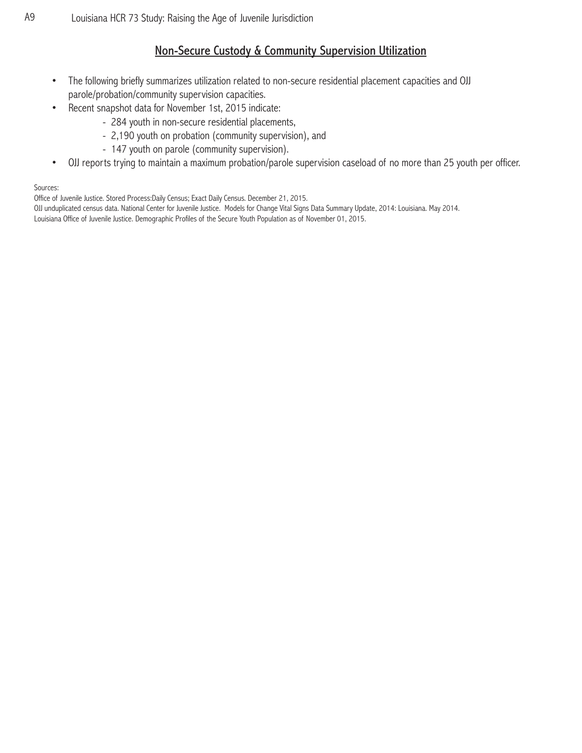## Non-Secure Custody & Community Supervision Utilization

- The following briefly summarizes utilization related to non-secure residential placement capacities and OJJ parole/probation/community supervision capacities.
- Recent snapshot data for November 1st, 2015 indicate:
	- 284 youth in non-secure residential placements,
	- 2,190 youth on probation (community supervision), and
	- 147 youth on parole (community supervision).
- OJJ reports trying to maintain a maximum probation/parole supervision caseload of no more than 25 youth per officer.

#### Sources:

Office of Juvenile Justice. Stored Process:Daily Census; Exact Daily Census. December 21, 2015.

OJJ unduplicated census data. National Center for Juvenile Justice. Models for Change Vital Signs Data Summary Update, 2014: Louisiana. May 2014. Louisiana Office of Juvenile Justice. Demographic Profiles of the Secure Youth Population as of November 01, 2015.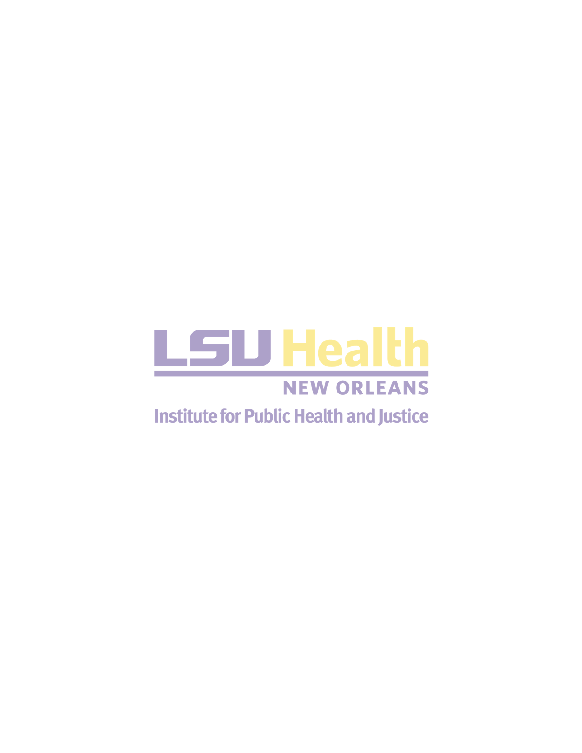